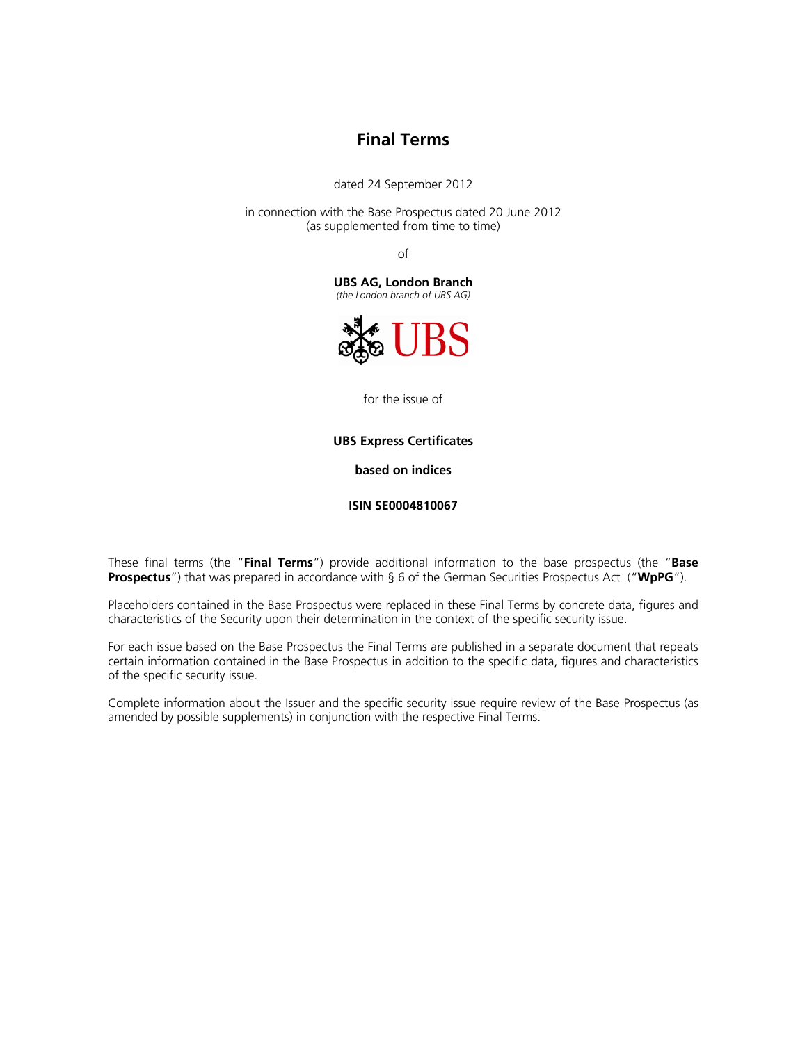# **Final Terms**

dated 24 September 2012

in connection with the Base Prospectus dated 20 June 2012 (as supplemented from time to time)

of

**UBS AG, London Branch**  *(the London branch of UBS AG)*



for the issue of

**UBS Express Certificates** 

**based on indices** 

**ISIN SE0004810067** 

These final terms (the "**Final Terms**") provide additional information to the base prospectus (the "**Base Prospectus**") that was prepared in accordance with § 6 of the German Securities Prospectus Act ("**WpPG**").

Placeholders contained in the Base Prospectus were replaced in these Final Terms by concrete data, figures and characteristics of the Security upon their determination in the context of the specific security issue.

For each issue based on the Base Prospectus the Final Terms are published in a separate document that repeats certain information contained in the Base Prospectus in addition to the specific data, figures and characteristics of the specific security issue.

Complete information about the Issuer and the specific security issue require review of the Base Prospectus (as amended by possible supplements) in conjunction with the respective Final Terms.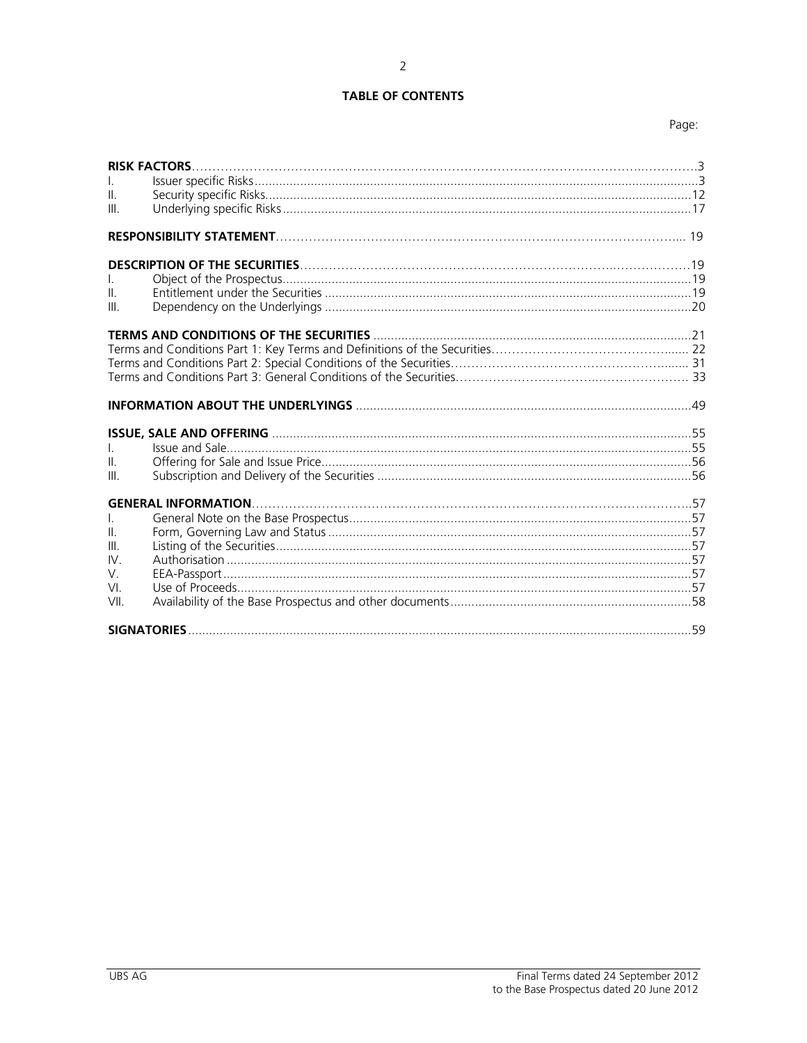# **TABLE OF CONTENTS**

| $\mathbb{I}$ .<br>III.                  |  |
|-----------------------------------------|--|
|                                         |  |
| $\parallel$ .<br>III                    |  |
|                                         |  |
|                                         |  |
|                                         |  |
| $\mathbf{L}$<br>$\mathbf{II}$ .<br>III. |  |
|                                         |  |
| Ш.<br>Ш<br>IV.<br>V.<br>VI.<br>VII.     |  |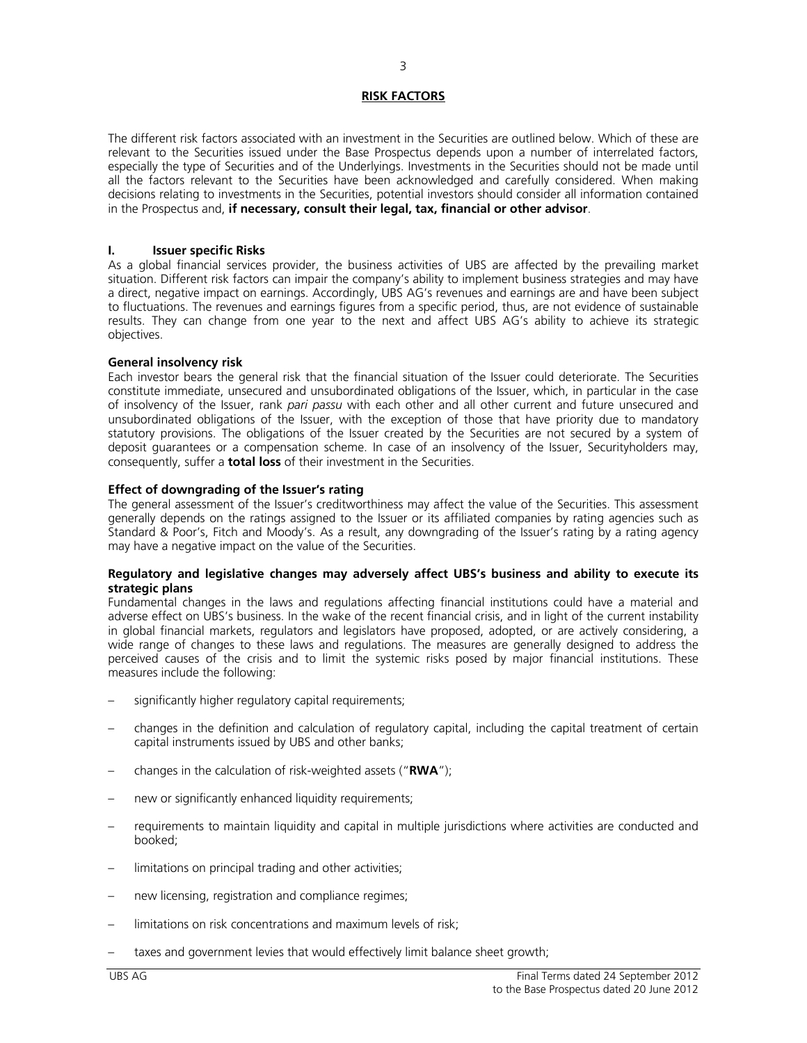# **RISK FACTORS**

The different risk factors associated with an investment in the Securities are outlined below. Which of these are relevant to the Securities issued under the Base Prospectus depends upon a number of interrelated factors, especially the type of Securities and of the Underlyings. Investments in the Securities should not be made until all the factors relevant to the Securities have been acknowledged and carefully considered. When making decisions relating to investments in the Securities, potential investors should consider all information contained in the Prospectus and, **if necessary, consult their legal, tax, financial or other advisor**.

# **I. Issuer specific Risks**

As a global financial services provider, the business activities of UBS are affected by the prevailing market situation. Different risk factors can impair the company's ability to implement business strategies and may have a direct, negative impact on earnings. Accordingly, UBS AG's revenues and earnings are and have been subject to fluctuations. The revenues and earnings figures from a specific period, thus, are not evidence of sustainable results. They can change from one year to the next and affect UBS AG's ability to achieve its strategic objectives.

# **General insolvency risk**

Each investor bears the general risk that the financial situation of the Issuer could deteriorate. The Securities constitute immediate, unsecured and unsubordinated obligations of the Issuer, which, in particular in the case of insolvency of the Issuer, rank *pari passu* with each other and all other current and future unsecured and unsubordinated obligations of the Issuer, with the exception of those that have priority due to mandatory statutory provisions. The obligations of the Issuer created by the Securities are not secured by a system of deposit guarantees or a compensation scheme. In case of an insolvency of the Issuer, Securityholders may, consequently, suffer a **total loss** of their investment in the Securities.

# **Effect of downgrading of the Issuer's rating**

The general assessment of the Issuer's creditworthiness may affect the value of the Securities. This assessment generally depends on the ratings assigned to the Issuer or its affiliated companies by rating agencies such as Standard & Poor's, Fitch and Moody's. As a result, any downgrading of the Issuer's rating by a rating agency may have a negative impact on the value of the Securities.

#### **Regulatory and legislative changes may adversely affect UBS's business and ability to execute its strategic plans**

Fundamental changes in the laws and regulations affecting financial institutions could have a material and adverse effect on UBS's business. In the wake of the recent financial crisis, and in light of the current instability in global financial markets, regulators and legislators have proposed, adopted, or are actively considering, a wide range of changes to these laws and regulations. The measures are generally designed to address the perceived causes of the crisis and to limit the systemic risks posed by major financial institutions. These measures include the following:

- significantly higher regulatory capital requirements;
- changes in the definition and calculation of regulatory capital, including the capital treatment of certain capital instruments issued by UBS and other banks;
- changes in the calculation of risk-weighted assets ("**RWA**");
- new or significantly enhanced liquidity requirements;
- requirements to maintain liquidity and capital in multiple jurisdictions where activities are conducted and booked;
- limitations on principal trading and other activities;
- new licensing, registration and compliance regimes;
- limitations on risk concentrations and maximum levels of risk:
- taxes and government levies that would effectively limit balance sheet growth;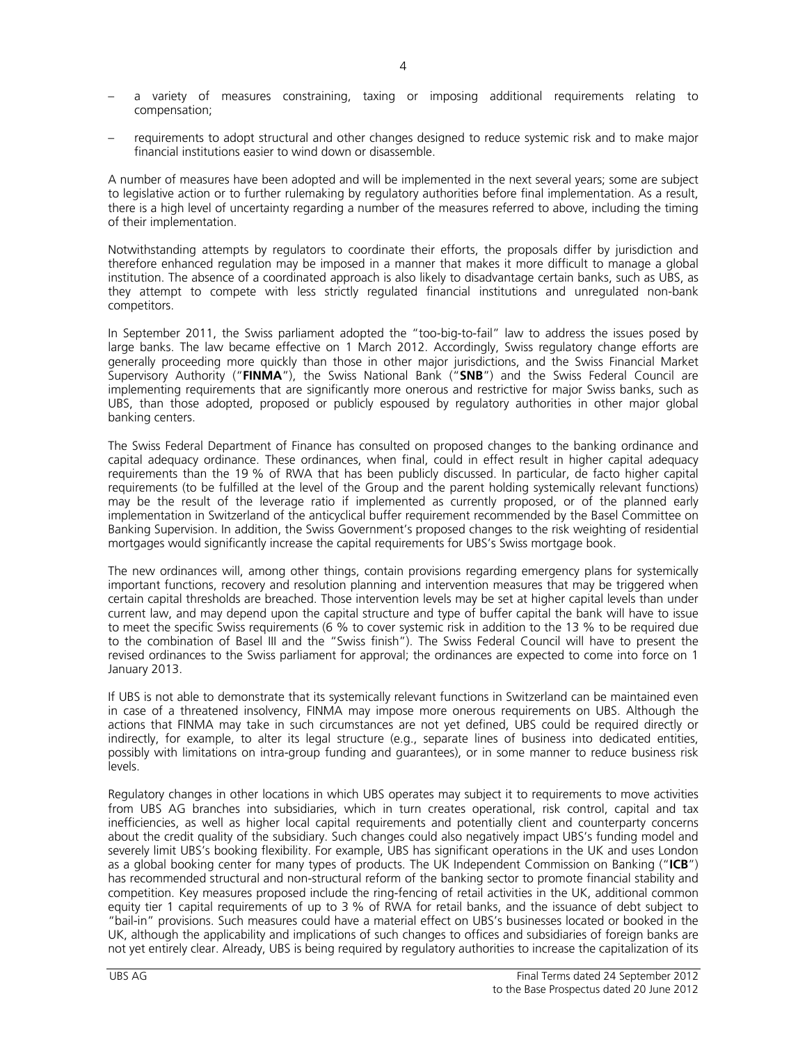- a variety of measures constraining, taxing or imposing additional requirements relating to compensation;
- requirements to adopt structural and other changes designed to reduce systemic risk and to make major financial institutions easier to wind down or disassemble.

A number of measures have been adopted and will be implemented in the next several years; some are subject to legislative action or to further rulemaking by regulatory authorities before final implementation. As a result, there is a high level of uncertainty regarding a number of the measures referred to above, including the timing of their implementation.

Notwithstanding attempts by regulators to coordinate their efforts, the proposals differ by jurisdiction and therefore enhanced regulation may be imposed in a manner that makes it more difficult to manage a global institution. The absence of a coordinated approach is also likely to disadvantage certain banks, such as UBS, as they attempt to compete with less strictly regulated financial institutions and unregulated non-bank competitors.

In September 2011, the Swiss parliament adopted the "too-big-to-fail" law to address the issues posed by large banks. The law became effective on 1 March 2012. Accordingly, Swiss regulatory change efforts are generally proceeding more quickly than those in other major jurisdictions, and the Swiss Financial Market Supervisory Authority ("**FINMA**"), the Swiss National Bank ("**SNB**") and the Swiss Federal Council are implementing requirements that are significantly more onerous and restrictive for major Swiss banks, such as UBS, than those adopted, proposed or publicly espoused by regulatory authorities in other major global banking centers.

The Swiss Federal Department of Finance has consulted on proposed changes to the banking ordinance and capital adequacy ordinance. These ordinances, when final, could in effect result in higher capital adequacy requirements than the 19 % of RWA that has been publicly discussed. In particular, de facto higher capital requirements (to be fulfilled at the level of the Group and the parent holding systemically relevant functions) may be the result of the leverage ratio if implemented as currently proposed, or of the planned early implementation in Switzerland of the anticyclical buffer requirement recommended by the Basel Committee on Banking Supervision. In addition, the Swiss Government's proposed changes to the risk weighting of residential mortgages would significantly increase the capital requirements for UBS's Swiss mortgage book.

The new ordinances will, among other things, contain provisions regarding emergency plans for systemically important functions, recovery and resolution planning and intervention measures that may be triggered when certain capital thresholds are breached. Those intervention levels may be set at higher capital levels than under current law, and may depend upon the capital structure and type of buffer capital the bank will have to issue to meet the specific Swiss requirements (6 % to cover systemic risk in addition to the 13 % to be required due to the combination of Basel III and the "Swiss finish"). The Swiss Federal Council will have to present the revised ordinances to the Swiss parliament for approval; the ordinances are expected to come into force on 1 January 2013.

If UBS is not able to demonstrate that its systemically relevant functions in Switzerland can be maintained even in case of a threatened insolvency, FINMA may impose more onerous requirements on UBS. Although the actions that FINMA may take in such circumstances are not yet defined, UBS could be required directly or indirectly, for example, to alter its legal structure (e.g., separate lines of business into dedicated entities, possibly with limitations on intra-group funding and guarantees), or in some manner to reduce business risk levels.

Regulatory changes in other locations in which UBS operates may subject it to requirements to move activities from UBS AG branches into subsidiaries, which in turn creates operational, risk control, capital and tax inefficiencies, as well as higher local capital requirements and potentially client and counterparty concerns about the credit quality of the subsidiary. Such changes could also negatively impact UBS's funding model and severely limit UBS's booking flexibility. For example, UBS has significant operations in the UK and uses London as a global booking center for many types of products. The UK Independent Commission on Banking ("**ICB**") has recommended structural and non-structural reform of the banking sector to promote financial stability and competition. Key measures proposed include the ring-fencing of retail activities in the UK, additional common equity tier 1 capital requirements of up to 3 % of RWA for retail banks, and the issuance of debt subject to "bail-in" provisions. Such measures could have a material effect on UBS's businesses located or booked in the UK, although the applicability and implications of such changes to offices and subsidiaries of foreign banks are not yet entirely clear. Already, UBS is being required by regulatory authorities to increase the capitalization of its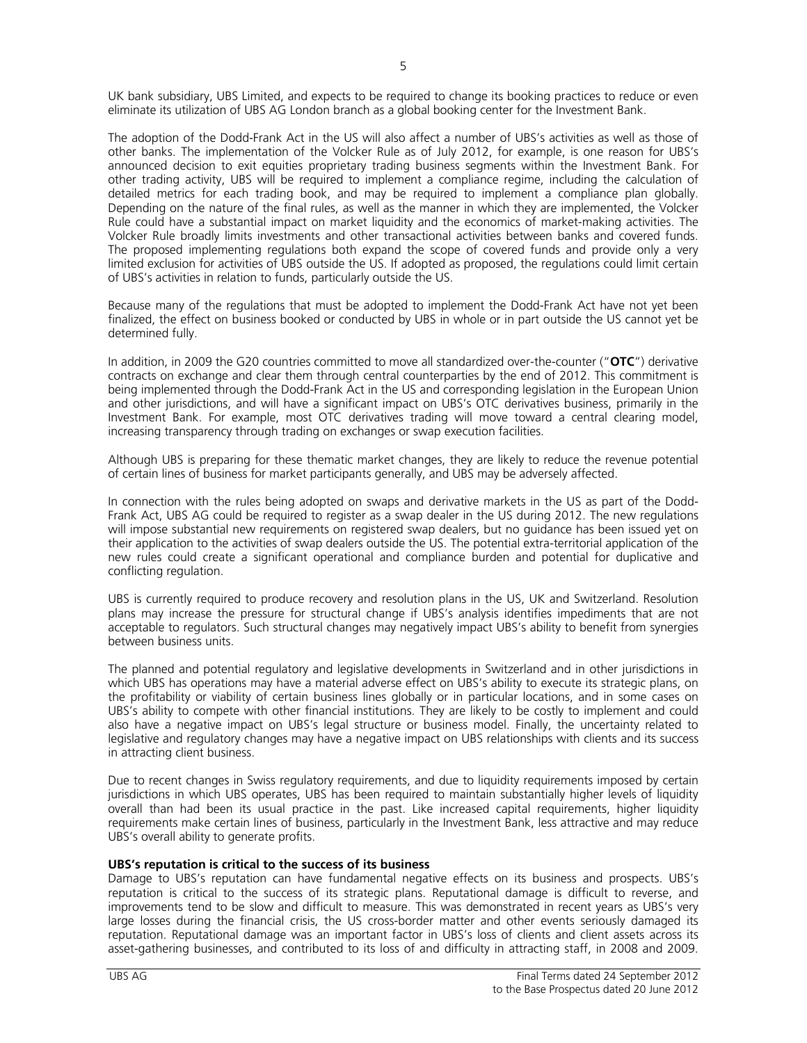UK bank subsidiary, UBS Limited, and expects to be required to change its booking practices to reduce or even eliminate its utilization of UBS AG London branch as a global booking center for the Investment Bank.

The adoption of the Dodd-Frank Act in the US will also affect a number of UBS's activities as well as those of other banks. The implementation of the Volcker Rule as of July 2012, for example, is one reason for UBS's announced decision to exit equities proprietary trading business segments within the Investment Bank. For other trading activity, UBS will be required to implement a compliance regime, including the calculation of detailed metrics for each trading book, and may be required to implement a compliance plan globally. Depending on the nature of the final rules, as well as the manner in which they are implemented, the Volcker Rule could have a substantial impact on market liquidity and the economics of market-making activities. The Volcker Rule broadly limits investments and other transactional activities between banks and covered funds. The proposed implementing regulations both expand the scope of covered funds and provide only a very limited exclusion for activities of UBS outside the US. If adopted as proposed, the regulations could limit certain of UBS's activities in relation to funds, particularly outside the US.

Because many of the regulations that must be adopted to implement the Dodd-Frank Act have not yet been finalized, the effect on business booked or conducted by UBS in whole or in part outside the US cannot yet be determined fully.

In addition, in 2009 the G20 countries committed to move all standardized over-the-counter ("**OTC**") derivative contracts on exchange and clear them through central counterparties by the end of 2012. This commitment is being implemented through the Dodd-Frank Act in the US and corresponding legislation in the European Union and other jurisdictions, and will have a significant impact on UBS's OTC derivatives business, primarily in the Investment Bank. For example, most OTC derivatives trading will move toward a central clearing model, increasing transparency through trading on exchanges or swap execution facilities.

Although UBS is preparing for these thematic market changes, they are likely to reduce the revenue potential of certain lines of business for market participants generally, and UBS may be adversely affected.

In connection with the rules being adopted on swaps and derivative markets in the US as part of the Dodd-Frank Act, UBS AG could be required to register as a swap dealer in the US during 2012. The new regulations will impose substantial new requirements on registered swap dealers, but no guidance has been issued yet on their application to the activities of swap dealers outside the US. The potential extra-territorial application of the new rules could create a significant operational and compliance burden and potential for duplicative and conflicting regulation.

UBS is currently required to produce recovery and resolution plans in the US, UK and Switzerland. Resolution plans may increase the pressure for structural change if UBS's analysis identifies impediments that are not acceptable to regulators. Such structural changes may negatively impact UBS's ability to benefit from synergies between business units.

The planned and potential regulatory and legislative developments in Switzerland and in other jurisdictions in which UBS has operations may have a material adverse effect on UBS's ability to execute its strategic plans, on the profitability or viability of certain business lines globally or in particular locations, and in some cases on UBS's ability to compete with other financial institutions. They are likely to be costly to implement and could also have a negative impact on UBS's legal structure or business model. Finally, the uncertainty related to legislative and regulatory changes may have a negative impact on UBS relationships with clients and its success in attracting client business.

Due to recent changes in Swiss regulatory requirements, and due to liquidity requirements imposed by certain jurisdictions in which UBS operates, UBS has been required to maintain substantially higher levels of liquidity overall than had been its usual practice in the past. Like increased capital requirements, higher liquidity requirements make certain lines of business, particularly in the Investment Bank, less attractive and may reduce UBS's overall ability to generate profits.

# **UBS's reputation is critical to the success of its business**

Damage to UBS's reputation can have fundamental negative effects on its business and prospects. UBS's reputation is critical to the success of its strategic plans. Reputational damage is difficult to reverse, and improvements tend to be slow and difficult to measure. This was demonstrated in recent years as UBS's very large losses during the financial crisis, the US cross-border matter and other events seriously damaged its reputation. Reputational damage was an important factor in UBS's loss of clients and client assets across its asset-gathering businesses, and contributed to its loss of and difficulty in attracting staff, in 2008 and 2009.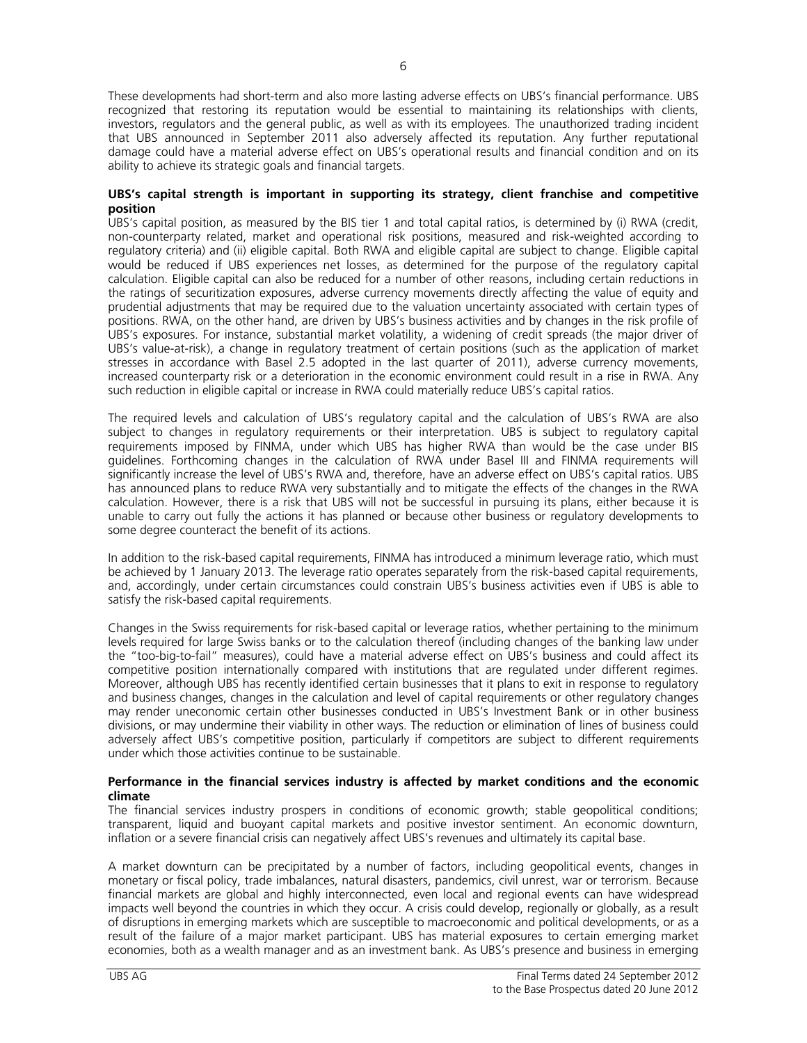These developments had short-term and also more lasting adverse effects on UBS's financial performance. UBS recognized that restoring its reputation would be essential to maintaining its relationships with clients, investors, regulators and the general public, as well as with its employees. The unauthorized trading incident that UBS announced in September 2011 also adversely affected its reputation. Any further reputational damage could have a material adverse effect on UBS's operational results and financial condition and on its ability to achieve its strategic goals and financial targets.

# **UBS's capital strength is important in supporting its strategy, client franchise and competitive position**

UBS's capital position, as measured by the BIS tier 1 and total capital ratios, is determined by (i) RWA (credit, non-counterparty related, market and operational risk positions, measured and risk-weighted according to regulatory criteria) and (ii) eligible capital. Both RWA and eligible capital are subject to change. Eligible capital would be reduced if UBS experiences net losses, as determined for the purpose of the regulatory capital calculation. Eligible capital can also be reduced for a number of other reasons, including certain reductions in the ratings of securitization exposures, adverse currency movements directly affecting the value of equity and prudential adjustments that may be required due to the valuation uncertainty associated with certain types of positions. RWA, on the other hand, are driven by UBS's business activities and by changes in the risk profile of UBS's exposures. For instance, substantial market volatility, a widening of credit spreads (the major driver of UBS's value-at-risk), a change in regulatory treatment of certain positions (such as the application of market stresses in accordance with Basel 2.5 adopted in the last quarter of 2011), adverse currency movements, increased counterparty risk or a deterioration in the economic environment could result in a rise in RWA. Any such reduction in eligible capital or increase in RWA could materially reduce UBS's capital ratios.

The required levels and calculation of UBS's regulatory capital and the calculation of UBS's RWA are also subject to changes in regulatory requirements or their interpretation. UBS is subject to regulatory capital requirements imposed by FINMA, under which UBS has higher RWA than would be the case under BIS guidelines. Forthcoming changes in the calculation of RWA under Basel III and FINMA requirements will significantly increase the level of UBS's RWA and, therefore, have an adverse effect on UBS's capital ratios. UBS has announced plans to reduce RWA very substantially and to mitigate the effects of the changes in the RWA calculation. However, there is a risk that UBS will not be successful in pursuing its plans, either because it is unable to carry out fully the actions it has planned or because other business or regulatory developments to some degree counteract the benefit of its actions.

In addition to the risk-based capital requirements, FINMA has introduced a minimum leverage ratio, which must be achieved by 1 January 2013. The leverage ratio operates separately from the risk-based capital requirements, and, accordingly, under certain circumstances could constrain UBS's business activities even if UBS is able to satisfy the risk-based capital requirements.

Changes in the Swiss requirements for risk-based capital or leverage ratios, whether pertaining to the minimum levels required for large Swiss banks or to the calculation thereof (including changes of the banking law under the "too-big-to-fail" measures), could have a material adverse effect on UBS's business and could affect its competitive position internationally compared with institutions that are regulated under different regimes. Moreover, although UBS has recently identified certain businesses that it plans to exit in response to regulatory and business changes, changes in the calculation and level of capital requirements or other regulatory changes may render uneconomic certain other businesses conducted in UBS's Investment Bank or in other business divisions, or may undermine their viability in other ways. The reduction or elimination of lines of business could adversely affect UBS's competitive position, particularly if competitors are subject to different requirements under which those activities continue to be sustainable.

# **Performance in the financial services industry is affected by market conditions and the economic climate**

The financial services industry prospers in conditions of economic growth; stable geopolitical conditions; transparent, liquid and buoyant capital markets and positive investor sentiment. An economic downturn, inflation or a severe financial crisis can negatively affect UBS's revenues and ultimately its capital base.

A market downturn can be precipitated by a number of factors, including geopolitical events, changes in monetary or fiscal policy, trade imbalances, natural disasters, pandemics, civil unrest, war or terrorism. Because financial markets are global and highly interconnected, even local and regional events can have widespread impacts well beyond the countries in which they occur. A crisis could develop, regionally or globally, as a result of disruptions in emerging markets which are susceptible to macroeconomic and political developments, or as a result of the failure of a major market participant. UBS has material exposures to certain emerging market economies, both as a wealth manager and as an investment bank. As UBS's presence and business in emerging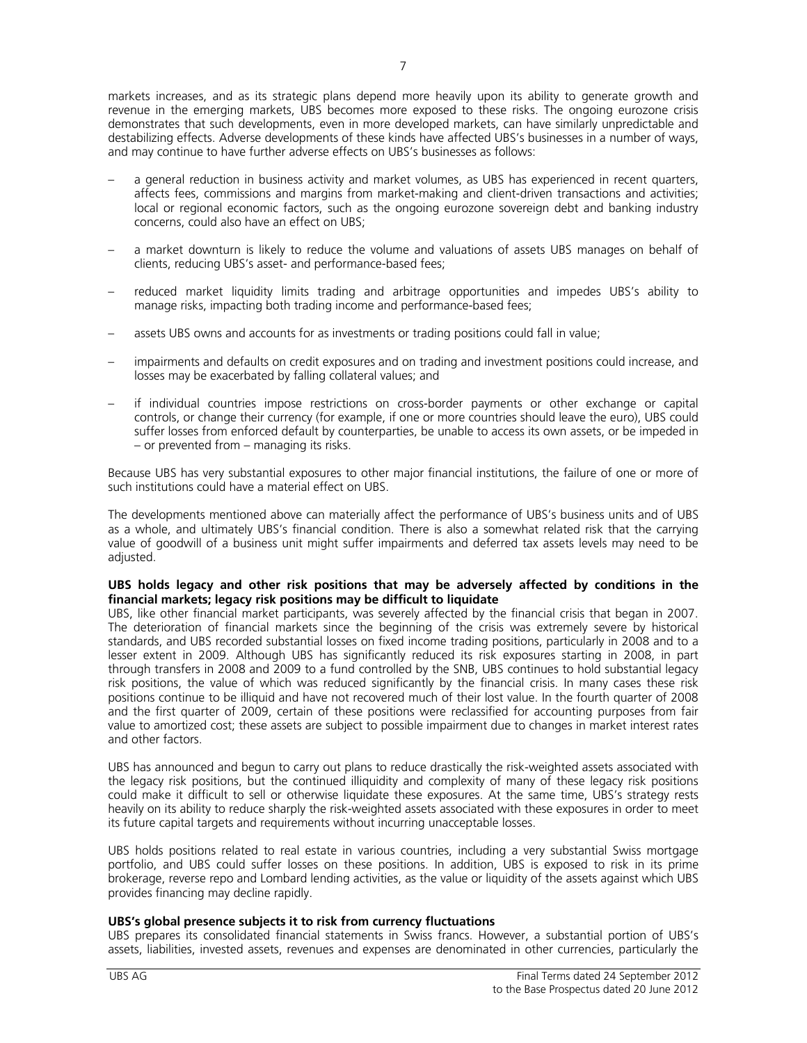markets increases, and as its strategic plans depend more heavily upon its ability to generate growth and revenue in the emerging markets, UBS becomes more exposed to these risks. The ongoing eurozone crisis demonstrates that such developments, even in more developed markets, can have similarly unpredictable and destabilizing effects. Adverse developments of these kinds have affected UBS's businesses in a number of ways, and may continue to have further adverse effects on UBS's businesses as follows:

- a general reduction in business activity and market volumes, as UBS has experienced in recent quarters, affects fees, commissions and margins from market-making and client-driven transactions and activities; local or regional economic factors, such as the ongoing eurozone sovereign debt and banking industry concerns, could also have an effect on UBS;
- a market downturn is likely to reduce the volume and valuations of assets UBS manages on behalf of clients, reducing UBS's asset- and performance-based fees;
- reduced market liquidity limits trading and arbitrage opportunities and impedes UBS's ability to manage risks, impacting both trading income and performance-based fees;
- assets UBS owns and accounts for as investments or trading positions could fall in value;
- impairments and defaults on credit exposures and on trading and investment positions could increase, and losses may be exacerbated by falling collateral values; and
- if individual countries impose restrictions on cross-border payments or other exchange or capital controls, or change their currency (for example, if one or more countries should leave the euro), UBS could suffer losses from enforced default by counterparties, be unable to access its own assets, or be impeded in – or prevented from – managing its risks.

Because UBS has very substantial exposures to other major financial institutions, the failure of one or more of such institutions could have a material effect on UBS.

The developments mentioned above can materially affect the performance of UBS's business units and of UBS as a whole, and ultimately UBS's financial condition. There is also a somewhat related risk that the carrying value of goodwill of a business unit might suffer impairments and deferred tax assets levels may need to be adjusted.

#### **UBS holds legacy and other risk positions that may be adversely affected by conditions in the financial markets; legacy risk positions may be difficult to liquidate**

UBS, like other financial market participants, was severely affected by the financial crisis that began in 2007. The deterioration of financial markets since the beginning of the crisis was extremely severe by historical standards, and UBS recorded substantial losses on fixed income trading positions, particularly in 2008 and to a lesser extent in 2009. Although UBS has significantly reduced its risk exposures starting in 2008, in part through transfers in 2008 and 2009 to a fund controlled by the SNB, UBS continues to hold substantial legacy risk positions, the value of which was reduced significantly by the financial crisis. In many cases these risk positions continue to be illiquid and have not recovered much of their lost value. In the fourth quarter of 2008 and the first quarter of 2009, certain of these positions were reclassified for accounting purposes from fair value to amortized cost; these assets are subject to possible impairment due to changes in market interest rates and other factors.

UBS has announced and begun to carry out plans to reduce drastically the risk-weighted assets associated with the legacy risk positions, but the continued illiquidity and complexity of many of these legacy risk positions could make it difficult to sell or otherwise liquidate these exposures. At the same time, UBS's strategy rests heavily on its ability to reduce sharply the risk-weighted assets associated with these exposures in order to meet its future capital targets and requirements without incurring unacceptable losses.

UBS holds positions related to real estate in various countries, including a very substantial Swiss mortgage portfolio, and UBS could suffer losses on these positions. In addition, UBS is exposed to risk in its prime brokerage, reverse repo and Lombard lending activities, as the value or liquidity of the assets against which UBS provides financing may decline rapidly.

# **UBS's global presence subjects it to risk from currency fluctuations**

UBS prepares its consolidated financial statements in Swiss francs. However, a substantial portion of UBS's assets, liabilities, invested assets, revenues and expenses are denominated in other currencies, particularly the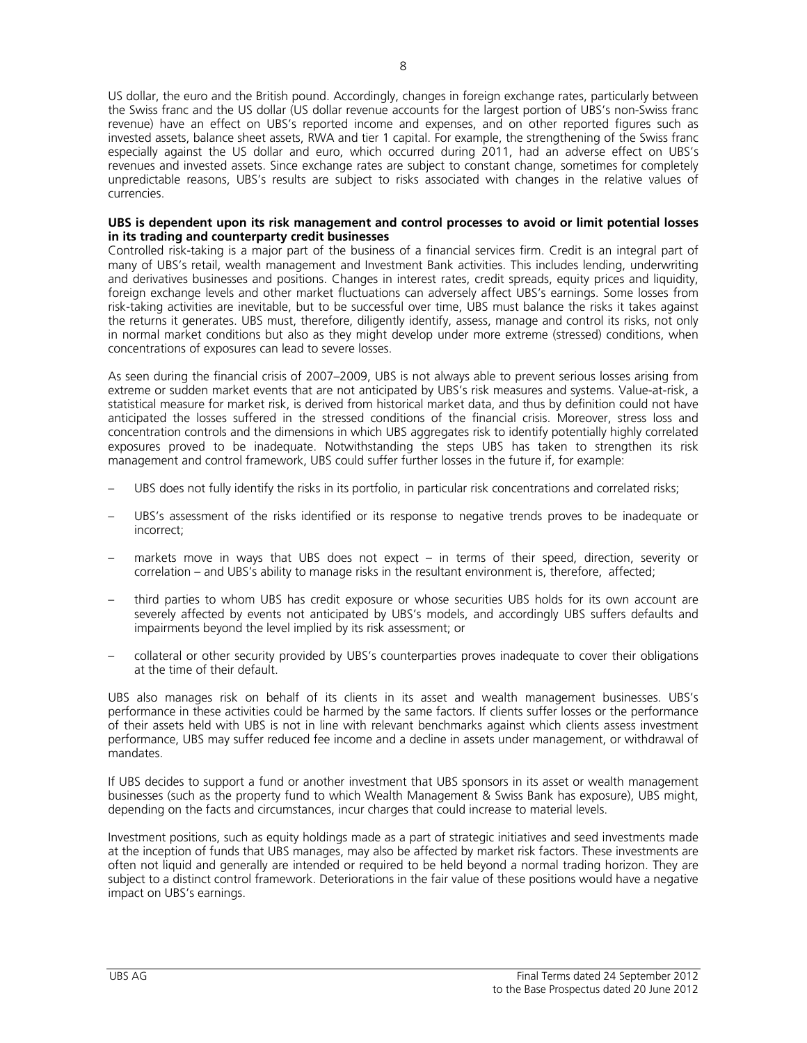US dollar, the euro and the British pound. Accordingly, changes in foreign exchange rates, particularly between the Swiss franc and the US dollar (US dollar revenue accounts for the largest portion of UBS's non-Swiss franc revenue) have an effect on UBS's reported income and expenses, and on other reported figures such as invested assets, balance sheet assets, RWA and tier 1 capital. For example, the strengthening of the Swiss franc especially against the US dollar and euro, which occurred during 2011, had an adverse effect on UBS's revenues and invested assets. Since exchange rates are subject to constant change, sometimes for completely unpredictable reasons, UBS's results are subject to risks associated with changes in the relative values of currencies.

#### **UBS is dependent upon its risk management and control processes to avoid or limit potential losses in its trading and counterparty credit businesses**

Controlled risk-taking is a major part of the business of a financial services firm. Credit is an integral part of many of UBS's retail, wealth management and Investment Bank activities. This includes lending, underwriting and derivatives businesses and positions. Changes in interest rates, credit spreads, equity prices and liquidity, foreign exchange levels and other market fluctuations can adversely affect UBS's earnings. Some losses from risk-taking activities are inevitable, but to be successful over time, UBS must balance the risks it takes against the returns it generates. UBS must, therefore, diligently identify, assess, manage and control its risks, not only in normal market conditions but also as they might develop under more extreme (stressed) conditions, when concentrations of exposures can lead to severe losses.

As seen during the financial crisis of 2007–2009, UBS is not always able to prevent serious losses arising from extreme or sudden market events that are not anticipated by UBS's risk measures and systems. Value-at-risk, a statistical measure for market risk, is derived from historical market data, and thus by definition could not have anticipated the losses suffered in the stressed conditions of the financial crisis. Moreover, stress loss and concentration controls and the dimensions in which UBS aggregates risk to identify potentially highly correlated exposures proved to be inadequate. Notwithstanding the steps UBS has taken to strengthen its risk management and control framework, UBS could suffer further losses in the future if, for example:

- UBS does not fully identify the risks in its portfolio, in particular risk concentrations and correlated risks;
- UBS's assessment of the risks identified or its response to negative trends proves to be inadequate or incorrect;
- markets move in ways that UBS does not expect in terms of their speed, direction, severity or correlation – and UBS's ability to manage risks in the resultant environment is, therefore, affected;
- third parties to whom UBS has credit exposure or whose securities UBS holds for its own account are severely affected by events not anticipated by UBS's models, and accordingly UBS suffers defaults and impairments beyond the level implied by its risk assessment; or
- collateral or other security provided by UBS's counterparties proves inadequate to cover their obligations at the time of their default.

UBS also manages risk on behalf of its clients in its asset and wealth management businesses. UBS's performance in these activities could be harmed by the same factors. If clients suffer losses or the performance of their assets held with UBS is not in line with relevant benchmarks against which clients assess investment performance, UBS may suffer reduced fee income and a decline in assets under management, or withdrawal of mandates.

If UBS decides to support a fund or another investment that UBS sponsors in its asset or wealth management businesses (such as the property fund to which Wealth Management & Swiss Bank has exposure), UBS might, depending on the facts and circumstances, incur charges that could increase to material levels.

Investment positions, such as equity holdings made as a part of strategic initiatives and seed investments made at the inception of funds that UBS manages, may also be affected by market risk factors. These investments are often not liquid and generally are intended or required to be held beyond a normal trading horizon. They are subject to a distinct control framework. Deteriorations in the fair value of these positions would have a negative impact on UBS's earnings.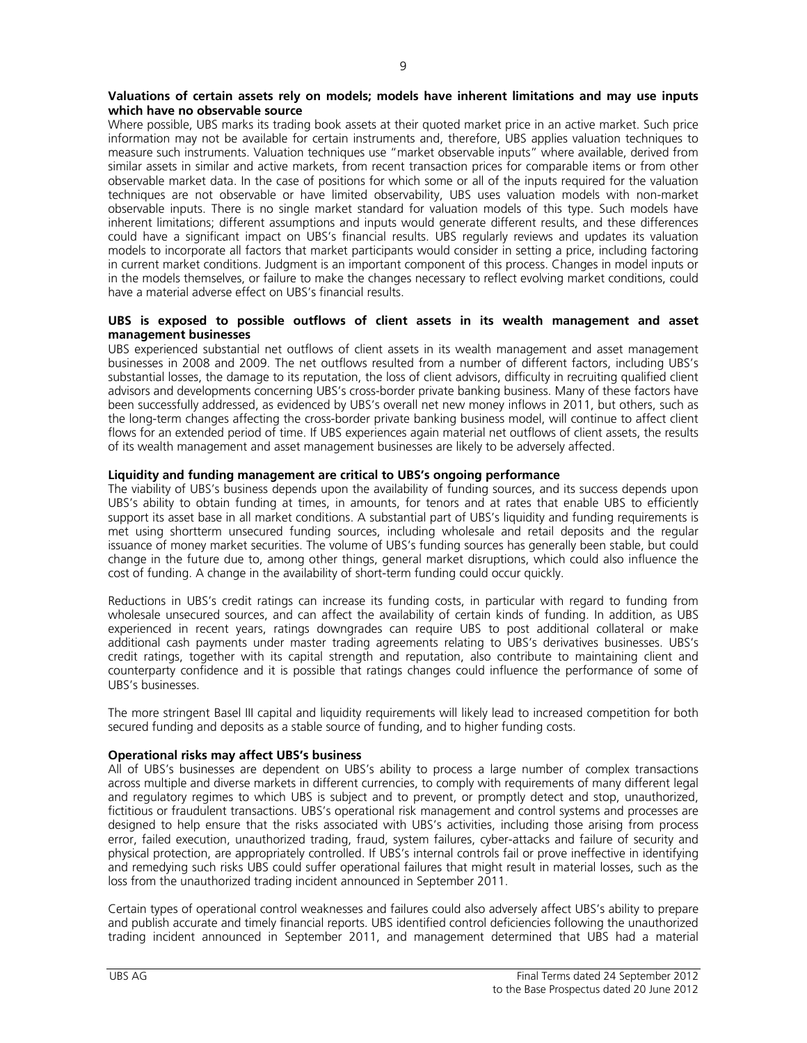#### **Valuations of certain assets rely on models; models have inherent limitations and may use inputs which have no observable source**

Where possible, UBS marks its trading book assets at their quoted market price in an active market. Such price information may not be available for certain instruments and, therefore, UBS applies valuation techniques to measure such instruments. Valuation techniques use "market observable inputs" where available, derived from similar assets in similar and active markets, from recent transaction prices for comparable items or from other observable market data. In the case of positions for which some or all of the inputs required for the valuation techniques are not observable or have limited observability, UBS uses valuation models with non-market observable inputs. There is no single market standard for valuation models of this type. Such models have inherent limitations; different assumptions and inputs would generate different results, and these differences could have a significant impact on UBS's financial results. UBS regularly reviews and updates its valuation models to incorporate all factors that market participants would consider in setting a price, including factoring in current market conditions. Judgment is an important component of this process. Changes in model inputs or in the models themselves, or failure to make the changes necessary to reflect evolving market conditions, could have a material adverse effect on UBS's financial results.

#### **UBS is exposed to possible outflows of client assets in its wealth management and asset management businesses**

UBS experienced substantial net outflows of client assets in its wealth management and asset management businesses in 2008 and 2009. The net outflows resulted from a number of different factors, including UBS's substantial losses, the damage to its reputation, the loss of client advisors, difficulty in recruiting qualified client advisors and developments concerning UBS's cross-border private banking business. Many of these factors have been successfully addressed, as evidenced by UBS's overall net new money inflows in 2011, but others, such as the long-term changes affecting the cross-border private banking business model, will continue to affect client flows for an extended period of time. If UBS experiences again material net outflows of client assets, the results of its wealth management and asset management businesses are likely to be adversely affected.

# **Liquidity and funding management are critical to UBS's ongoing performance**

The viability of UBS's business depends upon the availability of funding sources, and its success depends upon UBS's ability to obtain funding at times, in amounts, for tenors and at rates that enable UBS to efficiently support its asset base in all market conditions. A substantial part of UBS's liquidity and funding requirements is met using shortterm unsecured funding sources, including wholesale and retail deposits and the regular issuance of money market securities. The volume of UBS's funding sources has generally been stable, but could change in the future due to, among other things, general market disruptions, which could also influence the cost of funding. A change in the availability of short-term funding could occur quickly.

Reductions in UBS's credit ratings can increase its funding costs, in particular with regard to funding from wholesale unsecured sources, and can affect the availability of certain kinds of funding. In addition, as UBS experienced in recent years, ratings downgrades can require UBS to post additional collateral or make additional cash payments under master trading agreements relating to UBS's derivatives businesses. UBS's credit ratings, together with its capital strength and reputation, also contribute to maintaining client and counterparty confidence and it is possible that ratings changes could influence the performance of some of UBS's businesses.

The more stringent Basel III capital and liquidity requirements will likely lead to increased competition for both secured funding and deposits as a stable source of funding, and to higher funding costs.

# **Operational risks may affect UBS's business**

All of UBS's businesses are dependent on UBS's ability to process a large number of complex transactions across multiple and diverse markets in different currencies, to comply with requirements of many different legal and regulatory regimes to which UBS is subject and to prevent, or promptly detect and stop, unauthorized, fictitious or fraudulent transactions. UBS's operational risk management and control systems and processes are designed to help ensure that the risks associated with UBS's activities, including those arising from process error, failed execution, unauthorized trading, fraud, system failures, cyber-attacks and failure of security and physical protection, are appropriately controlled. If UBS's internal controls fail or prove ineffective in identifying and remedying such risks UBS could suffer operational failures that might result in material losses, such as the loss from the unauthorized trading incident announced in September 2011.

Certain types of operational control weaknesses and failures could also adversely affect UBS's ability to prepare and publish accurate and timely financial reports. UBS identified control deficiencies following the unauthorized trading incident announced in September 2011, and management determined that UBS had a material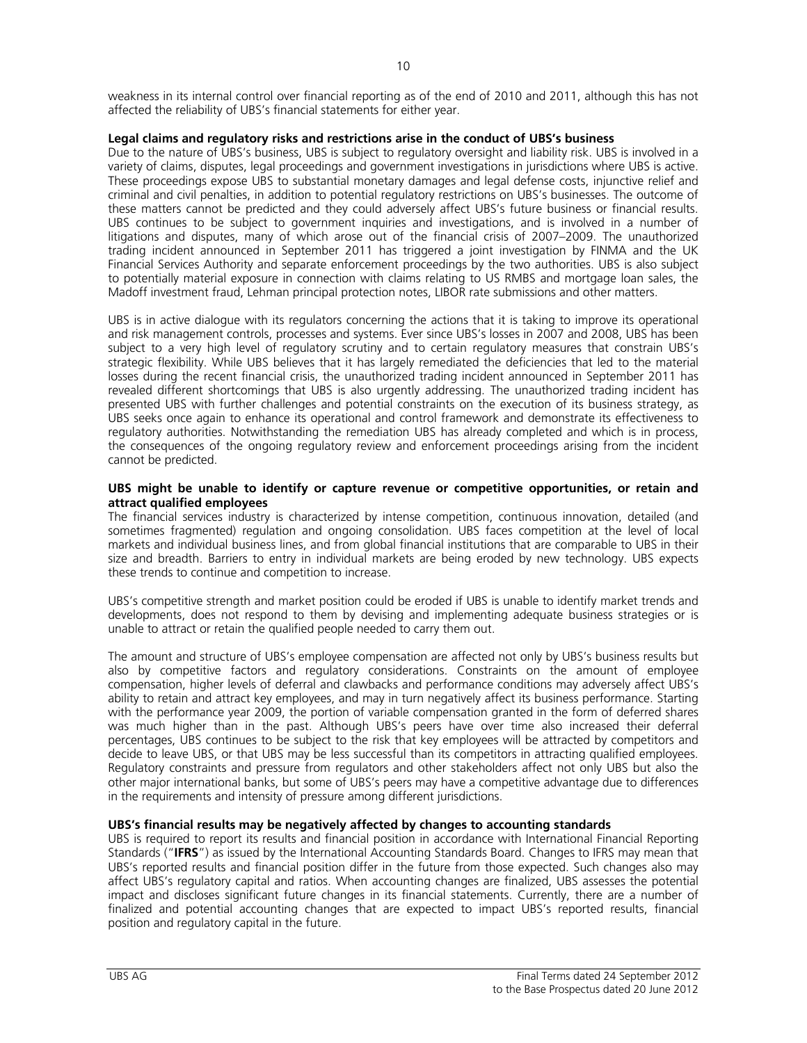weakness in its internal control over financial reporting as of the end of 2010 and 2011, although this has not affected the reliability of UBS's financial statements for either year.

# **Legal claims and regulatory risks and restrictions arise in the conduct of UBS's business**

Due to the nature of UBS's business, UBS is subject to regulatory oversight and liability risk. UBS is involved in a variety of claims, disputes, legal proceedings and government investigations in jurisdictions where UBS is active. These proceedings expose UBS to substantial monetary damages and legal defense costs, injunctive relief and criminal and civil penalties, in addition to potential regulatory restrictions on UBS's businesses. The outcome of these matters cannot be predicted and they could adversely affect UBS's future business or financial results. UBS continues to be subject to government inquiries and investigations, and is involved in a number of litigations and disputes, many of which arose out of the financial crisis of 2007–2009. The unauthorized trading incident announced in September 2011 has triggered a joint investigation by FINMA and the UK Financial Services Authority and separate enforcement proceedings by the two authorities. UBS is also subject to potentially material exposure in connection with claims relating to US RMBS and mortgage loan sales, the Madoff investment fraud, Lehman principal protection notes, LIBOR rate submissions and other matters.

UBS is in active dialogue with its regulators concerning the actions that it is taking to improve its operational and risk management controls, processes and systems. Ever since UBS's losses in 2007 and 2008, UBS has been subject to a very high level of regulatory scrutiny and to certain regulatory measures that constrain UBS's strategic flexibility. While UBS believes that it has largely remediated the deficiencies that led to the material losses during the recent financial crisis, the unauthorized trading incident announced in September 2011 has revealed different shortcomings that UBS is also urgently addressing. The unauthorized trading incident has presented UBS with further challenges and potential constraints on the execution of its business strategy, as UBS seeks once again to enhance its operational and control framework and demonstrate its effectiveness to regulatory authorities. Notwithstanding the remediation UBS has already completed and which is in process, the consequences of the ongoing regulatory review and enforcement proceedings arising from the incident cannot be predicted.

### **UBS might be unable to identify or capture revenue or competitive opportunities, or retain and attract qualified employees**

The financial services industry is characterized by intense competition, continuous innovation, detailed (and sometimes fragmented) regulation and ongoing consolidation. UBS faces competition at the level of local markets and individual business lines, and from global financial institutions that are comparable to UBS in their size and breadth. Barriers to entry in individual markets are being eroded by new technology. UBS expects these trends to continue and competition to increase.

UBS's competitive strength and market position could be eroded if UBS is unable to identify market trends and developments, does not respond to them by devising and implementing adequate business strategies or is unable to attract or retain the qualified people needed to carry them out.

The amount and structure of UBS's employee compensation are affected not only by UBS's business results but also by competitive factors and regulatory considerations. Constraints on the amount of employee compensation, higher levels of deferral and clawbacks and performance conditions may adversely affect UBS's ability to retain and attract key employees, and may in turn negatively affect its business performance. Starting with the performance year 2009, the portion of variable compensation granted in the form of deferred shares was much higher than in the past. Although UBS's peers have over time also increased their deferral percentages, UBS continues to be subject to the risk that key employees will be attracted by competitors and decide to leave UBS, or that UBS may be less successful than its competitors in attracting qualified employees. Regulatory constraints and pressure from regulators and other stakeholders affect not only UBS but also the other major international banks, but some of UBS's peers may have a competitive advantage due to differences in the requirements and intensity of pressure among different jurisdictions.

# **UBS's financial results may be negatively affected by changes to accounting standards**

UBS is required to report its results and financial position in accordance with International Financial Reporting Standards ("**IFRS**") as issued by the International Accounting Standards Board. Changes to IFRS may mean that UBS's reported results and financial position differ in the future from those expected. Such changes also may affect UBS's regulatory capital and ratios. When accounting changes are finalized, UBS assesses the potential impact and discloses significant future changes in its financial statements. Currently, there are a number of finalized and potential accounting changes that are expected to impact UBS's reported results, financial position and regulatory capital in the future.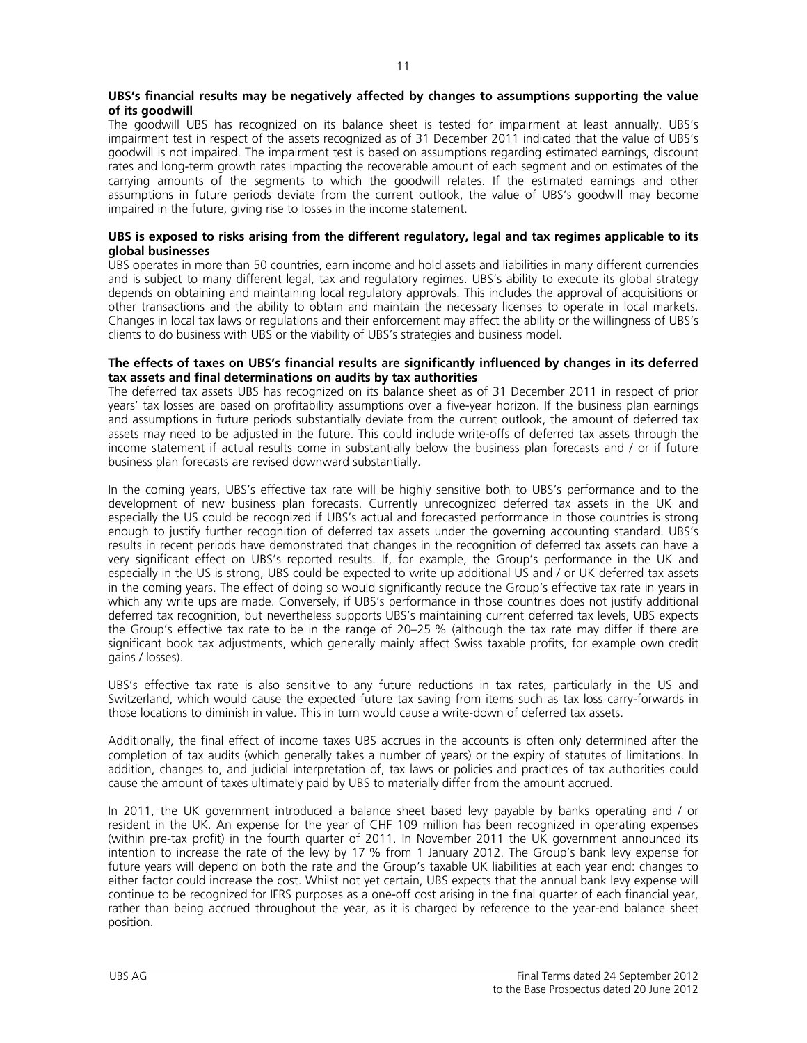### **UBS's financial results may be negatively affected by changes to assumptions supporting the value of its goodwill**

The goodwill UBS has recognized on its balance sheet is tested for impairment at least annually. UBS's impairment test in respect of the assets recognized as of 31 December 2011 indicated that the value of UBS's goodwill is not impaired. The impairment test is based on assumptions regarding estimated earnings, discount rates and long-term growth rates impacting the recoverable amount of each segment and on estimates of the carrying amounts of the segments to which the goodwill relates. If the estimated earnings and other assumptions in future periods deviate from the current outlook, the value of UBS's goodwill may become impaired in the future, giving rise to losses in the income statement.

# **UBS is exposed to risks arising from the different regulatory, legal and tax regimes applicable to its global businesses**

UBS operates in more than 50 countries, earn income and hold assets and liabilities in many different currencies and is subject to many different legal, tax and regulatory regimes. UBS's ability to execute its global strategy depends on obtaining and maintaining local regulatory approvals. This includes the approval of acquisitions or other transactions and the ability to obtain and maintain the necessary licenses to operate in local markets. Changes in local tax laws or regulations and their enforcement may affect the ability or the willingness of UBS's clients to do business with UBS or the viability of UBS's strategies and business model.

### **The effects of taxes on UBS's financial results are significantly influenced by changes in its deferred tax assets and final determinations on audits by tax authorities**

The deferred tax assets UBS has recognized on its balance sheet as of 31 December 2011 in respect of prior years' tax losses are based on profitability assumptions over a five-year horizon. If the business plan earnings and assumptions in future periods substantially deviate from the current outlook, the amount of deferred tax assets may need to be adjusted in the future. This could include write-offs of deferred tax assets through the income statement if actual results come in substantially below the business plan forecasts and / or if future business plan forecasts are revised downward substantially.

In the coming years, UBS's effective tax rate will be highly sensitive both to UBS's performance and to the development of new business plan forecasts. Currently unrecognized deferred tax assets in the UK and especially the US could be recognized if UBS's actual and forecasted performance in those countries is strong enough to justify further recognition of deferred tax assets under the governing accounting standard. UBS's results in recent periods have demonstrated that changes in the recognition of deferred tax assets can have a very significant effect on UBS's reported results. If, for example, the Group's performance in the UK and especially in the US is strong, UBS could be expected to write up additional US and / or UK deferred tax assets in the coming years. The effect of doing so would significantly reduce the Group's effective tax rate in years in which any write ups are made. Conversely, if UBS's performance in those countries does not justify additional deferred tax recognition, but nevertheless supports UBS's maintaining current deferred tax levels, UBS expects the Group's effective tax rate to be in the range of 20–25 % (although the tax rate may differ if there are significant book tax adjustments, which generally mainly affect Swiss taxable profits, for example own credit gains / losses).

UBS's effective tax rate is also sensitive to any future reductions in tax rates, particularly in the US and Switzerland, which would cause the expected future tax saving from items such as tax loss carry-forwards in those locations to diminish in value. This in turn would cause a write-down of deferred tax assets.

Additionally, the final effect of income taxes UBS accrues in the accounts is often only determined after the completion of tax audits (which generally takes a number of years) or the expiry of statutes of limitations. In addition, changes to, and judicial interpretation of, tax laws or policies and practices of tax authorities could cause the amount of taxes ultimately paid by UBS to materially differ from the amount accrued.

In 2011, the UK government introduced a balance sheet based levy payable by banks operating and / or resident in the UK. An expense for the year of CHF 109 million has been recognized in operating expenses (within pre-tax profit) in the fourth quarter of 2011. In November 2011 the UK government announced its intention to increase the rate of the levy by 17 % from 1 January 2012. The Group's bank levy expense for future years will depend on both the rate and the Group's taxable UK liabilities at each year end: changes to either factor could increase the cost. Whilst not yet certain, UBS expects that the annual bank levy expense will continue to be recognized for IFRS purposes as a one-off cost arising in the final quarter of each financial year, rather than being accrued throughout the year, as it is charged by reference to the year-end balance sheet position.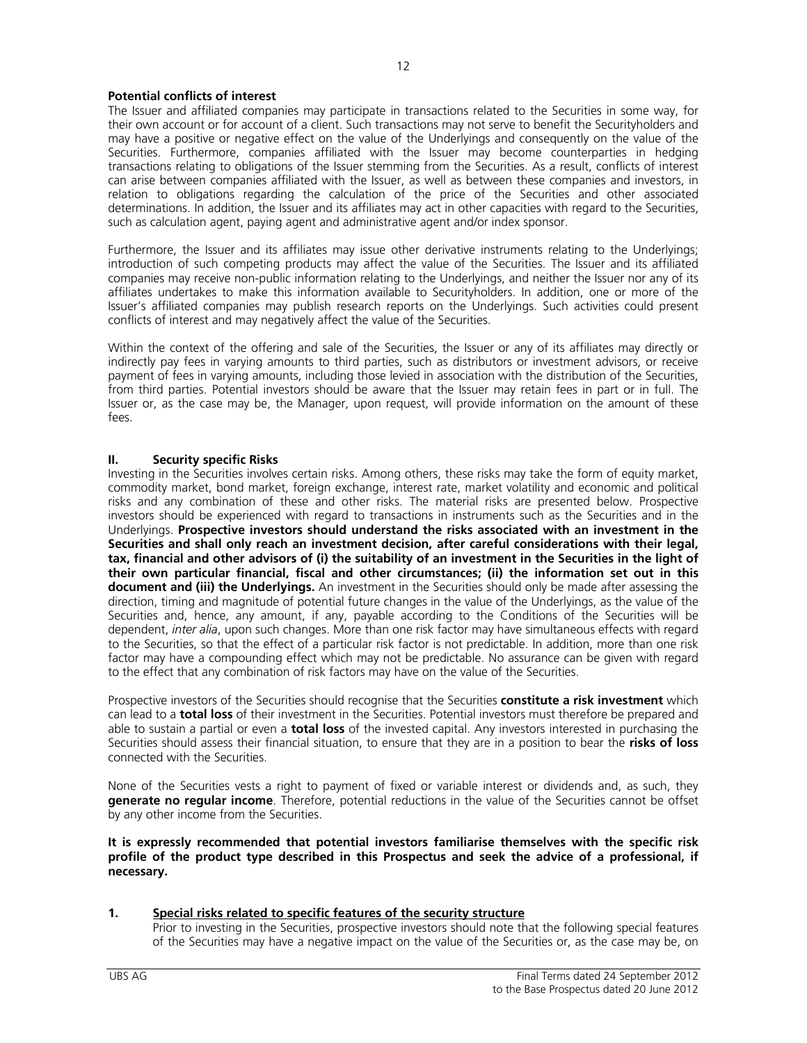# **Potential conflicts of interest**

The Issuer and affiliated companies may participate in transactions related to the Securities in some way, for their own account or for account of a client. Such transactions may not serve to benefit the Securityholders and may have a positive or negative effect on the value of the Underlyings and consequently on the value of the Securities. Furthermore, companies affiliated with the Issuer may become counterparties in hedging transactions relating to obligations of the Issuer stemming from the Securities. As a result, conflicts of interest can arise between companies affiliated with the Issuer, as well as between these companies and investors, in relation to obligations regarding the calculation of the price of the Securities and other associated determinations. In addition, the Issuer and its affiliates may act in other capacities with regard to the Securities, such as calculation agent, paying agent and administrative agent and/or index sponsor.

Furthermore, the Issuer and its affiliates may issue other derivative instruments relating to the Underlyings; introduction of such competing products may affect the value of the Securities. The Issuer and its affiliated companies may receive non-public information relating to the Underlyings, and neither the Issuer nor any of its affiliates undertakes to make this information available to Securityholders. In addition, one or more of the Issuer's affiliated companies may publish research reports on the Underlyings. Such activities could present conflicts of interest and may negatively affect the value of the Securities.

Within the context of the offering and sale of the Securities, the Issuer or any of its affiliates may directly or indirectly pay fees in varying amounts to third parties, such as distributors or investment advisors, or receive payment of fees in varying amounts, including those levied in association with the distribution of the Securities, from third parties. Potential investors should be aware that the Issuer may retain fees in part or in full. The Issuer or, as the case may be, the Manager, upon request, will provide information on the amount of these fees.

# **II. Security specific Risks**

Investing in the Securities involves certain risks. Among others, these risks may take the form of equity market, commodity market, bond market, foreign exchange, interest rate, market volatility and economic and political risks and any combination of these and other risks. The material risks are presented below. Prospective investors should be experienced with regard to transactions in instruments such as the Securities and in the Underlyings. **Prospective investors should understand the risks associated with an investment in the Securities and shall only reach an investment decision, after careful considerations with their legal, tax, financial and other advisors of (i) the suitability of an investment in the Securities in the light of their own particular financial, fiscal and other circumstances; (ii) the information set out in this document and (iii) the Underlyings.** An investment in the Securities should only be made after assessing the direction, timing and magnitude of potential future changes in the value of the Underlyings, as the value of the Securities and, hence, any amount, if any, payable according to the Conditions of the Securities will be dependent, *inter alia*, upon such changes. More than one risk factor may have simultaneous effects with regard to the Securities, so that the effect of a particular risk factor is not predictable. In addition, more than one risk factor may have a compounding effect which may not be predictable. No assurance can be given with regard to the effect that any combination of risk factors may have on the value of the Securities.

Prospective investors of the Securities should recognise that the Securities **constitute a risk investment** which can lead to a **total loss** of their investment in the Securities. Potential investors must therefore be prepared and able to sustain a partial or even a **total loss** of the invested capital. Any investors interested in purchasing the Securities should assess their financial situation, to ensure that they are in a position to bear the **risks of loss** connected with the Securities.

None of the Securities vests a right to payment of fixed or variable interest or dividends and, as such, they **generate no regular income**. Therefore, potential reductions in the value of the Securities cannot be offset by any other income from the Securities.

**It is expressly recommended that potential investors familiarise themselves with the specific risk profile of the product type described in this Prospectus and seek the advice of a professional, if necessary.** 

# **1. Special risks related to specific features of the security structure**

Prior to investing in the Securities, prospective investors should note that the following special features of the Securities may have a negative impact on the value of the Securities or, as the case may be, on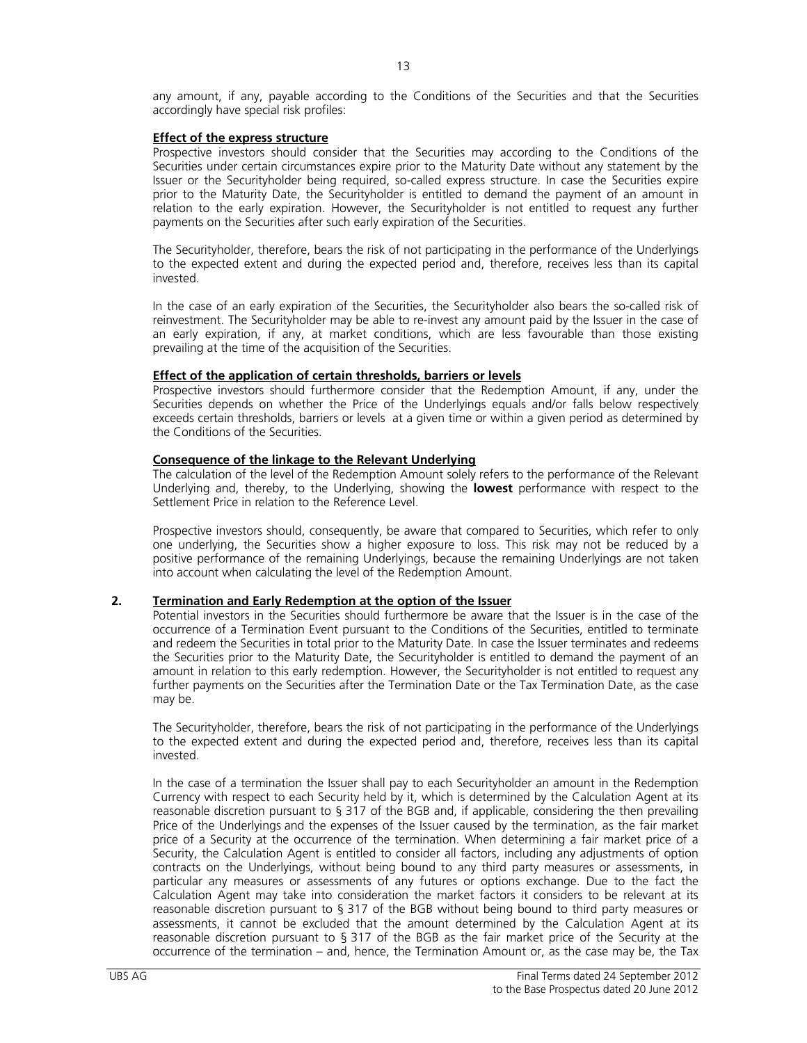any amount, if any, payable according to the Conditions of the Securities and that the Securities accordingly have special risk profiles:

#### **Effect of the express structure**

Prospective investors should consider that the Securities may according to the Conditions of the Securities under certain circumstances expire prior to the Maturity Date without any statement by the Issuer or the Securityholder being required, so-called express structure. In case the Securities expire prior to the Maturity Date, the Securityholder is entitled to demand the payment of an amount in relation to the early expiration. However, the Securityholder is not entitled to request any further payments on the Securities after such early expiration of the Securities.

The Securityholder, therefore, bears the risk of not participating in the performance of the Underlyings to the expected extent and during the expected period and, therefore, receives less than its capital invested.

In the case of an early expiration of the Securities, the Securityholder also bears the so-called risk of reinvestment. The Securityholder may be able to re-invest any amount paid by the Issuer in the case of an early expiration, if any, at market conditions, which are less favourable than those existing prevailing at the time of the acquisition of the Securities.

### **Effect of the application of certain thresholds, barriers or levels**

 Prospective investors should furthermore consider that the Redemption Amount, if any, under the Securities depends on whether the Price of the Underlyings equals and/or falls below respectively exceeds certain thresholds, barriers or levels at a given time or within a given period as determined by the Conditions of the Securities.

#### **Consequence of the linkage to the Relevant Underlying**

The calculation of the level of the Redemption Amount solely refers to the performance of the Relevant Underlying and, thereby, to the Underlying, showing the **lowest** performance with respect to the Settlement Price in relation to the Reference Level.

Prospective investors should, consequently, be aware that compared to Securities, which refer to only one underlying, the Securities show a higher exposure to loss. This risk may not be reduced by a positive performance of the remaining Underlyings, because the remaining Underlyings are not taken into account when calculating the level of the Redemption Amount.

# **2. Termination and Early Redemption at the option of the Issuer**

Potential investors in the Securities should furthermore be aware that the Issuer is in the case of the occurrence of a Termination Event pursuant to the Conditions of the Securities, entitled to terminate and redeem the Securities in total prior to the Maturity Date. In case the Issuer terminates and redeems the Securities prior to the Maturity Date, the Securityholder is entitled to demand the payment of an amount in relation to this early redemption. However, the Securityholder is not entitled to request any further payments on the Securities after the Termination Date or the Tax Termination Date, as the case may be.

The Securityholder, therefore, bears the risk of not participating in the performance of the Underlyings to the expected extent and during the expected period and, therefore, receives less than its capital invested.

In the case of a termination the Issuer shall pay to each Securityholder an amount in the Redemption Currency with respect to each Security held by it, which is determined by the Calculation Agent at its reasonable discretion pursuant to § 317 of the BGB and, if applicable, considering the then prevailing Price of the Underlyings and the expenses of the Issuer caused by the termination, as the fair market price of a Security at the occurrence of the termination. When determining a fair market price of a Security, the Calculation Agent is entitled to consider all factors, including any adjustments of option contracts on the Underlyings, without being bound to any third party measures or assessments, in particular any measures or assessments of any futures or options exchange. Due to the fact the Calculation Agent may take into consideration the market factors it considers to be relevant at its reasonable discretion pursuant to § 317 of the BGB without being bound to third party measures or assessments, it cannot be excluded that the amount determined by the Calculation Agent at its reasonable discretion pursuant to § 317 of the BGB as the fair market price of the Security at the occurrence of the termination – and, hence, the Termination Amount or, as the case may be, the Tax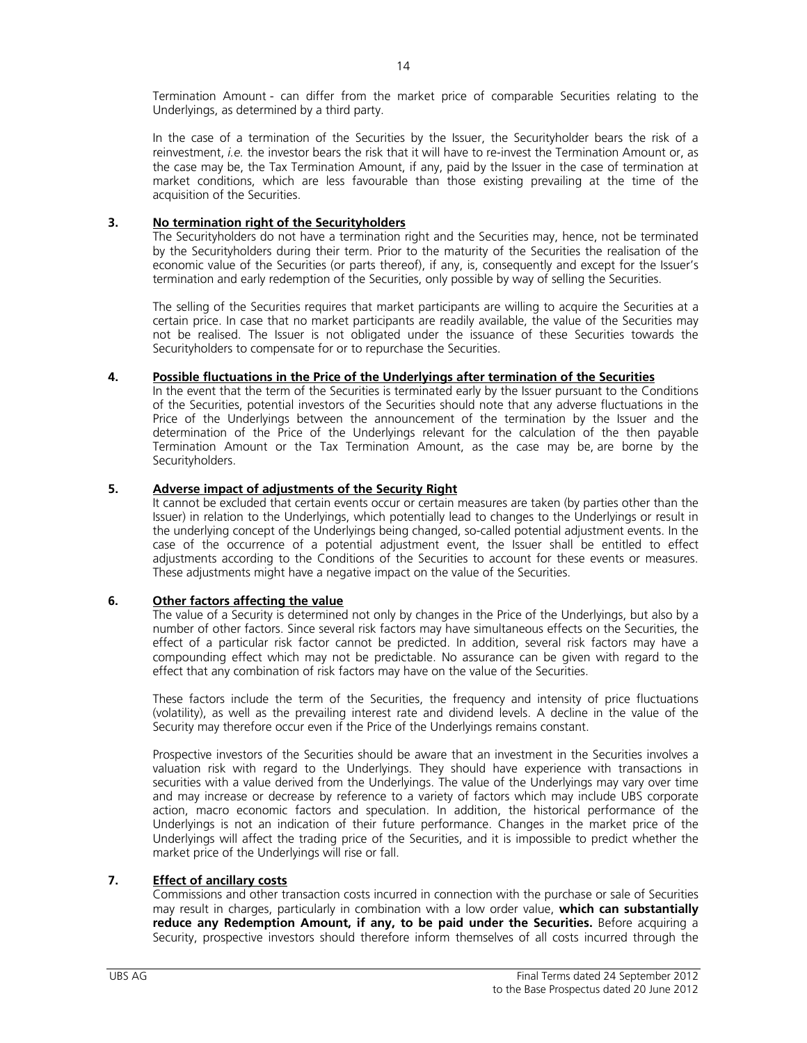Termination Amount - can differ from the market price of comparable Securities relating to the Underlyings, as determined by a third party.

In the case of a termination of the Securities by the Issuer, the Securityholder bears the risk of a reinvestment, *i.e.* the investor bears the risk that it will have to re-invest the Termination Amount or, as the case may be, the Tax Termination Amount, if any, paid by the Issuer in the case of termination at market conditions, which are less favourable than those existing prevailing at the time of the acquisition of the Securities.

# **3. No termination right of the Securityholders**

The Securityholders do not have a termination right and the Securities may, hence, not be terminated by the Securityholders during their term. Prior to the maturity of the Securities the realisation of the economic value of the Securities (or parts thereof), if any, is, consequently and except for the Issuer's termination and early redemption of the Securities, only possible by way of selling the Securities.

The selling of the Securities requires that market participants are willing to acquire the Securities at a certain price. In case that no market participants are readily available, the value of the Securities may not be realised. The Issuer is not obligated under the issuance of these Securities towards the Securityholders to compensate for or to repurchase the Securities.

# **4. Possible fluctuations in the Price of the Underlyings after termination of the Securities**

In the event that the term of the Securities is terminated early by the Issuer pursuant to the Conditions of the Securities, potential investors of the Securities should note that any adverse fluctuations in the Price of the Underlyings between the announcement of the termination by the Issuer and the determination of the Price of the Underlyings relevant for the calculation of the then payable Termination Amount or the Tax Termination Amount, as the case may be, are borne by the Securityholders.

# **5. Adverse impact of adjustments of the Security Right**

It cannot be excluded that certain events occur or certain measures are taken (by parties other than the Issuer) in relation to the Underlyings, which potentially lead to changes to the Underlyings or result in the underlying concept of the Underlyings being changed, so-called potential adjustment events. In the case of the occurrence of a potential adjustment event, the Issuer shall be entitled to effect adjustments according to the Conditions of the Securities to account for these events or measures. These adjustments might have a negative impact on the value of the Securities.

# **6. Other factors affecting the value**

The value of a Security is determined not only by changes in the Price of the Underlyings, but also by a number of other factors. Since several risk factors may have simultaneous effects on the Securities, the effect of a particular risk factor cannot be predicted. In addition, several risk factors may have a compounding effect which may not be predictable. No assurance can be given with regard to the effect that any combination of risk factors may have on the value of the Securities.

These factors include the term of the Securities, the frequency and intensity of price fluctuations (volatility), as well as the prevailing interest rate and dividend levels. A decline in the value of the Security may therefore occur even if the Price of the Underlyings remains constant.

Prospective investors of the Securities should be aware that an investment in the Securities involves a valuation risk with regard to the Underlyings. They should have experience with transactions in securities with a value derived from the Underlyings. The value of the Underlyings may vary over time and may increase or decrease by reference to a variety of factors which may include UBS corporate action, macro economic factors and speculation. In addition, the historical performance of the Underlyings is not an indication of their future performance. Changes in the market price of the Underlyings will affect the trading price of the Securities, and it is impossible to predict whether the market price of the Underlyings will rise or fall.

# **7. Effect of ancillary costs**

Commissions and other transaction costs incurred in connection with the purchase or sale of Securities may result in charges, particularly in combination with a low order value, **which can substantially reduce any Redemption Amount, if any, to be paid under the Securities.** Before acquiring a Security, prospective investors should therefore inform themselves of all costs incurred through the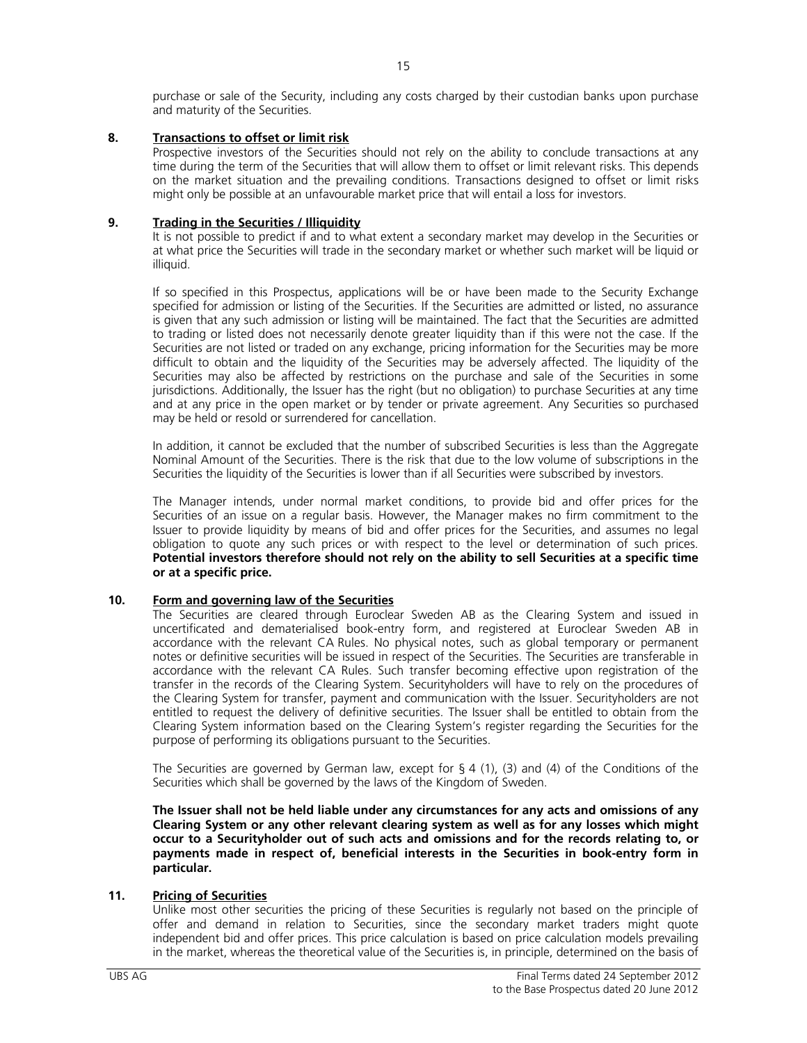purchase or sale of the Security, including any costs charged by their custodian banks upon purchase and maturity of the Securities.

# **8. Transactions to offset or limit risk**

Prospective investors of the Securities should not rely on the ability to conclude transactions at any time during the term of the Securities that will allow them to offset or limit relevant risks. This depends on the market situation and the prevailing conditions. Transactions designed to offset or limit risks might only be possible at an unfavourable market price that will entail a loss for investors.

# **9. Trading in the Securities / Illiquidity**

It is not possible to predict if and to what extent a secondary market may develop in the Securities or at what price the Securities will trade in the secondary market or whether such market will be liquid or illiquid.

If so specified in this Prospectus, applications will be or have been made to the Security Exchange specified for admission or listing of the Securities. If the Securities are admitted or listed, no assurance is given that any such admission or listing will be maintained. The fact that the Securities are admitted to trading or listed does not necessarily denote greater liquidity than if this were not the case. If the Securities are not listed or traded on any exchange, pricing information for the Securities may be more difficult to obtain and the liquidity of the Securities may be adversely affected. The liquidity of the Securities may also be affected by restrictions on the purchase and sale of the Securities in some jurisdictions. Additionally, the Issuer has the right (but no obligation) to purchase Securities at any time and at any price in the open market or by tender or private agreement. Any Securities so purchased may be held or resold or surrendered for cancellation.

In addition, it cannot be excluded that the number of subscribed Securities is less than the Aggregate Nominal Amount of the Securities. There is the risk that due to the low volume of subscriptions in the Securities the liquidity of the Securities is lower than if all Securities were subscribed by investors.

The Manager intends, under normal market conditions, to provide bid and offer prices for the Securities of an issue on a regular basis. However, the Manager makes no firm commitment to the Issuer to provide liquidity by means of bid and offer prices for the Securities, and assumes no legal obligation to quote any such prices or with respect to the level or determination of such prices. **Potential investors therefore should not rely on the ability to sell Securities at a specific time or at a specific price.**

# **10. Form and governing law of the Securities**

The Securities are cleared through Euroclear Sweden AB as the Clearing System and issued in uncertificated and dematerialised book-entry form, and registered at Euroclear Sweden AB in accordance with the relevant CA Rules. No physical notes, such as global temporary or permanent notes or definitive securities will be issued in respect of the Securities. The Securities are transferable in accordance with the relevant CA Rules. Such transfer becoming effective upon registration of the transfer in the records of the Clearing System. Securityholders will have to rely on the procedures of the Clearing System for transfer, payment and communication with the Issuer. Securityholders are not entitled to request the delivery of definitive securities. The Issuer shall be entitled to obtain from the Clearing System information based on the Clearing System's register regarding the Securities for the purpose of performing its obligations pursuant to the Securities.

The Securities are governed by German law, except for  $\S 4$  (1), (3) and (4) of the Conditions of the Securities which shall be governed by the laws of the Kingdom of Sweden.

**The Issuer shall not be held liable under any circumstances for any acts and omissions of any Clearing System or any other relevant clearing system as well as for any losses which might occur to a Securityholder out of such acts and omissions and for the records relating to, or payments made in respect of, beneficial interests in the Securities in book-entry form in particular.** 

# **11. Pricing of Securities**

Unlike most other securities the pricing of these Securities is regularly not based on the principle of offer and demand in relation to Securities, since the secondary market traders might quote independent bid and offer prices. This price calculation is based on price calculation models prevailing in the market, whereas the theoretical value of the Securities is, in principle, determined on the basis of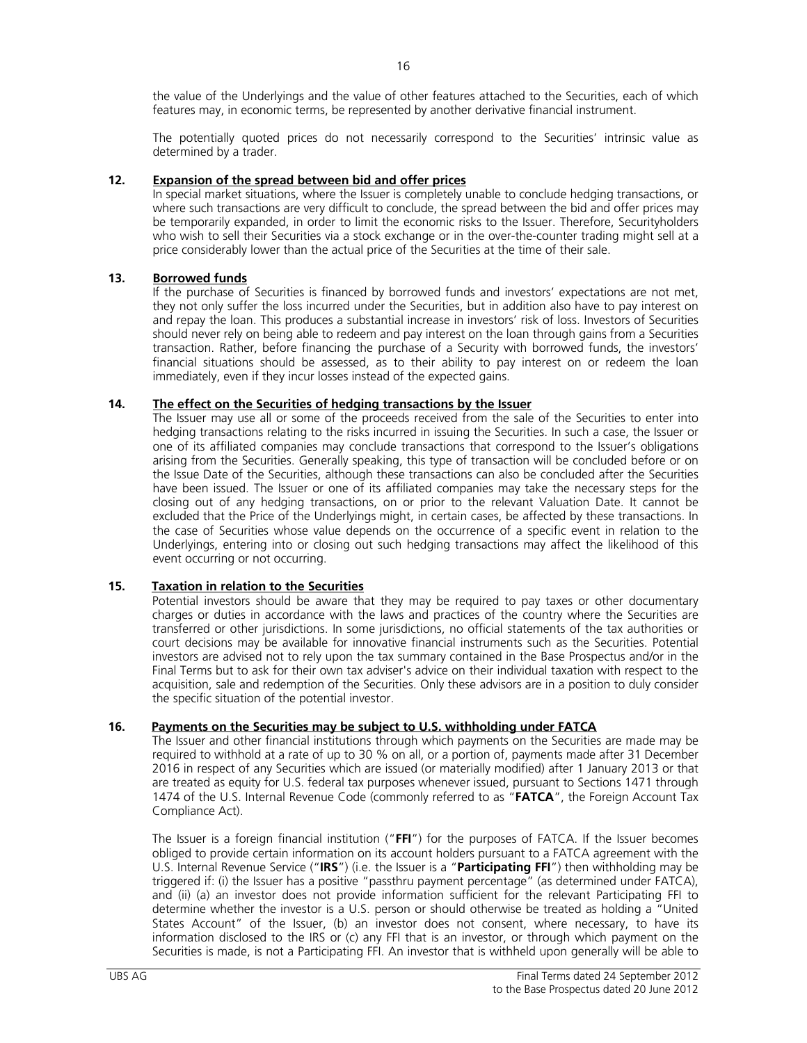the value of the Underlyings and the value of other features attached to the Securities, each of which features may, in economic terms, be represented by another derivative financial instrument.

The potentially quoted prices do not necessarily correspond to the Securities' intrinsic value as determined by a trader.

# **12. Expansion of the spread between bid and offer prices**

In special market situations, where the Issuer is completely unable to conclude hedging transactions, or where such transactions are very difficult to conclude, the spread between the bid and offer prices may be temporarily expanded, in order to limit the economic risks to the Issuer. Therefore, Securityholders who wish to sell their Securities via a stock exchange or in the over-the-counter trading might sell at a price considerably lower than the actual price of the Securities at the time of their sale.

# **13. Borrowed funds**

If the purchase of Securities is financed by borrowed funds and investors' expectations are not met, they not only suffer the loss incurred under the Securities, but in addition also have to pay interest on and repay the loan. This produces a substantial increase in investors' risk of loss. Investors of Securities should never rely on being able to redeem and pay interest on the loan through gains from a Securities transaction. Rather, before financing the purchase of a Security with borrowed funds, the investors' financial situations should be assessed, as to their ability to pay interest on or redeem the loan immediately, even if they incur losses instead of the expected gains.

# **14. The effect on the Securities of hedging transactions by the Issuer**

The Issuer may use all or some of the proceeds received from the sale of the Securities to enter into hedging transactions relating to the risks incurred in issuing the Securities. In such a case, the Issuer or one of its affiliated companies may conclude transactions that correspond to the Issuer's obligations arising from the Securities. Generally speaking, this type of transaction will be concluded before or on the Issue Date of the Securities, although these transactions can also be concluded after the Securities have been issued. The Issuer or one of its affiliated companies may take the necessary steps for the closing out of any hedging transactions, on or prior to the relevant Valuation Date. It cannot be excluded that the Price of the Underlyings might, in certain cases, be affected by these transactions. In the case of Securities whose value depends on the occurrence of a specific event in relation to the Underlyings, entering into or closing out such hedging transactions may affect the likelihood of this event occurring or not occurring.

# **15. Taxation in relation to the Securities**

Potential investors should be aware that they may be required to pay taxes or other documentary charges or duties in accordance with the laws and practices of the country where the Securities are transferred or other jurisdictions. In some jurisdictions, no official statements of the tax authorities or court decisions may be available for innovative financial instruments such as the Securities. Potential investors are advised not to rely upon the tax summary contained in the Base Prospectus and/or in the Final Terms but to ask for their own tax adviser's advice on their individual taxation with respect to the acquisition, sale and redemption of the Securities. Only these advisors are in a position to duly consider the specific situation of the potential investor.

# **16. Payments on the Securities may be subject to U.S. withholding under FATCA**

The Issuer and other financial institutions through which payments on the Securities are made may be required to withhold at a rate of up to 30 % on all, or a portion of, payments made after 31 December 2016 in respect of any Securities which are issued (or materially modified) after 1 January 2013 or that are treated as equity for U.S. federal tax purposes whenever issued, pursuant to Sections 1471 through 1474 of the U.S. Internal Revenue Code (commonly referred to as "**FATCA**", the Foreign Account Tax Compliance Act).

The Issuer is a foreign financial institution ("**FFI**") for the purposes of FATCA. If the Issuer becomes obliged to provide certain information on its account holders pursuant to a FATCA agreement with the U.S. Internal Revenue Service ("**IRS**") (i.e. the Issuer is a "**Participating FFI**") then withholding may be triggered if: (i) the Issuer has a positive "passthru payment percentage" (as determined under FATCA), and (ii) (a) an investor does not provide information sufficient for the relevant Participating FFI to determine whether the investor is a U.S. person or should otherwise be treated as holding a "United States Account" of the Issuer, (b) an investor does not consent, where necessary, to have its information disclosed to the IRS or (c) any FFI that is an investor, or through which payment on the Securities is made, is not a Participating FFI. An investor that is withheld upon generally will be able to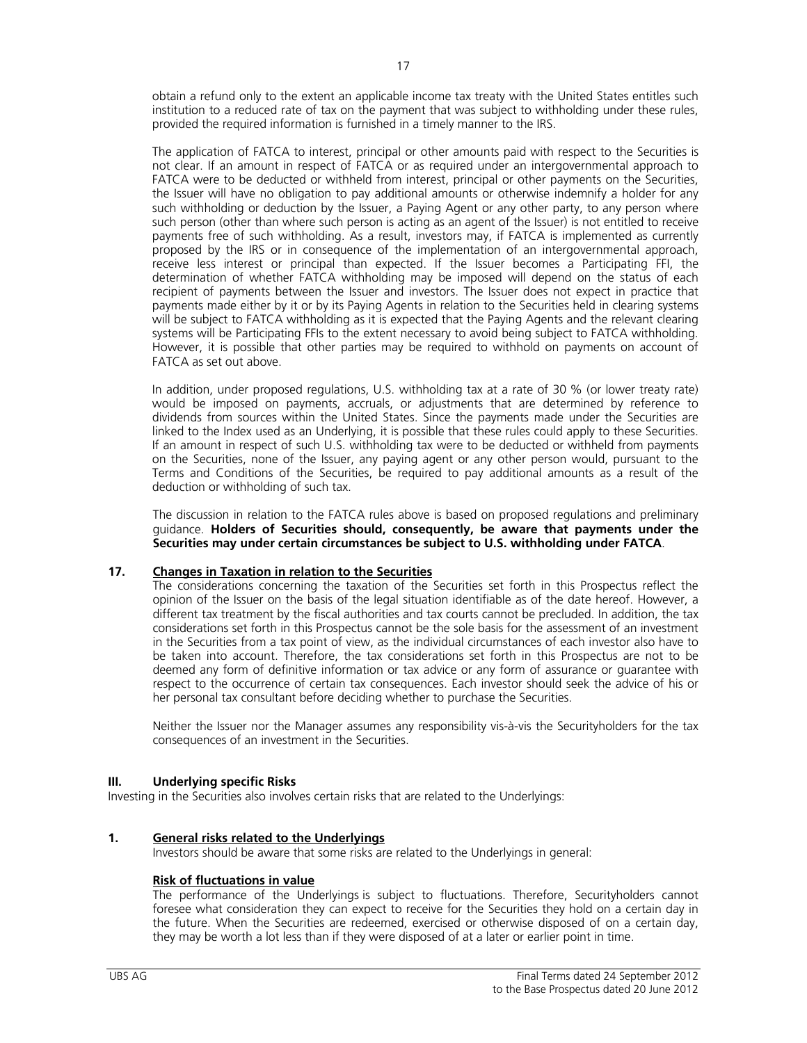obtain a refund only to the extent an applicable income tax treaty with the United States entitles such institution to a reduced rate of tax on the payment that was subject to withholding under these rules, provided the required information is furnished in a timely manner to the IRS.

The application of FATCA to interest, principal or other amounts paid with respect to the Securities is not clear. If an amount in respect of FATCA or as required under an intergovernmental approach to FATCA were to be deducted or withheld from interest, principal or other payments on the Securities, the Issuer will have no obligation to pay additional amounts or otherwise indemnify a holder for any such withholding or deduction by the Issuer, a Paying Agent or any other party, to any person where such person (other than where such person is acting as an agent of the Issuer) is not entitled to receive payments free of such withholding. As a result, investors may, if FATCA is implemented as currently proposed by the IRS or in consequence of the implementation of an intergovernmental approach, receive less interest or principal than expected. If the Issuer becomes a Participating FFI, the determination of whether FATCA withholding may be imposed will depend on the status of each recipient of payments between the Issuer and investors. The Issuer does not expect in practice that payments made either by it or by its Paying Agents in relation to the Securities held in clearing systems will be subject to FATCA withholding as it is expected that the Paying Agents and the relevant clearing systems will be Participating FFIs to the extent necessary to avoid being subject to FATCA withholding. However, it is possible that other parties may be required to withhold on payments on account of FATCA as set out above.

In addition, under proposed regulations, U.S. withholding tax at a rate of 30 % (or lower treaty rate) would be imposed on payments, accruals, or adjustments that are determined by reference to dividends from sources within the United States. Since the payments made under the Securities are linked to the Index used as an Underlying, it is possible that these rules could apply to these Securities. If an amount in respect of such U.S. withholding tax were to be deducted or withheld from payments on the Securities, none of the Issuer, any paying agent or any other person would, pursuant to the Terms and Conditions of the Securities, be required to pay additional amounts as a result of the deduction or withholding of such tax.

The discussion in relation to the FATCA rules above is based on proposed regulations and preliminary guidance. **Holders of Securities should, consequently, be aware that payments under the Securities may under certain circumstances be subject to U.S. withholding under FATCA**.

# **17. Changes in Taxation in relation to the Securities**

The considerations concerning the taxation of the Securities set forth in this Prospectus reflect the opinion of the Issuer on the basis of the legal situation identifiable as of the date hereof. However, a different tax treatment by the fiscal authorities and tax courts cannot be precluded. In addition, the tax considerations set forth in this Prospectus cannot be the sole basis for the assessment of an investment in the Securities from a tax point of view, as the individual circumstances of each investor also have to be taken into account. Therefore, the tax considerations set forth in this Prospectus are not to be deemed any form of definitive information or tax advice or any form of assurance or guarantee with respect to the occurrence of certain tax consequences. Each investor should seek the advice of his or her personal tax consultant before deciding whether to purchase the Securities.

Neither the Issuer nor the Manager assumes any responsibility vis-à-vis the Securityholders for the tax consequences of an investment in the Securities.

#### **III. Underlying specific Risks**

Investing in the Securities also involves certain risks that are related to the Underlyings:

# **1. General risks related to the Underlyings**

Investors should be aware that some risks are related to the Underlyings in general:

# **Risk of fluctuations in value**

The performance of the Underlyings is subject to fluctuations. Therefore, Securityholders cannot foresee what consideration they can expect to receive for the Securities they hold on a certain day in the future. When the Securities are redeemed, exercised or otherwise disposed of on a certain day, they may be worth a lot less than if they were disposed of at a later or earlier point in time.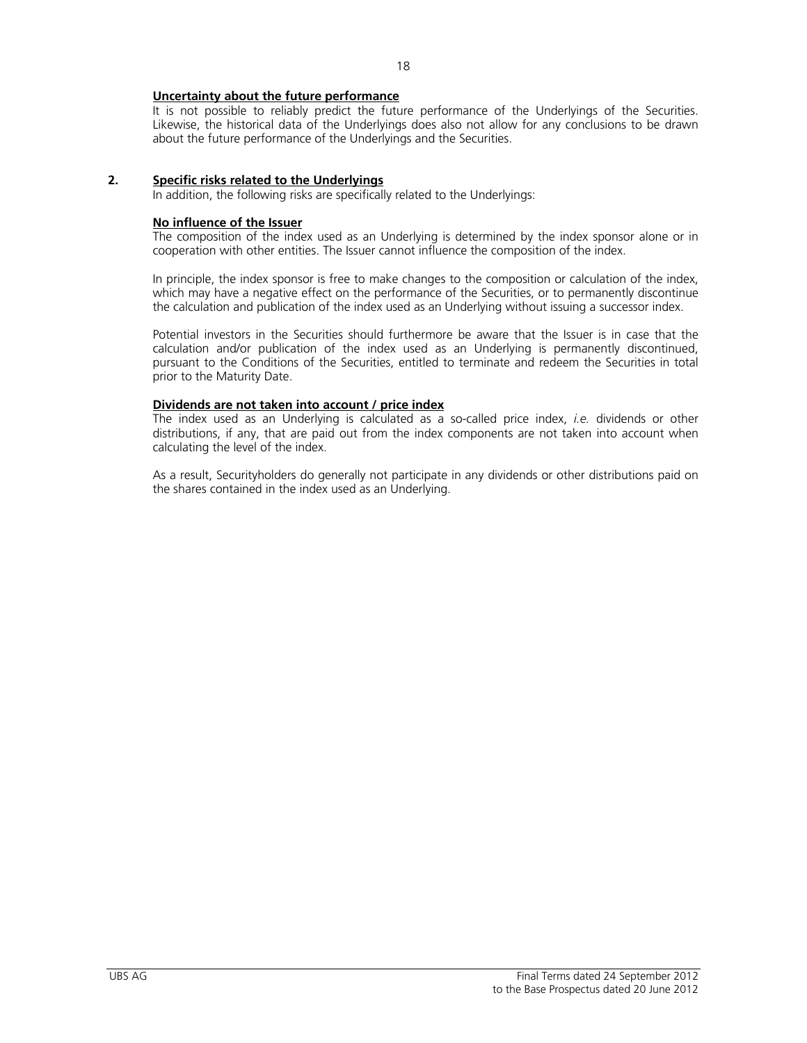# **Uncertainty about the future performance**

It is not possible to reliably predict the future performance of the Underlyings of the Securities. Likewise, the historical data of the Underlyings does also not allow for any conclusions to be drawn about the future performance of the Underlyings and the Securities.

# **2. Specific risks related to the Underlyings**

In addition, the following risks are specifically related to the Underlyings:

#### **No influence of the Issuer**

The composition of the index used as an Underlying is determined by the index sponsor alone or in cooperation with other entities. The Issuer cannot influence the composition of the index.

In principle, the index sponsor is free to make changes to the composition or calculation of the index, which may have a negative effect on the performance of the Securities, or to permanently discontinue the calculation and publication of the index used as an Underlying without issuing a successor index.

Potential investors in the Securities should furthermore be aware that the Issuer is in case that the calculation and/or publication of the index used as an Underlying is permanently discontinued, pursuant to the Conditions of the Securities, entitled to terminate and redeem the Securities in total prior to the Maturity Date.

### **Dividends are not taken into account / price index**

The index used as an Underlying is calculated as a so-called price index, *i.e.* dividends or other distributions, if any, that are paid out from the index components are not taken into account when calculating the level of the index.

As a result, Securityholders do generally not participate in any dividends or other distributions paid on the shares contained in the index used as an Underlying.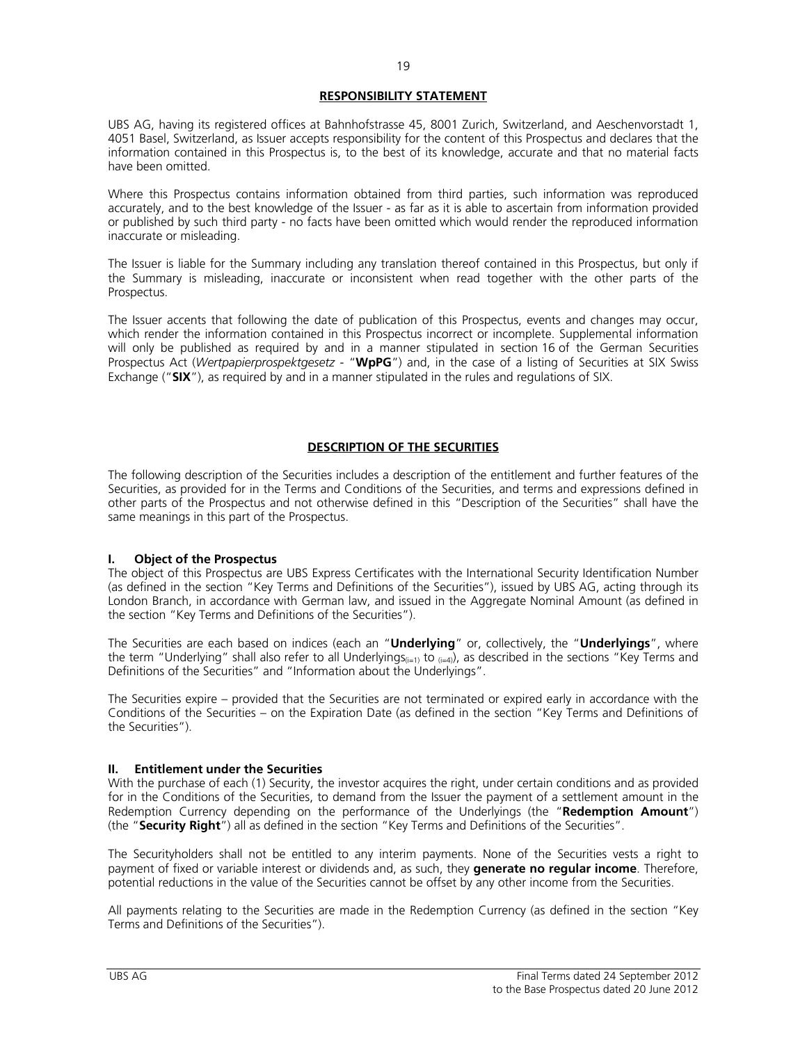# **RESPONSIBILITY STATEMENT**

UBS AG, having its registered offices at Bahnhofstrasse 45, 8001 Zurich, Switzerland, and Aeschenvorstadt 1, 4051 Basel, Switzerland, as Issuer accepts responsibility for the content of this Prospectus and declares that the information contained in this Prospectus is, to the best of its knowledge, accurate and that no material facts have been omitted.

Where this Prospectus contains information obtained from third parties, such information was reproduced accurately, and to the best knowledge of the Issuer - as far as it is able to ascertain from information provided or published by such third party - no facts have been omitted which would render the reproduced information inaccurate or misleading.

The Issuer is liable for the Summary including any translation thereof contained in this Prospectus, but only if the Summary is misleading, inaccurate or inconsistent when read together with the other parts of the Prospectus.

The Issuer accents that following the date of publication of this Prospectus, events and changes may occur, which render the information contained in this Prospectus incorrect or incomplete. Supplemental information will only be published as required by and in a manner stipulated in section 16 of the German Securities Prospectus Act (*Wertpapierprospektgesetz* - "**WpPG**") and, in the case of a listing of Securities at SIX Swiss Exchange ("**SIX**"), as required by and in a manner stipulated in the rules and regulations of SIX.

# **DESCRIPTION OF THE SECURITIES**

The following description of the Securities includes a description of the entitlement and further features of the Securities, as provided for in the Terms and Conditions of the Securities, and terms and expressions defined in other parts of the Prospectus and not otherwise defined in this "Description of the Securities" shall have the same meanings in this part of the Prospectus.

#### **I. Object of the Prospectus**

The object of this Prospectus are UBS Express Certificates with the International Security Identification Number (as defined in the section "Key Terms and Definitions of the Securities"), issued by UBS AG, acting through its London Branch, in accordance with German law, and issued in the Aggregate Nominal Amount (as defined in the section "Key Terms and Definitions of the Securities").

The Securities are each based on indices (each an "**Underlying**" or, collectively, the "**Underlyings**", where the term "Underlying" shall also refer to all Underlyings<sub>(i=1)</sub> to  $_{(i=4)}$ ), as described in the sections "Key Terms and Definitions of the Securities" and "Information about the Underlyings".

The Securities expire – provided that the Securities are not terminated or expired early in accordance with the Conditions of the Securities – on the Expiration Date (as defined in the section "Key Terms and Definitions of the Securities").

# **II. Entitlement under the Securities**

With the purchase of each (1) Security, the investor acquires the right, under certain conditions and as provided for in the Conditions of the Securities, to demand from the Issuer the payment of a settlement amount in the Redemption Currency depending on the performance of the Underlyings (the "**Redemption Amount**") (the "**Security Right**") all as defined in the section "Key Terms and Definitions of the Securities".

The Securityholders shall not be entitled to any interim payments. None of the Securities vests a right to payment of fixed or variable interest or dividends and, as such, they **generate no regular income**. Therefore, potential reductions in the value of the Securities cannot be offset by any other income from the Securities.

All payments relating to the Securities are made in the Redemption Currency (as defined in the section "Key Terms and Definitions of the Securities").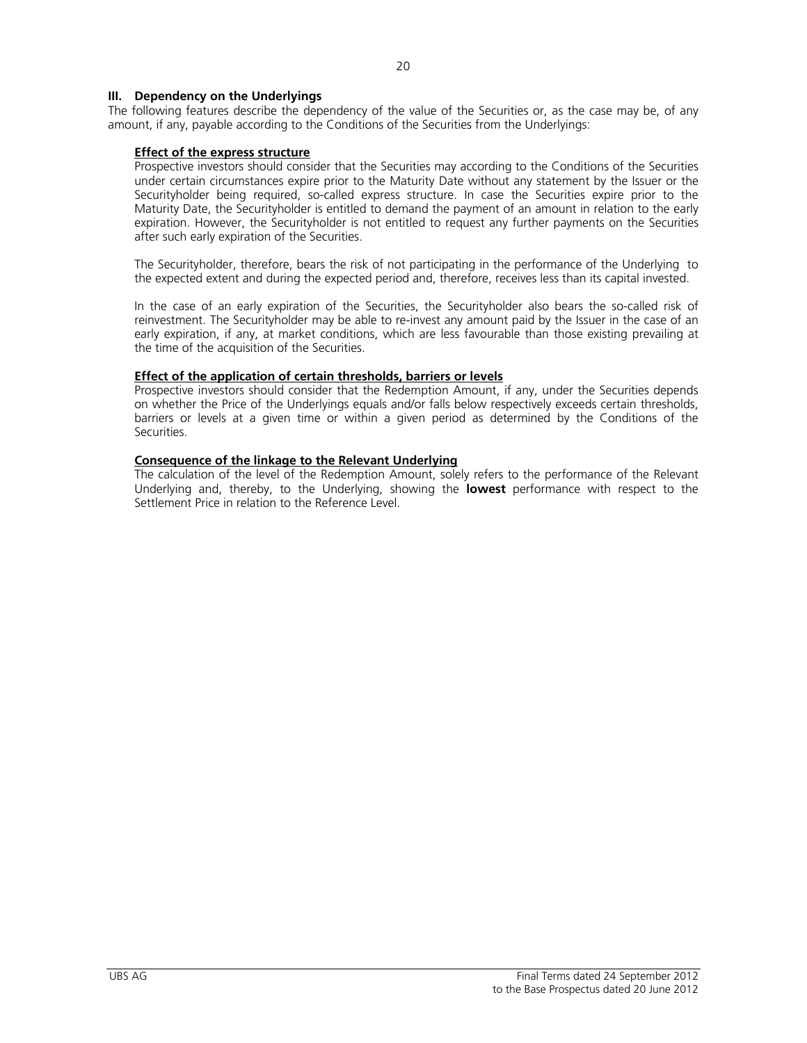# **III. Dependency on the Underlyings**

The following features describe the dependency of the value of the Securities or, as the case may be, of any amount, if any, payable according to the Conditions of the Securities from the Underlyings:

### **Effect of the express structure**

 Prospective investors should consider that the Securities may according to the Conditions of the Securities under certain circumstances expire prior to the Maturity Date without any statement by the Issuer or the Securityholder being required, so-called express structure. In case the Securities expire prior to the Maturity Date, the Securityholder is entitled to demand the payment of an amount in relation to the early expiration. However, the Securityholder is not entitled to request any further payments on the Securities after such early expiration of the Securities.

The Securityholder, therefore, bears the risk of not participating in the performance of the Underlyingto the expected extent and during the expected period and, therefore, receives less than its capital invested.

 In the case of an early expiration of the Securities, the Securityholder also bears the so-called risk of reinvestment. The Securityholder may be able to re-invest any amount paid by the Issuer in the case of an early expiration, if any, at market conditions, which are less favourable than those existing prevailing at the time of the acquisition of the Securities.

#### **Effect of the application of certain thresholds, barriers or levels**

 Prospective investors should consider that the Redemption Amount, if any, under the Securities depends on whether the Price of the Underlyings equals and/or falls below respectively exceeds certain thresholds, barriers or levels at a given time or within a given period as determined by the Conditions of the Securities.

# **Consequence of the linkage to the Relevant Underlying**

 The calculation of the level of the Redemption Amount, solely refers to the performance of the Relevant Underlying and, thereby, to the Underlying, showing the **lowest** performance with respect to the Settlement Price in relation to the Reference Level.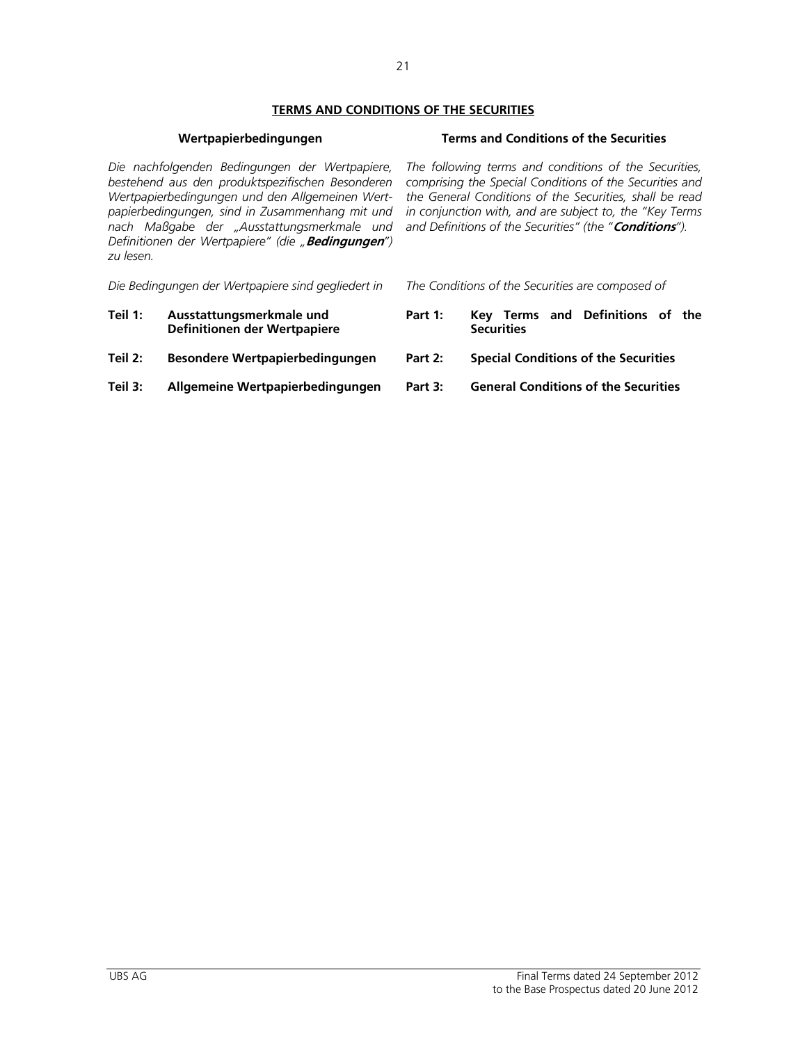# **TERMS AND CONDITIONS OF THE SECURITIES**

# **Wertpapierbedingungen Terms and Conditions of the Securities**

*Die nachfolgenden Bedingungen der Wertpapiere, bestehend aus den produktspezifischen Besonderen Wertpapierbedingungen und den Allgemeinen Wertpapierbedingungen, sind in Zusammenhang mit und nach Maßgabe der "Ausstattungsmerkmale und Definitionen der Wertpapiere" (die "***Bedingungen***") zu lesen.* 

*Die Bedingungen der Wertpapiere sind gegliedert in The Conditions of the Securities are composed of* 

- **Teil 1: Ausstattungsmerkmale und Definitionen der Wertpapiere**
- 
- **Teil 3: Allgemeine Wertpapierbedingungen Part 3: General Conditions of the Securities**

*The following terms and conditions of the Securities, comprising the Special Conditions of the Securities and the General Conditions of the Securities, shall be read in conjunction with, and are subject to, the "Key Terms and Definitions of the Securities" (the "***Conditions***").* 

- 
- **Part 1: Key Terms and Definitions of the Securities**
- **Teil 2: Besondere Wertpapierbedingungen Part 2: Special Conditions of the Securities**
	-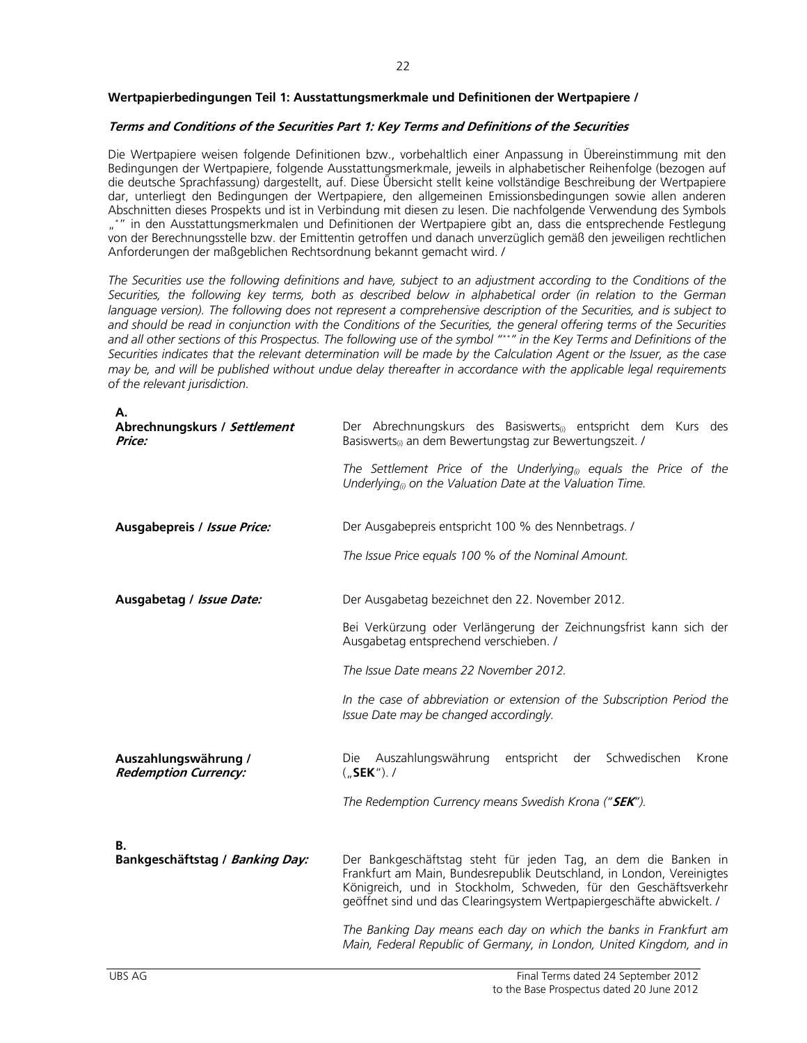# **Wertpapierbedingungen Teil 1: Ausstattungsmerkmale und Definitionen der Wertpapiere /**

# **Terms and Conditions of the Securities Part 1: Key Terms and Definitions of the Securities**

Die Wertpapiere weisen folgende Definitionen bzw., vorbehaltlich einer Anpassung in Übereinstimmung mit den Bedingungen der Wertpapiere, folgende Ausstattungsmerkmale, jeweils in alphabetischer Reihenfolge (bezogen auf die deutsche Sprachfassung) dargestellt, auf. Diese Übersicht stellt keine vollständige Beschreibung der Wertpapiere dar, unterliegt den Bedingungen der Wertpapiere, den allgemeinen Emissionsbedingungen sowie allen anderen Abschnitten dieses Prospekts und ist in Verbindung mit diesen zu lesen. Die nachfolgende Verwendung des Symbols "\*" in den Ausstattungsmerkmalen und Definitionen der Wertpapiere gibt an, dass die entsprechende Festlegung von der Berechnungsstelle bzw. der Emittentin getroffen und danach unverzüglich gemäß den jeweiligen rechtlichen Anforderungen der maßgeblichen Rechtsordnung bekannt gemacht wird. /

*The Securities use the following definitions and have, subject to an adjustment according to the Conditions of the Securities, the following key terms, both as described below in alphabetical order (in relation to the German language version). The following does not represent a comprehensive description of the Securities, and is subject to and should be read in conjunction with the Conditions of the Securities, the general offering terms of the Securities and all other sections of this Prospectus. The following use of the symbol "\*\*" in the Key Terms and Definitions of the Securities indicates that the relevant determination will be made by the Calculation Agent or the Issuer, as the case may be, and will be published without undue delay thereafter in accordance with the applicable legal requirements of the relevant jurisdiction.* 

| А.<br>Abrechnungskurs / Settlement<br>Price:        | Der Abrechnungskurs des Basiswerts <sub>(i)</sub> entspricht dem Kurs des<br>Basiswerts <sub>(i)</sub> an dem Bewertungstag zur Bewertungszeit. /                                                                  |  |  |
|-----------------------------------------------------|--------------------------------------------------------------------------------------------------------------------------------------------------------------------------------------------------------------------|--|--|
|                                                     | The Settlement Price of the Underlying <sub>(i)</sub> equals the Price of the<br>Underlying <sub>(i)</sub> on the Valuation Date at the Valuation Time.                                                            |  |  |
| Ausgabepreis / Issue Price:                         | Der Ausgabepreis entspricht 100 % des Nennbetrags. /                                                                                                                                                               |  |  |
|                                                     | The Issue Price equals 100 % of the Nominal Amount.                                                                                                                                                                |  |  |
| Ausgabetag / Issue Date:                            | Der Ausgabetag bezeichnet den 22. November 2012.                                                                                                                                                                   |  |  |
|                                                     | Bei Verkürzung oder Verlängerung der Zeichnungsfrist kann sich der<br>Ausgabetag entsprechend verschieben. /                                                                                                       |  |  |
|                                                     | The Issue Date means 22 November 2012.                                                                                                                                                                             |  |  |
|                                                     | In the case of abbreviation or extension of the Subscription Period the<br>Issue Date may be changed accordingly.                                                                                                  |  |  |
| Auszahlungswährung /<br><b>Redemption Currency:</b> | Die Auszahlungswährung entspricht der<br>Schwedischen<br>Krone<br>$($ "SEK"). /                                                                                                                                    |  |  |
|                                                     | The Redemption Currency means Swedish Krona ("SEK").                                                                                                                                                               |  |  |
| В.<br>Bankgeschäftstag / Banking Day:               | Der Bankgeschäftstag steht für jeden Tag, an dem die Banken in                                                                                                                                                     |  |  |
|                                                     | Frankfurt am Main, Bundesrepublik Deutschland, in London, Vereinigtes<br>Königreich, und in Stockholm, Schweden, für den Geschäftsverkehr<br>geöffnet sind und das Clearingsystem Wertpapiergeschäfte abwickelt. / |  |  |
|                                                     | The Banking Day means each day on which the banks in Frankfurt am<br>Main, Federal Republic of Germany, in London, United Kingdom, and in                                                                          |  |  |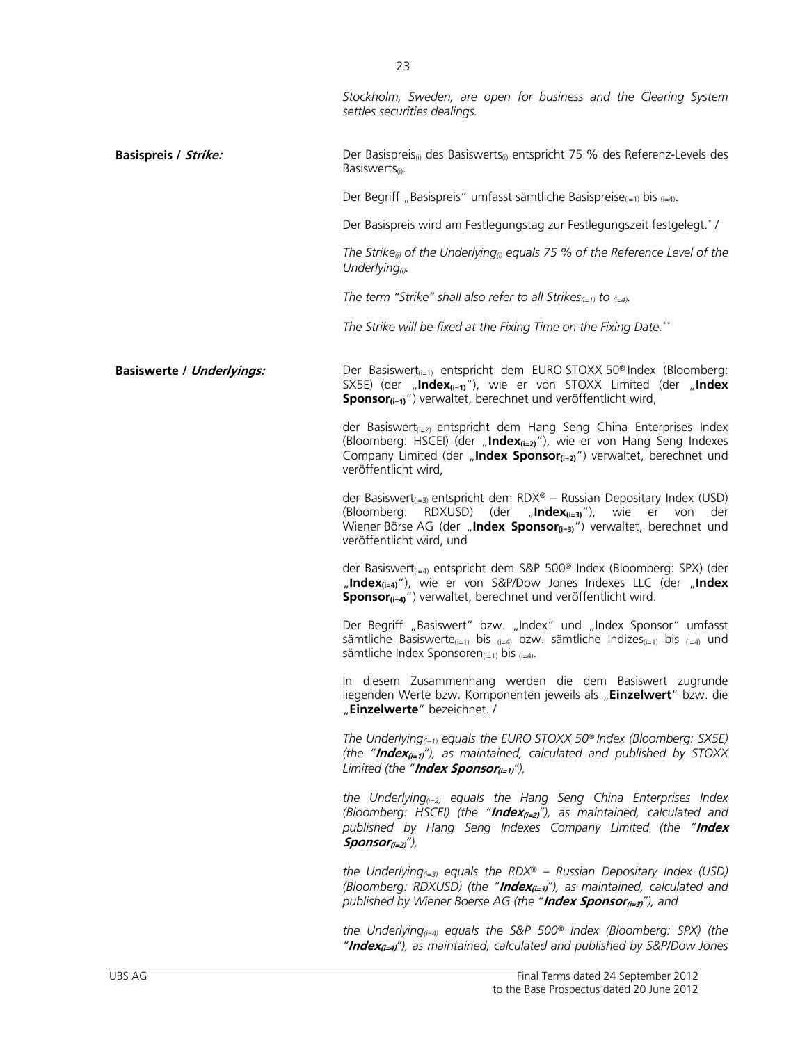|                                  | Stockholm, Sweden, are open for business and the Clearing System<br>settles securities dealings.                                                                                                                                                                                         |
|----------------------------------|------------------------------------------------------------------------------------------------------------------------------------------------------------------------------------------------------------------------------------------------------------------------------------------|
| <b>Basispreis / Strike:</b>      | Der Basispreis <sub>(i)</sub> des Basiswerts <sub>(i)</sub> entspricht 75 % des Referenz-Levels des<br>Basiswerts <sub>(i)</sub> .                                                                                                                                                       |
|                                  | Der Begriff "Basispreis" umfasst sämtliche Basispreise $_{(i=1)}$ bis $_{(i=4)}$ .                                                                                                                                                                                                       |
|                                  | Der Basispreis wird am Festlegungstag zur Festlegungszeit festgelegt.*/                                                                                                                                                                                                                  |
|                                  | The Strike <sub>®</sub> of the Underlying <sub>®</sub> equals 75 % of the Reference Level of the<br>Underlying $\omega$ .                                                                                                                                                                |
|                                  | The term "Strike" shall also refer to all Strikes $_{(i=1)}$ to $_{(i=4)}$ .                                                                                                                                                                                                             |
|                                  | The Strike will be fixed at the Fixing Time on the Fixing Date.**                                                                                                                                                                                                                        |
| <b>Basiswerte / Underlyings:</b> | Der Basiswert <sub>(i=1)</sub> entspricht dem EURO STOXX 50 <sup>®</sup> Index (Bloomberg:<br>SX5E) (der "Index <sub>(i=1)</sub> "), wie er von STOXX Limited (der "Index<br><b>Sponsor</b> $(i=1)$ ") verwaltet, berechnet und veröffentlicht wird,                                     |
|                                  | der Basiswert <sub>(i=2)</sub> entspricht dem Hang Seng China Enterprises Index<br>(Bloomberg: HSCEI) (der "Index $_{(i=2)}$ "), wie er von Hang Seng Indexes<br>Company Limited (der "Index Sponsor(i=2)") verwaltet, berechnet und<br>veröffentlicht wird,                             |
|                                  | der Basiswert <sub>(i=3)</sub> entspricht dem RDX® - Russian Depositary Index (USD)<br>(Bloomberg:<br>RDXUSD) (der<br>$n$ , Index $(i=3)$ "),<br>wie<br>er<br>von<br>der<br>Wiener Börse AG (der "Index Sponsor <sub>(i=3)</sub> ") verwaltet, berechnet und<br>veröffentlicht wird, und |
|                                  | der Basiswert <sub>(i=4)</sub> entspricht dem S&P 500 <sup>®</sup> Index (Bloomberg: SPX) (der<br>"Index $_{(i=4)}$ "), wie er von S&P/Dow Jones Indexes LLC (der "Index<br>Sponsor <sub>(i=4)</sub> ") verwaltet, berechnet und veröffentlicht wird.                                    |
|                                  | Der Begriff "Basiswert" bzw. "Index" und "Index Sponsor" umfasst<br>sämtliche Basiswerte <sub>(i=1)</sub> bis <sub>(i=4)</sub> bzw. sämtliche Indizes <sub>(i=1)</sub> bis <sub>(i=4)</sub> und<br>sämtliche Index Sponsoren $_{(i=1)}$ bis $_{(i=4)}$ .                                 |
|                                  | In diesem Zusammenhang werden die dem Basiswert zugrunde<br>liegenden Werte bzw. Komponenten jeweils als "Einzelwert" bzw. die<br>"Einzelwerte" bezeichnet. /                                                                                                                            |
|                                  | The Underlying <sub><math>(i=1)</math></sub> equals the EURO STOXX 50 <sup>®</sup> Index (Bloomberg: SX5E)<br>(the "Index <sub>(i=1)</sub> "), as maintained, calculated and published by STOXX<br>Limited (the " <b>Index Sponsor</b> <sub><math>(i=1)</math></sub> "),                 |
|                                  | the Underlying <sub><math>(x=2)</math></sub> equals the Hang Seng China Enterprises Index<br>(Bloomberg: HSCEI) (the " <b>Index</b> <sub>(i=2)</sub> "), as maintained, calculated and<br>published by Hang Seng Indexes Company Limited (the "Index<br>$Sponsor_{(i=2)}')$              |
|                                  | the Underlying <sub><math>(i=3)</math></sub> equals the RDX® – Russian Depositary Index (USD)<br>(Bloomberg: RDXUSD) (the "Index <sub>(i=3)</sub> "), as maintained, calculated and<br>published by Wiener Boerse AG (the "Index Sponsor <sub>(i=3)</sub> "), and                        |
|                                  | the Underlying $q_{i=4}$ equals the S&P 500 <sup>®</sup> Index (Bloomberg: SPX) (the                                                                                                                                                                                                     |

*the Underlying(i=4) equals the S&P 500® Index (Bloomberg: SPX) (the "***Index(i=4)***"), as maintained, calculated and published by S&P/Dow Jones*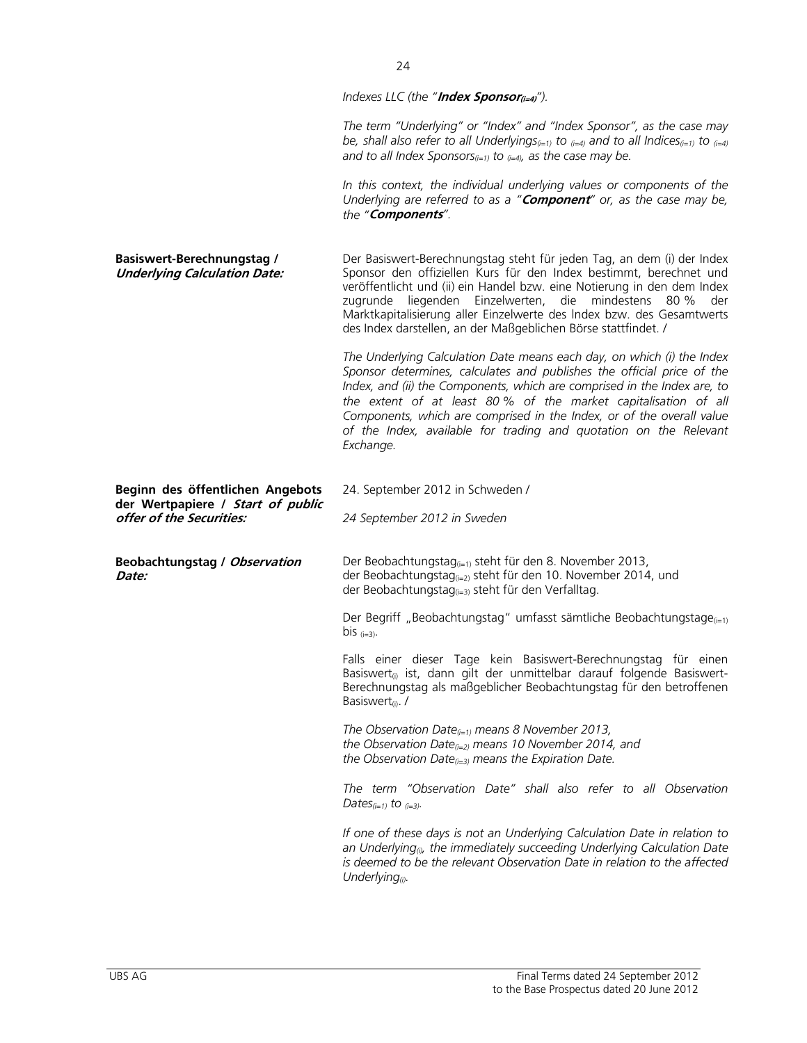*Indexes LLC (the "***Index Sponsor(i=4)***"). The term "Underlying" or "Index" and "Index Sponsor", as the case may*  be, shall also refer to all Underlyings<sub>(i=1)</sub> to  $_{(i=4)}$  and to all Indices<sub>(i=1)</sub> to  $_{(i=4)}$ and to all Index Sponsors $(i=1)$  to  $(i=4)$ , as the case may be. *In this context, the individual underlying values or components of the Underlying are referred to as a "***Component***" or, as the case may be, the "***Components***".* **Basiswert-Berechnungstag / Underlying Calculation Date:** Der Basiswert-Berechnungstag steht für jeden Tag, an dem (i) der Index Sponsor den offiziellen Kurs für den Index bestimmt, berechnet und veröffentlicht und (ii) ein Handel bzw. eine Notierung in den dem Index zugrunde liegenden Einzelwerten, die mindestens 80 % der Marktkapitalisierung aller Einzelwerte des lndex bzw. des Gesamtwerts des Index darstellen, an der Maßgeblichen Börse stattfindet. /  *The Underlying Calculation Date means each day, on which (i) the Index Sponsor determines, calculates and publishes the official price of the Index, and (ii) the Components, which are comprised in the Index are, to the extent of at least 80 % of the market capitalisation of all Components, which are comprised in the Index, or of the overall value of the Index, available for trading and quotation on the Relevant Exchange.*  **Beginn des öffentlichen Angebots der Wertpapiere / Start of public offer of the Securities:**  24. September 2012 in Schweden / *24 September 2012 in Sweden*  **Beobachtungstag / Observation Date:** Der Beobachtungstag $_{(i=1)}$  steht für den 8. November 2013, der Beobachtungstag $_{(i=2)}$  steht für den 10. November 2014, und der Beobachtungstag(i=3) steht für den Verfalltag. Der Begriff "Beobachtungstag" umfasst sämtliche Beobachtungstage $_{(i=1)}$ bis  $(i=3)$ . Falls einer dieser Tage kein Basiswert-Berechnungstag für einen Basiswert<sub>(i)</sub> ist, dann gilt der unmittelbar darauf folgende Basiswert-Berechnungstag als maßgeblicher Beobachtungstag für den betroffenen Basiswert<sub>(i)</sub> / *The Observation Date(i=1) means 8 November 2013, the Observation Date(i=2) means 10 November 2014, and the Observation Date(i=3) means the Expiration Date. The term "Observation Date" shall also refer to all Observation Dates(i=1) to (i=3). If one of these days is not an Underlying Calculation Date in relation to an Underlying(i), the immediately succeeding Underlying Calculation Date is deemed to be the relevant Observation Date in relation to the affected* 

*Underlying(i).*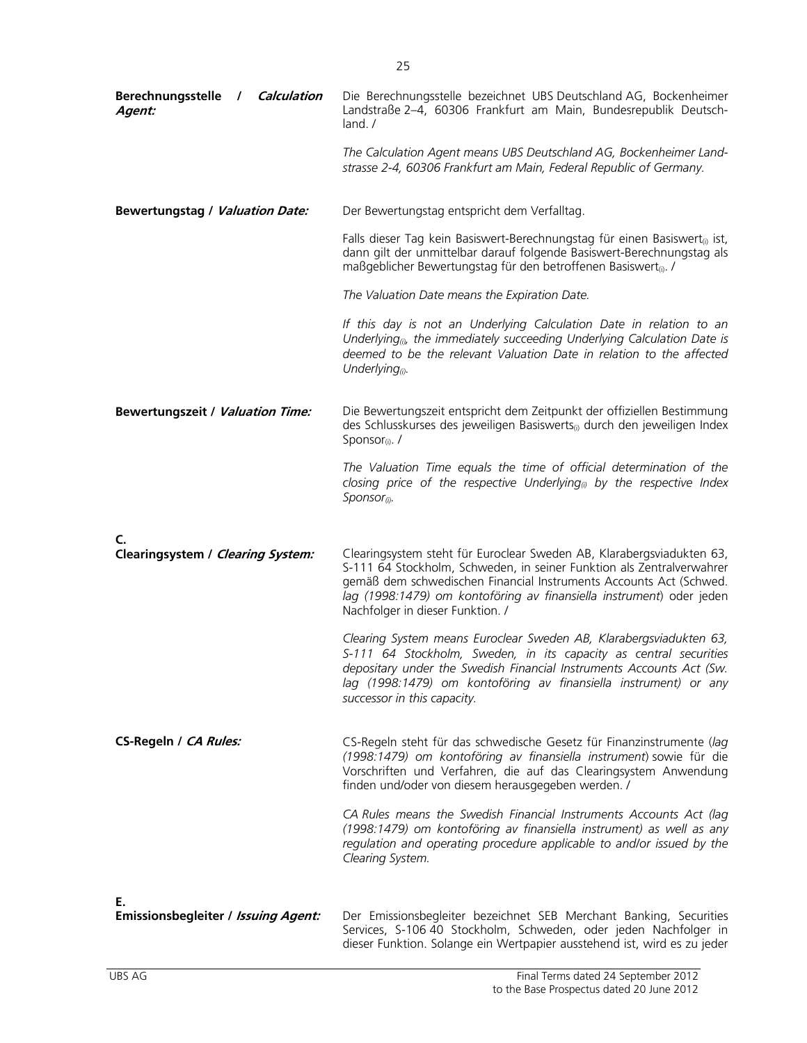| Berechnungsstelle / Calculation<br>Agent: | Die Berechnungsstelle bezeichnet UBS Deutschland AG, Bockenheimer<br>Landstraße 2-4, 60306 Frankfurt am Main, Bundesrepublik Deutsch-<br>land./                                                                                                                                                                                  |
|-------------------------------------------|----------------------------------------------------------------------------------------------------------------------------------------------------------------------------------------------------------------------------------------------------------------------------------------------------------------------------------|
|                                           | The Calculation Agent means UBS Deutschland AG, Bockenheimer Land-<br>strasse 2-4, 60306 Frankfurt am Main, Federal Republic of Germany.                                                                                                                                                                                         |
| Bewertungstag / Valuation Date:           | Der Bewertungstag entspricht dem Verfalltag.                                                                                                                                                                                                                                                                                     |
|                                           | Falls dieser Tag kein Basiswert-Berechnungstag für einen Basiswert <sub>(i)</sub> ist,<br>dann gilt der unmittelbar darauf folgende Basiswert-Berechnungstag als<br>maßgeblicher Bewertungstag für den betroffenen Basiswert <sub>(i)</sub> . /                                                                                  |
|                                           | The Valuation Date means the Expiration Date.                                                                                                                                                                                                                                                                                    |
|                                           | If this day is not an Underlying Calculation Date in relation to an<br>Underlying <sub>®</sub> , the immediately succeeding Underlying Calculation Date is<br>deemed to be the relevant Valuation Date in relation to the affected<br>Underlying <sup>(i)</sup> .                                                                |
| <b>Bewertungszeit / Valuation Time:</b>   | Die Bewertungszeit entspricht dem Zeitpunkt der offiziellen Bestimmung<br>des Schlusskurses des jeweiligen Basiswerts <sub>(i)</sub> durch den jeweiligen Index<br>Sponsor <sub>(i)</sub> . /                                                                                                                                    |
|                                           | The Valuation Time equals the time of official determination of the<br>closing price of the respective Underlying <sub>(<math>0</math></sub> by the respective Index<br>$S$ ponsor(i).                                                                                                                                           |
| C.                                        |                                                                                                                                                                                                                                                                                                                                  |
| Clearingsystem / Clearing System:         | Clearingsystem steht für Euroclear Sweden AB, Klarabergsviadukten 63,<br>S-111 64 Stockholm, Schweden, in seiner Funktion als Zentralverwahrer<br>gemäß dem schwedischen Financial Instruments Accounts Act (Schwed.<br>lag (1998:1479) om kontoföring av finansiella instrument) oder jeden<br>Nachfolger in dieser Funktion. / |
|                                           | Clearing System means Euroclear Sweden AB, Klarabergsviadukten 63,<br>S-111 64 Stockholm, Sweden, in its capacity as central securities<br>depositary under the Swedish Financial Instruments Accounts Act (Sw.<br>lag (1998:1479) om kontoföring av finansiella instrument) or any<br>successor in this capacity.               |
| CS-Regeln / CA Rules:                     | CS-Regeln steht für das schwedische Gesetz für Finanzinstrumente (lag<br>(1998:1479) om kontoföring av finansiella instrument) sowie für die<br>Vorschriften und Verfahren, die auf das Clearingsystem Anwendung<br>finden und/oder von diesem herausgegeben werden. /                                                           |
|                                           | CA Rules means the Swedish Financial Instruments Accounts Act (lag<br>(1998:1479) om kontoföring av finansiella instrument) as well as any<br>regulation and operating procedure applicable to and/or issued by the<br>Clearing System.                                                                                          |
| Ε.                                        |                                                                                                                                                                                                                                                                                                                                  |
| Emissionsbegleiter / Issuing Agent:       | Der Emissionsbegleiter bezeichnet SEB Merchant Banking, Securities<br>Services, S-106 40 Stockholm, Schweden, oder jeden Nachfolger in                                                                                                                                                                                           |

dieser Funktion. Solange ein Wertpapier ausstehend ist, wird es zu jeder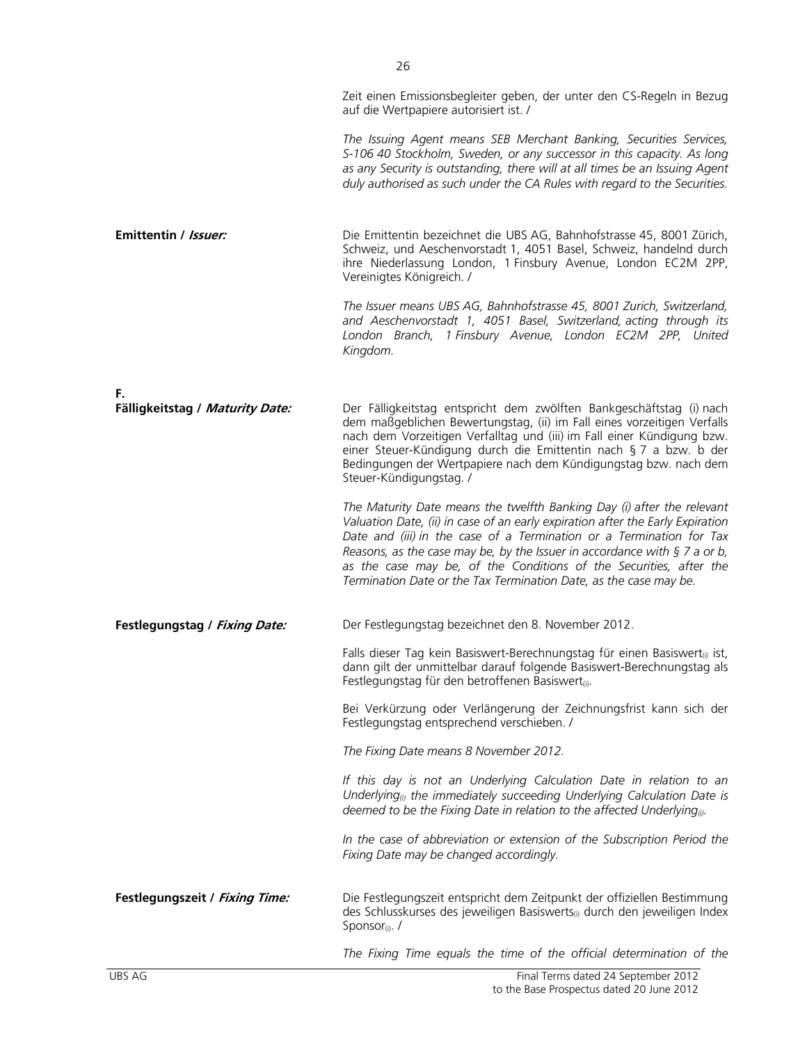Zeit einen Emissionsbegleiter geben, der unter den CS-Regeln in Bezug auf die Wertpapiere autorisiert ist. /

*The Issuing Agent means SEB Merchant Banking, Securities Services, S-106 40 Stockholm, Sweden, or any successor in this capacity. As long as any Security is outstanding, there will at all times be an Issuing Agent duly authorised as such under the CA Rules with regard to the Securities.*

**Emittentin / Issuer:** Die Emittentin bezeichnet die UBS AG, Bahnhofstrasse 45, 8001 Zürich, Schweiz, und Aeschenvorstadt 1, 4051 Basel, Schweiz, handelnd durch ihre Niederlassung London, 1 Finsbury Avenue, London EC2M 2PP, Vereinigtes Königreich. /

> *The Issuer means UBS AG, Bahnhofstrasse 45, 8001 Zurich, Switzerland, and Aeschenvorstadt 1, 4051 Basel, Switzerland, acting through its London Branch, 1 Finsbury Avenue, London EC2M 2PP, United Kingdom.*

**F. Fälligkeitstag / Maturity Date:** Der Fälligkeitstag entspricht dem zwölften Bankgeschäftstag (i) nach dem maßgeblichen Bewertungstag, (ii) im Fall eines vorzeitigen Verfalls nach dem Vorzeitigen Verfalltag und (iii) im Fall einer Kündigung bzw. einer Steuer-Kündigung durch die Emittentin nach § 7 a bzw. b der Bedingungen der Wertpapiere nach dem Kündigungstag bzw. nach dem Steuer-Kündigungstag. /

*The Maturity Date means the twelfth Banking Day (i) after the relevant Valuation Date, (ii) in case of an early expiration after the Early Expiration Date and (iii) in the case of a Termination or a Termination for Tax Reasons, as the case may be, by the Issuer in accordance with § 7 a or b, as the case may be, of the Conditions of the Securities, after the Termination Date or the Tax Termination Date, as the case may be.* 

**Festlegungstag / Fixing Date:** Der Festlegungstag bezeichnet den 8. November 2012.

Falls dieser Tag kein Basiswert-Berechnungstag für einen Basiswert<sub>(i)</sub> ist, dann gilt der unmittelbar darauf folgende Basiswert-Berechnungstag als Festlegungstag für den betroffenen Basiswert<sub>(i)</sub>.

Bei Verkürzung oder Verlängerung der Zeichnungsfrist kann sich der Festlegungstag entsprechend verschieben. /

*The Fixing Date means 8 November 2012.* 

*If this day is not an Underlying Calculation Date in relation to an Underlying(i) the immediately succeeding Underlying Calculation Date is deemed to be the Fixing Date in relation to the affected Underlying(i).* 

*In the case of abbreviation or extension of the Subscription Period the Fixing Date may be changed accordingly.* 

**Festlegungszeit / Fixing Time:** Die Festlegungszeit entspricht dem Zeitpunkt der offiziellen Bestimmung des Schlusskurses des jeweiligen Basiswerts<sub>(i)</sub> durch den jeweiligen Index Sponsor<sub>(i)</sub>. /

*The Fixing Time equals the time of the official determination of the*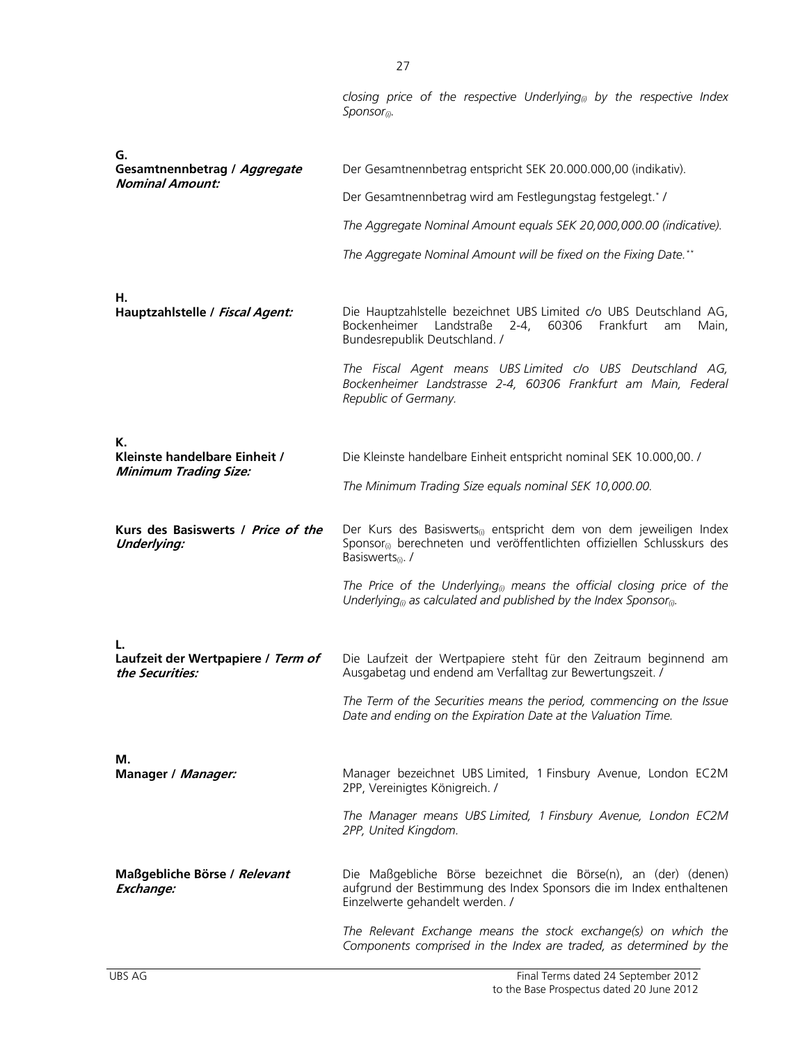*closing price of the respective Underlying(i) by the respective Index Sponsor(i).* 

| G.                                                       |                                                                                                                                                                                                        |  |  |  |
|----------------------------------------------------------|--------------------------------------------------------------------------------------------------------------------------------------------------------------------------------------------------------|--|--|--|
| Gesamtnennbetrag / Aggregate<br><b>Nominal Amount:</b>   | Der Gesamtnennbetrag entspricht SEK 20.000.000,00 (indikativ).                                                                                                                                         |  |  |  |
|                                                          | Der Gesamtnennbetrag wird am Festlegungstag festgelegt.*/                                                                                                                                              |  |  |  |
|                                                          | The Aggregate Nominal Amount equals SEK 20,000,000.00 (indicative).                                                                                                                                    |  |  |  |
|                                                          | The Aggregate Nominal Amount will be fixed on the Fixing Date.**                                                                                                                                       |  |  |  |
|                                                          |                                                                                                                                                                                                        |  |  |  |
| Н.<br>Hauptzahlstelle / Fiscal Agent:                    | Die Hauptzahlstelle bezeichnet UBS Limited c/o UBS Deutschland AG,<br>Bockenheimer Landstraße<br>$2 - 4$<br>60306<br>Frankfurt<br>Main,<br>am<br>Bundesrepublik Deutschland. /                         |  |  |  |
|                                                          | The Fiscal Agent means UBS Limited c/o UBS Deutschland AG,<br>Bockenheimer Landstrasse 2-4, 60306 Frankfurt am Main, Federal<br>Republic of Germany.                                                   |  |  |  |
|                                                          |                                                                                                                                                                                                        |  |  |  |
| К.<br>Kleinste handelbare Einheit /                      | Die Kleinste handelbare Einheit entspricht nominal SEK 10.000,00. /                                                                                                                                    |  |  |  |
| <b>Minimum Trading Size:</b>                             | The Minimum Trading Size equals nominal SEK 10,000.00.                                                                                                                                                 |  |  |  |
|                                                          |                                                                                                                                                                                                        |  |  |  |
| Kurs des Basiswerts / Price of the<br><b>Underlying:</b> | Der Kurs des Basiswerts <sub>(i)</sub> entspricht dem von dem jeweiligen Index<br>Sponsor <sub>(i)</sub> berechneten und veröffentlichten offiziellen Schlusskurs des<br>Basiswerts <sub>(i)</sub> . / |  |  |  |
|                                                          | The Price of the Underlying <sub>(i)</sub> means the official closing price of the<br>Underlying <sub>(i)</sub> as calculated and published by the Index Sponsor <sub>(i)</sub> .                      |  |  |  |
|                                                          |                                                                                                                                                                                                        |  |  |  |
| Laufzeit der Wertpapiere / Term of<br>the Securities:    | Die Laufzeit der Wertpapiere steht für den Zeitraum beginnend am<br>Ausgabetag und endend am Verfalltag zur Bewertungszeit. /                                                                          |  |  |  |
|                                                          | The Term of the Securities means the period, commencing on the Issue<br>Date and ending on the Expiration Date at the Valuation Time.                                                                  |  |  |  |
|                                                          |                                                                                                                                                                                                        |  |  |  |
| М.<br>Manager / Manager:                                 | Manager bezeichnet UBS Limited, 1 Finsbury Avenue, London EC2M<br>2PP, Vereinigtes Königreich. /                                                                                                       |  |  |  |
|                                                          | The Manager means UBS Limited, 1 Finsbury Avenue, London EC2M<br>2PP, United Kingdom.                                                                                                                  |  |  |  |
| Maßgebliche Börse / Relevant<br>Exchange:                | Die Maßgebliche Börse bezeichnet die Börse(n), an (der) (denen)<br>aufgrund der Bestimmung des Index Sponsors die im Index enthaltenen<br>Einzelwerte gehandelt werden. /                              |  |  |  |
|                                                          | The Relevant Exchange means the stock exchange(s) on which the<br>Components comprised in the Index are traded, as determined by the                                                                   |  |  |  |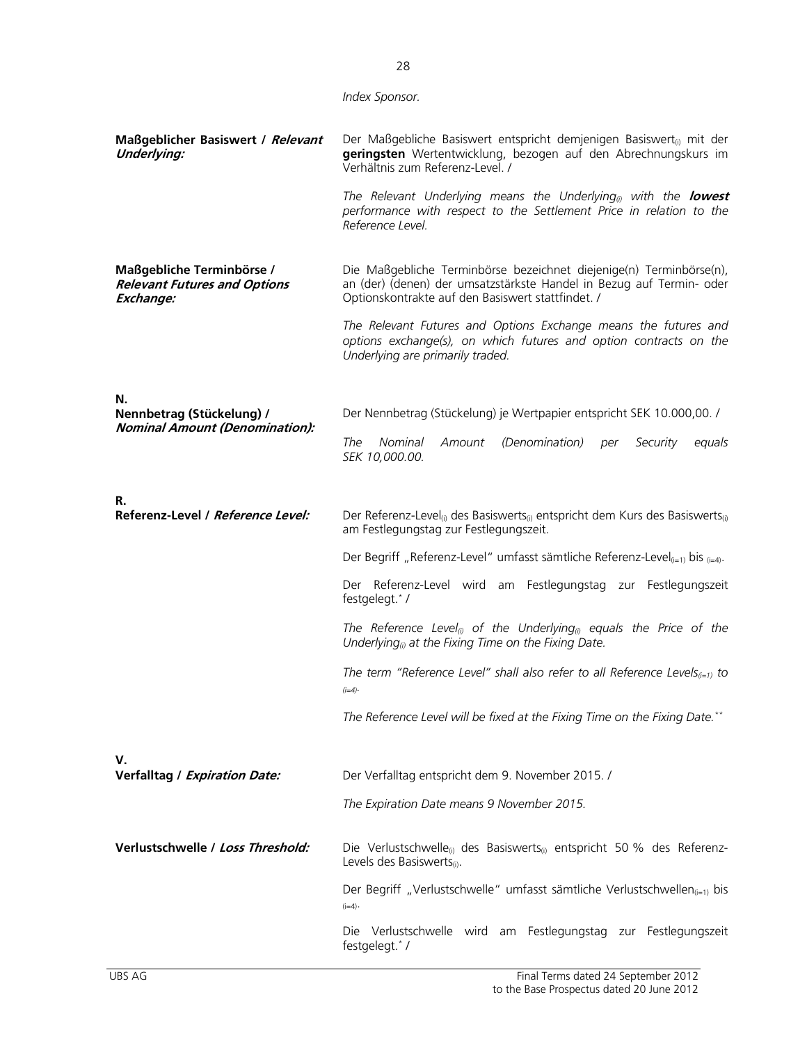|                                                                               | Index Sponsor.                                                                                                                                                                                   |  |  |
|-------------------------------------------------------------------------------|--------------------------------------------------------------------------------------------------------------------------------------------------------------------------------------------------|--|--|
| Maßgeblicher Basiswert / Relevant<br><b>Underlying:</b>                       | Der Maßgebliche Basiswert entspricht demjenigen Basiswert <sub>(i)</sub> mit der<br>geringsten Wertentwicklung, bezogen auf den Abrechnungskurs im<br>Verhältnis zum Referenz-Level. /           |  |  |
|                                                                               | The Relevant Underlying means the Underlying <sub>(i)</sub> with the <b>lowest</b><br>performance with respect to the Settlement Price in relation to the<br>Reference Level.                    |  |  |
| Maßgebliche Terminbörse /<br><b>Relevant Futures and Options</b><br>Exchange: | Die Maßgebliche Terminbörse bezeichnet diejenige(n) Terminbörse(n),<br>an (der) (denen) der umsatzstärkste Handel in Bezug auf Termin- oder<br>Optionskontrakte auf den Basiswert stattfindet. / |  |  |
|                                                                               | The Relevant Futures and Options Exchange means the futures and<br>options exchange(s), on which futures and option contracts on the<br>Underlying are primarily traded.                         |  |  |
| N.<br>Nennbetrag (Stückelung) /                                               | Der Nennbetrag (Stückelung) je Wertpapier entspricht SEK 10.000,00. /                                                                                                                            |  |  |
| <b>Nominal Amount (Denomination):</b>                                         | <b>Nominal</b><br>Amount<br>(Denomination)<br>The<br>Security<br>equals<br>per<br>SEK 10,000.00.                                                                                                 |  |  |
| R.                                                                            |                                                                                                                                                                                                  |  |  |
| Referenz-Level / Reference Level:                                             | Der Referenz-Level <sub>(i)</sub> des Basiswerts <sub>(i)</sub> entspricht dem Kurs des Basiswerts <sub>(i)</sub><br>am Festlegungstag zur Festlegungszeit.                                      |  |  |
|                                                                               | Der Begriff "Referenz-Level" umfasst sämtliche Referenz-Level $_{(i=1)}$ bis $_{(i=4)}$ .                                                                                                        |  |  |
|                                                                               | Der Referenz-Level wird am Festlegungstag zur Festlegungszeit<br>festgelegt.*/                                                                                                                   |  |  |
|                                                                               | The Reference Level <sub>(i)</sub> of the Underlying <sub>(i)</sub> equals the Price of the<br>Underlying <sub>(<math>\theta</math></sub> at the Fixing Time on the Fixing Date.                 |  |  |
|                                                                               | The term "Reference Level" shall also refer to all Reference Levels $_{(i=1)}$ to<br>$(i=4)$                                                                                                     |  |  |
|                                                                               | The Reference Level will be fixed at the Fixing Time on the Fixing Date.**                                                                                                                       |  |  |
| V.<br>Verfalltag / Expiration Date:                                           | Der Verfalltag entspricht dem 9. November 2015. /                                                                                                                                                |  |  |
|                                                                               | The Expiration Date means 9 November 2015.                                                                                                                                                       |  |  |
|                                                                               |                                                                                                                                                                                                  |  |  |
| Verlustschwelle / Loss Threshold:                                             | Die Verlustschwelle <sub>(i)</sub> des Basiswerts <sub>(i)</sub> entspricht 50 % des Referenz-<br>Levels des Basiswerts(i).                                                                      |  |  |
|                                                                               | Der Begriff "Verlustschwelle" umfasst sämtliche Verlustschwellen <sub>(i=1)</sub> bis<br>$(i=4)$                                                                                                 |  |  |
|                                                                               | Die Verlustschwelle wird am Festlegungstag zur Festlegungszeit<br>festgelegt.*/                                                                                                                  |  |  |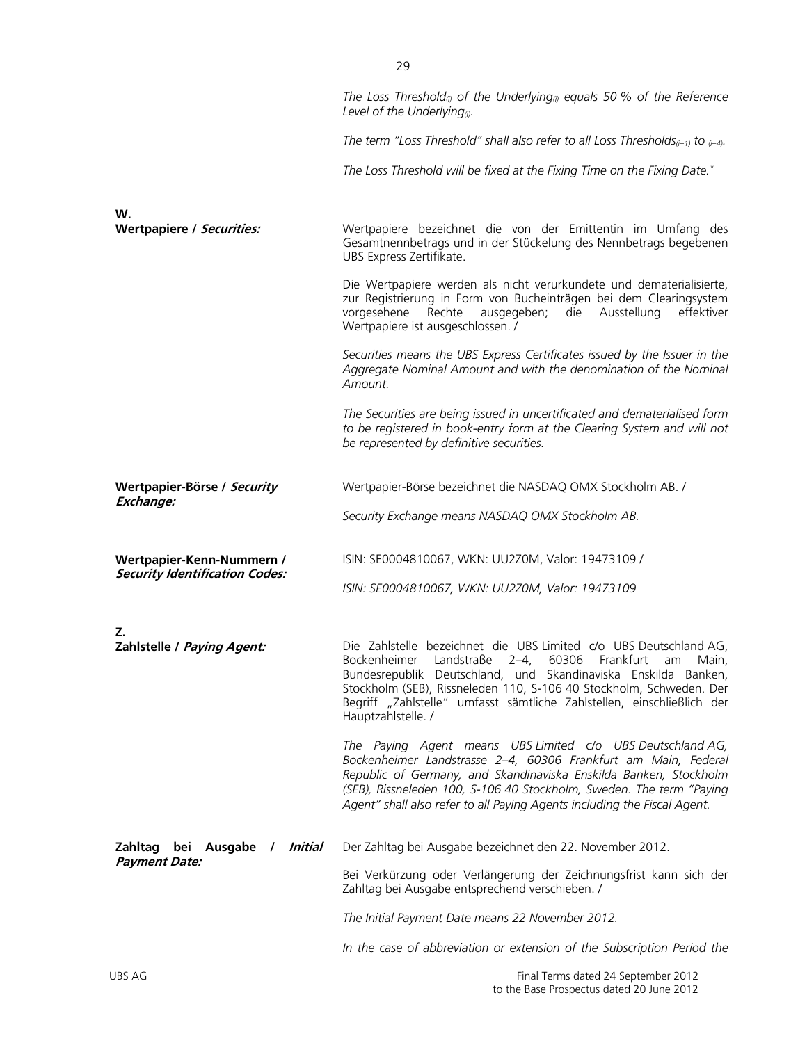|                                                                    | The Loss Threshold <sub>(i)</sub> of the Underlying <sub>(i)</sub> equals 50 % of the Reference<br>Level of the Underlying <sub>(i)</sub> .                                                                                                                                                                                                                         |  |  |  |
|--------------------------------------------------------------------|---------------------------------------------------------------------------------------------------------------------------------------------------------------------------------------------------------------------------------------------------------------------------------------------------------------------------------------------------------------------|--|--|--|
|                                                                    | The term "Loss Threshold" shall also refer to all Loss Thresholds $(i=1)$ to $(i=4)$ .                                                                                                                                                                                                                                                                              |  |  |  |
|                                                                    | The Loss Threshold will be fixed at the Fixing Time on the Fixing Date.*                                                                                                                                                                                                                                                                                            |  |  |  |
| W.                                                                 |                                                                                                                                                                                                                                                                                                                                                                     |  |  |  |
| Wertpapiere / Securities:                                          | Wertpapiere bezeichnet die von der Emittentin im Umfang des<br>Gesamtnennbetrags und in der Stückelung des Nennbetrags begebenen<br>UBS Express Zertifikate.                                                                                                                                                                                                        |  |  |  |
|                                                                    | Die Wertpapiere werden als nicht verurkundete und dematerialisierte,<br>zur Registrierung in Form von Bucheinträgen bei dem Clearingsystem<br>vorgesehene<br>Rechte<br>Ausstellung<br>ausgegeben;<br>die<br>effektiver<br>Wertpapiere ist ausgeschlossen. /                                                                                                         |  |  |  |
|                                                                    | Securities means the UBS Express Certificates issued by the Issuer in the<br>Aggregate Nominal Amount and with the denomination of the Nominal<br>Amount.                                                                                                                                                                                                           |  |  |  |
|                                                                    | The Securities are being issued in uncertificated and dematerialised form<br>to be registered in book-entry form at the Clearing System and will not<br>be represented by definitive securities.                                                                                                                                                                    |  |  |  |
| Wertpapier-Börse / Security<br>Exchange:                           | Wertpapier-Börse bezeichnet die NASDAQ OMX Stockholm AB. /                                                                                                                                                                                                                                                                                                          |  |  |  |
|                                                                    | Security Exchange means NASDAQ OMX Stockholm AB.                                                                                                                                                                                                                                                                                                                    |  |  |  |
| Wertpapier-Kenn-Nummern /<br><b>Security Identification Codes:</b> | ISIN: SE0004810067, WKN: UU2Z0M, Valor: 19473109 /                                                                                                                                                                                                                                                                                                                  |  |  |  |
|                                                                    | ISIN: SE0004810067, WKN: UU2Z0M, Valor: 19473109                                                                                                                                                                                                                                                                                                                    |  |  |  |
|                                                                    |                                                                                                                                                                                                                                                                                                                                                                     |  |  |  |
| Z.<br>Zahlstelle / Paying Agent:                                   | Die Zahlstelle bezeichnet die UBS Limited c/o UBS Deutschland AG,<br>Bockenheimer Landstraße 2-4, 60306 Frankfurt am Main,<br>Bundesrepublik Deutschland, und Skandinaviska Enskilda Banken,<br>Stockholm (SEB), Rissneleden 110, S-106 40 Stockholm, Schweden. Der<br>Begriff "Zahlstelle" umfasst sämtliche Zahlstellen, einschließlich der<br>Hauptzahlstelle. / |  |  |  |
|                                                                    | The Paying Agent means UBS Limited c/o UBS Deutschland AG,<br>Bockenheimer Landstrasse 2-4, 60306 Frankfurt am Main, Federal<br>Republic of Germany, and Skandinaviska Enskilda Banken, Stockholm<br>(SEB), Rissneleden 100, S-106 40 Stockholm, Sweden. The term "Paying<br>Agent" shall also refer to all Paying Agents including the Fiscal Agent.               |  |  |  |
| Zahltag bei Ausgabe /<br>Initial                                   | Der Zahltag bei Ausgabe bezeichnet den 22. November 2012.                                                                                                                                                                                                                                                                                                           |  |  |  |
| <b>Payment Date:</b>                                               | Bei Verkürzung oder Verlängerung der Zeichnungsfrist kann sich der<br>Zahltag bei Ausgabe entsprechend verschieben. /                                                                                                                                                                                                                                               |  |  |  |
|                                                                    | The Initial Payment Date means 22 November 2012.                                                                                                                                                                                                                                                                                                                    |  |  |  |
|                                                                    | In the case of abbreviation or extension of the Subscription Period the                                                                                                                                                                                                                                                                                             |  |  |  |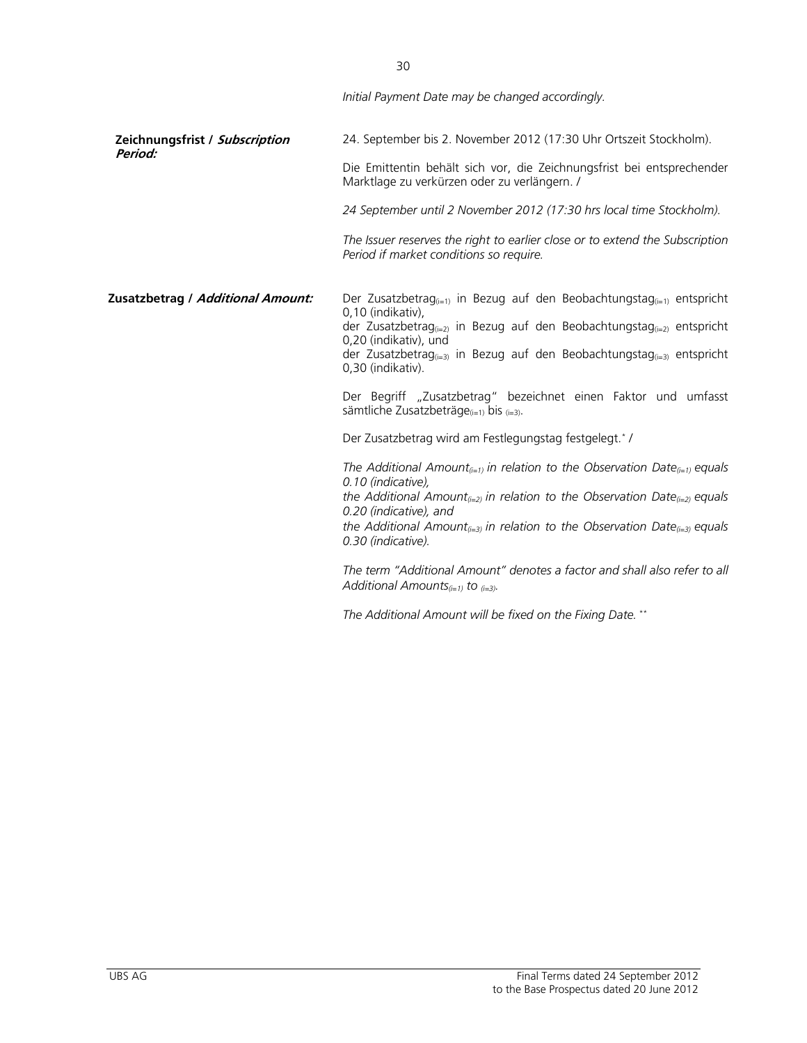|                                   | Initial Payment Date may be changed accordingly.                                                                                                                                                                                                                                                                                                                                                                                                                                                                                                                                                                                                                              |
|-----------------------------------|-------------------------------------------------------------------------------------------------------------------------------------------------------------------------------------------------------------------------------------------------------------------------------------------------------------------------------------------------------------------------------------------------------------------------------------------------------------------------------------------------------------------------------------------------------------------------------------------------------------------------------------------------------------------------------|
| Zeichnungsfrist / Subscription    | 24. September bis 2. November 2012 (17:30 Uhr Ortszeit Stockholm).                                                                                                                                                                                                                                                                                                                                                                                                                                                                                                                                                                                                            |
| Period:                           | Die Emittentin behält sich vor, die Zeichnungsfrist bei entsprechender<br>Marktlage zu verkürzen oder zu verlängern. /                                                                                                                                                                                                                                                                                                                                                                                                                                                                                                                                                        |
|                                   | 24 September until 2 November 2012 (17:30 hrs local time Stockholm).                                                                                                                                                                                                                                                                                                                                                                                                                                                                                                                                                                                                          |
|                                   | The Issuer reserves the right to earlier close or to extend the Subscription<br>Period if market conditions so require.                                                                                                                                                                                                                                                                                                                                                                                                                                                                                                                                                       |
| Zusatzbetrag / Additional Amount: | Der Zusatzbetrag <sub>(i=1)</sub> in Bezug auf den Beobachtungstag <sub>(i=1)</sub> entspricht<br>0,10 (indikativ),<br>der Zusatzbetrag <sub>(i=2)</sub> in Bezug auf den Beobachtungstag <sub>(i=2)</sub> entspricht<br>0,20 (indikativ), und<br>der Zusatzbetrag <sub>(i=3)</sub> in Bezug auf den Beobachtungstag <sub>(i=3)</sub> entspricht<br>0,30 (indikativ).<br>Der Begriff "Zusatzbetrag" bezeichnet einen Faktor und umfasst<br>sämtliche Zusatzbeträge $(i=1)$ bis $(i=3)$ .<br>Der Zusatzbetrag wird am Festlegungstag festgelegt.*/<br>The Additional Amount <sub>(i=1)</sub> in relation to the Observation Date <sub>(i=1)</sub> equals<br>0.10 (indicative), |
|                                   | the Additional Amount <sub>(i=2)</sub> in relation to the Observation Date <sub>(i=2)</sub> equals<br>0.20 (indicative), and<br>the Additional Amount <sub>(i=3)</sub> in relation to the Observation Date <sub>(i=3)</sub> equals<br>0.30 (indicative).                                                                                                                                                                                                                                                                                                                                                                                                                      |
|                                   | The term "Additional Amount" denotes a factor and shall also refer to all<br>Additional Amounts <sub>(i=1)</sub> to $_{(i=3)}$ .                                                                                                                                                                                                                                                                                                                                                                                                                                                                                                                                              |
|                                   | The Additional Amount will be fixed on the Fixing Date. **                                                                                                                                                                                                                                                                                                                                                                                                                                                                                                                                                                                                                    |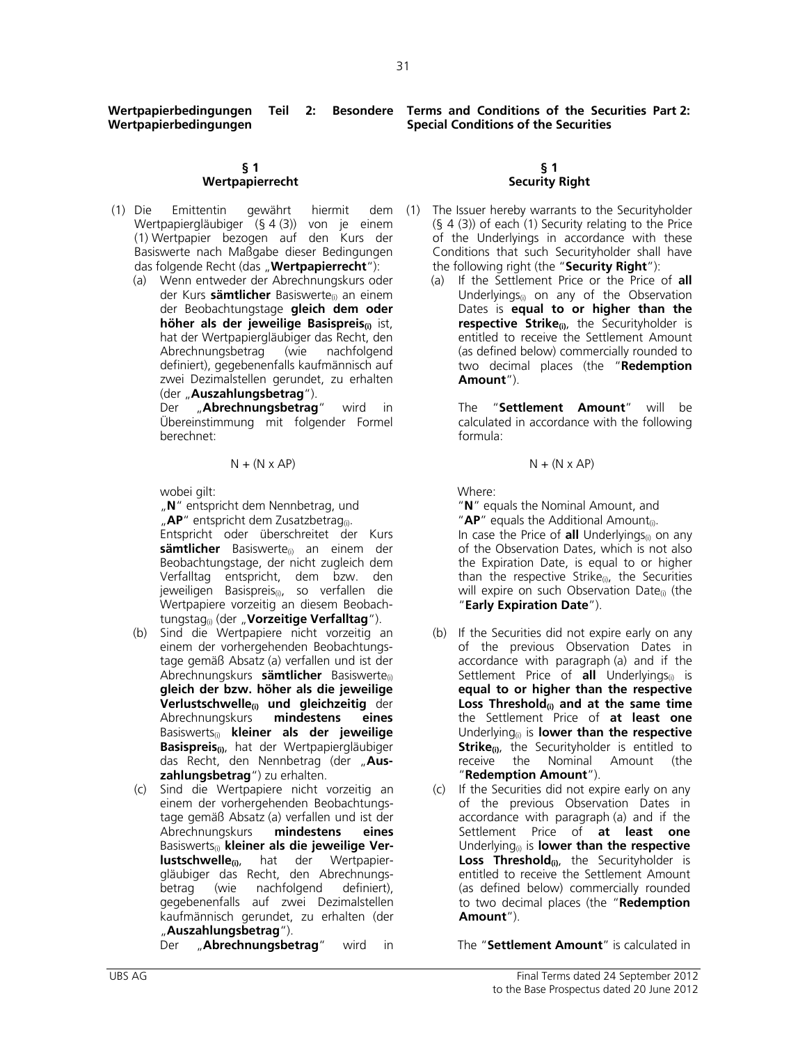**Wertpapierbedingungen** 

#### **§ 1 Wertpapierrecht**

- (1) Die Emittentin gewährt hiermit dem Wertpapiergläubiger (§ 4 (3)) von je einem (1) Wertpapier bezogen auf den Kurs der Basiswerte nach Maßgabe dieser Bedingungen das folgende Recht (das "**Wertpapierrecht**"):
	- (a) Wenn entweder der Abrechnungskurs oder der Kurs **sämtlicher** Basiswerte<sub>(i)</sub> an einem der Beobachtungstage **gleich dem oder höher als der jeweilige Basispreis(i)** ist, hat der Wertpapiergläubiger das Recht, den Abrechnungsbetrag (wie nachfolgend definiert), gegebenenfalls kaufmännisch auf zwei Dezimalstellen gerundet, zu erhalten (der "**Auszahlungsbetrag**").

 Der "**Abrechnungsbetrag**" wird in Übereinstimmung mit folgender Formel berechnet:

$$
N + (N \times AP)
$$

wobei gilt:

"N" entspricht dem Nennbetrag, und "**AP**" entspricht dem Zusatzbetrag<sub>(i)</sub>.

 Entspricht oder überschreitet der Kurs **sämtlicher** Basiswerte(i) an einem der Beobachtungstage, der nicht zugleich dem Verfalltag entspricht, dem bzw. den jeweiligen Basispreis(i), so verfallen die Wertpapiere vorzeitig an diesem Beobachtungstag(i) (der "**Vorzeitige Verfalltag**").

- (b) Sind die Wertpapiere nicht vorzeitig an einem der vorhergehenden Beobachtungstage gemäß Absatz (a) verfallen und ist der Abrechnungskurs **sämtlicher** Basiswerte(i) **gleich der bzw. höher als die jeweilige Verlustschwelle(i) und gleichzeitig** der Abrechnungskurs **mindestens eines**  Basiswerts(i) **kleiner als der jeweilige Basispreis(i)**, hat der Wertpapiergläubiger das Recht, den Nennbetrag (der "**Auszahlungsbetrag**") zu erhalten.
- (c) Sind die Wertpapiere nicht vorzeitig an einem der vorhergehenden Beobachtungstage gemäß Absatz (a) verfallen und ist der Abrechnungskurs **mindestens eines** Basiswerts(i) **kleiner als die jeweilige Verlustschwelle**(i), hat der Wertpapiergläubiger das Recht, den Abrechnungs-<br>betrag (wie nachfolgend definiert), nachfolgend definiert), gegebenenfalls auf zwei Dezimalstellen kaufmännisch gerundet, zu erhalten (der "**Auszahlungsbetrag**").

**Wertpapierbedingungen Teil 2: Besondere Terms and Conditions of the Securities Part 2: Special Conditions of the Securities** 

#### **§ 1 Security Right**

- The Issuer hereby warrants to the Securityholder (§ 4 (3)) of each (1) Security relating to the Price of the Underlyings in accordance with these Conditions that such Securityholder shall have the following right (the "**Security Right**"):
	- (a) If the Settlement Price or the Price of **all** Underlyings $_{(i)}$  on any of the Observation Dates is **equal to or higher than the respective Strike**(i), the Securityholder is entitled to receive the Settlement Amount (as defined below) commercially rounded to two decimal places (the "**Redemption Amount**").

The "**Settlement Amount**" will be calculated in accordance with the following formula:

$$
N + (N \times AP)
$$
  $N + (N \times AP)$ 

Where:

 "**N**" equals the Nominal Amount, and "**AP**" equals the Additional Amount<sub>(i)</sub>. In case the Price of **all** Underlyings<sub>(i)</sub> on any of the Observation Dates, which is not also the Expiration Date, is equal to or higher than the respective Strike<sub>(i)</sub>, the Securities will expire on such Observation Date<sub>(i)</sub> (the "**Early Expiration Date**").

- (b) If the Securities did not expire early on any of the previous Observation Dates in accordance with paragraph (a) and if the Settlement Price of **all** Underlyings<sub>(i)</sub> is **equal to or higher than the respective Loss Threshold(i) and at the same time** the Settlement Price of **at least one** Underlying(i) is **lower than the respective Strike**<sub>(i)</sub>, the Securityholder is entitled to receive the Nominal Amount (the "**Redemption Amount**").
- (c) If the Securities did not expire early on any of the previous Observation Dates in accordance with paragraph (a) and if the Settlement Price of **at least one** Underlying(i) is **lower than the respective**  Loss Threshold<sub>(i)</sub>, the Securityholder is entitled to receive the Settlement Amount (as defined below) commercially rounded to two decimal places (the "**Redemption Amount**").

Der "**Abrechnungsbetrag**" wird in The "**Settlement Amount**" is calculated in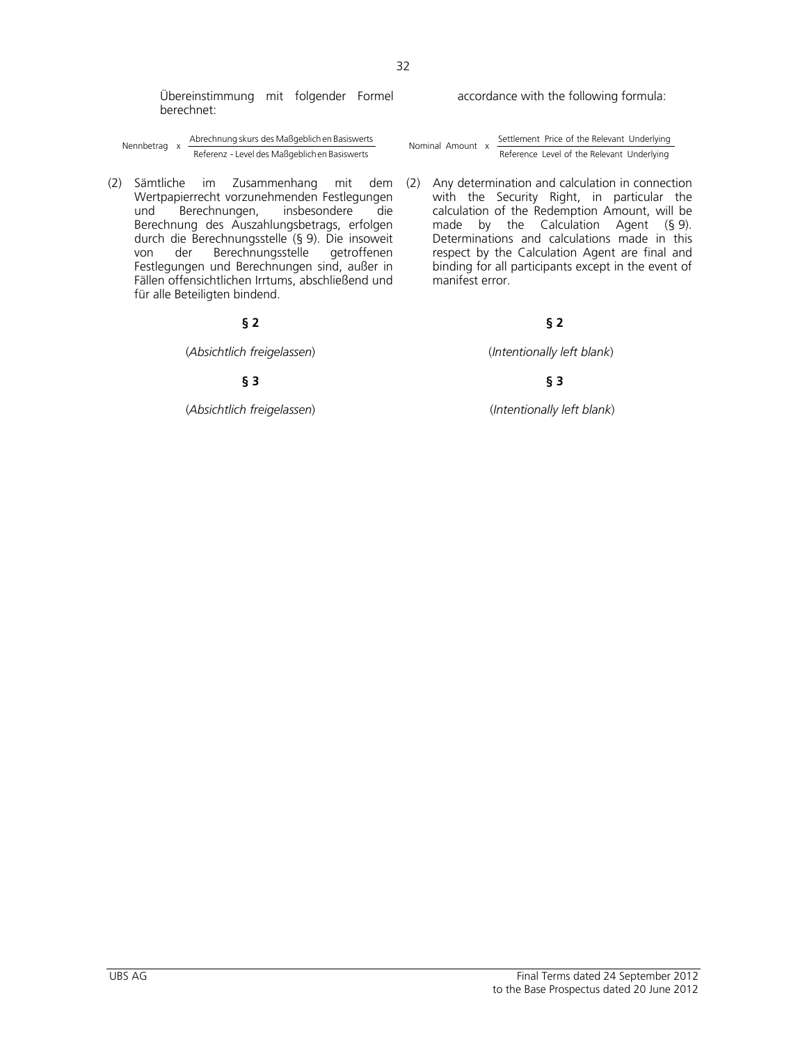Übereinstimmung mit folgender Formel berechnet:

Nennbetrag x Abrechnung skurs des Maßgeblichen Basiswerts Mominal Amount x Settlement Price of the Relevant Underlying<br>Reference Level of the Relevant Underlying (Reference Level of the Relevant Underlying Neterence Level

(2) Sämtliche im Zusammenhang mit dem Wertpapierrecht vorzunehmenden Festlegungen<br>und Berechnungen, insbesondere die und Berechnungen, insbesondere die Berechnung des Auszahlungsbetrags, erfolgen durch die Berechnungsstelle (§ 9). Die insoweit von der Berechnungsstelle Festlegungen und Berechnungen sind, außer in Fällen offensichtlichen Irrtums, abschließend und für alle Beteiligten bindend.

(*Absichtlich freigelassen*)(*Intentionally left blank*)

(*Absichtlich freigelassen*) (*Intentionally left blank*)

accordance with the following formula:

Nominal Amount  $x = \frac{\text{Settlement Price of the Relevant Underlying}}{\text{Reference Level of the Relevant Underlying}}$ 

(2) Any determination and calculation in connection with the Security Right, in particular the calculation of the Redemption Amount, will be made by the Calculation Agent (§ 9). Determinations and calculations made in this respect by the Calculation Agent are final and binding for all participants except in the event of manifest error.

# **§ 2 § 2**

# **§ 3 § 3**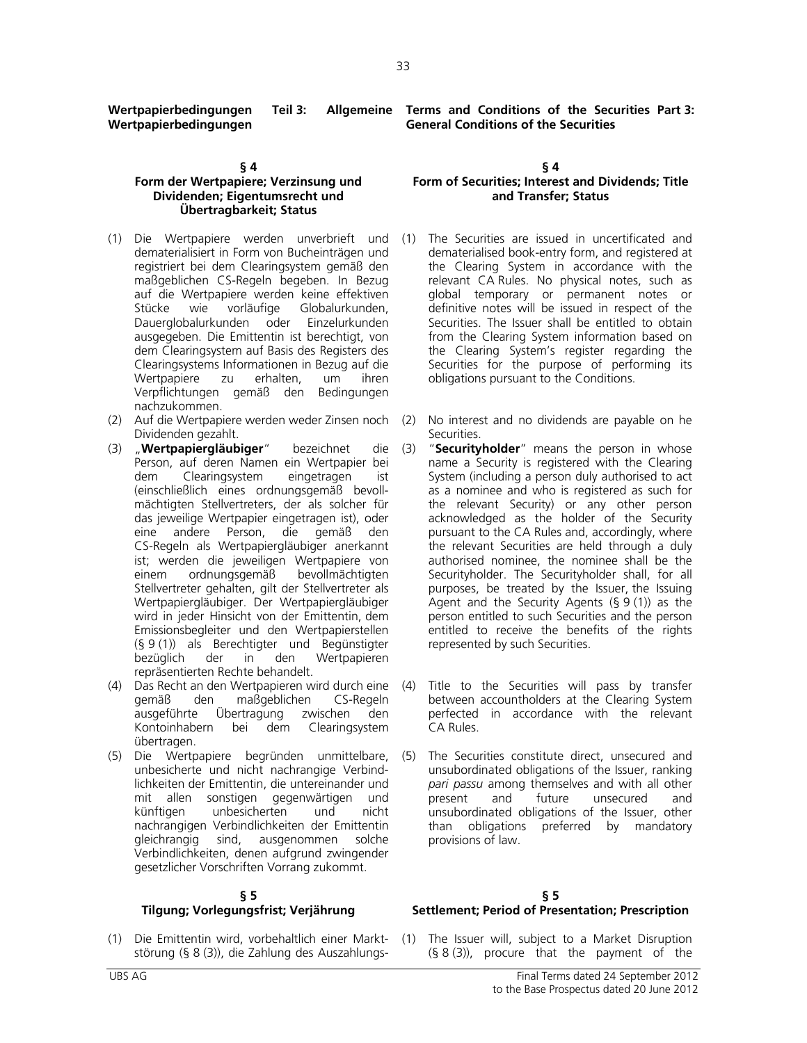**Wertpapierbedingungen Teil 3: Wertpapierbedingungen** 

#### **§ 4**

# **Form der Wertpapiere; Verzinsung und Dividenden; Eigentumsrecht und Übertragbarkeit; Status**

- (1) Die Wertpapiere werden unverbrieft und dematerialisiert in Form von Bucheinträgen und registriert bei dem Clearingsystem gemäß den maßgeblichen CS-Regeln begeben. In Bezug auf die Wertpapiere werden keine effektiven Stücke wie vorläufige Globalurkunden, Dauerglobalurkunden oder Einzelurkunden ausgegeben. Die Emittentin ist berechtigt, von dem Clearingsystem auf Basis des Registers des Clearingsystems Informationen in Bezug auf die Wertpapiere zu erhalten, um ihren Verpflichtungen gemäß den Bedingungen nachzukommen.
- (2) Auf die Wertpapiere werden weder Zinsen noch Dividenden gezahlt.
- (3) "**Wertpapiergläubiger**" bezeichnet die Person, auf deren Namen ein Wertpapier bei<br>dem Clearingsystem eingetragen ist dem Clearingsystem eingetragen ist (einschließlich eines ordnungsgemäß bevollmächtigten Stellvertreters, der als solcher für das jeweilige Wertpapier eingetragen ist), oder eine andere Person, die gemäß den CS-Regeln als Wertpapiergläubiger anerkannt ist; werden die jeweiligen Wertpapiere von<br>einem ordnungsgemäß bevollmächtigten einem ordnungsgemäß bevollmächtigten Stellvertreter gehalten, gilt der Stellvertreter als Wertpapiergläubiger. Der Wertpapiergläubiger wird in jeder Hinsicht von der Emittentin, dem Emissionsbegleiter und den Wertpapierstellen (§ 9 (1)) als Berechtigter und Begünstigter bezüglich der in den Wertpapieren repräsentierten Rechte behandelt.
- (4) Das Recht an den Wertpapieren wird durch eine den maßgeblichen CS-Regeln ausgeführte Übertragung zwischen den Kontoinhabern bei dem Clearingsystem übertragen.
- (5) Die Wertpapiere begründen unmittelbare, unbesicherte und nicht nachrangige Verbindlichkeiten der Emittentin, die untereinander und mit allen sonstigen gegenwärtigen und<br>künftigen unbesicherten und nicht unbesicherten nachrangigen Verbindlichkeiten der Emittentin gleichrangig sind, ausgenommen solche Verbindlichkeiten, denen aufgrund zwingender gesetzlicher Vorschriften Vorrang zukommt.

#### **§ 5 Tilgung; Vorlegungsfrist; Verjährung**

(1) Die Emittentin wird, vorbehaltlich einer Marktstörung (§ 8 (3)), die Zahlung des Auszahlungs-

**Terms and Conditions of the Securities Part 3: General Conditions of the Securities** 

#### **§ 4 Form of Securities; Interest and Dividends; Title and Transfer; Status**

- The Securities are issued in uncertificated and dematerialised book-entry form, and registered at the Clearing System in accordance with the relevant CA Rules. No physical notes, such as global temporary or permanent notes or definitive notes will be issued in respect of the Securities. The Issuer shall be entitled to obtain from the Clearing System information based on the Clearing System's register regarding the Securities for the purpose of performing its obligations pursuant to the Conditions.
- (2) No interest and no dividends are payable on he Securities.
- (3) "**Securityholder**" means the person in whose name a Security is registered with the Clearing System (including a person duly authorised to act as a nominee and who is registered as such for the relevant Security) or any other person acknowledged as the holder of the Security pursuant to the CA Rules and, accordingly, where the relevant Securities are held through a duly authorised nominee, the nominee shall be the Securityholder. The Securityholder shall, for all purposes, be treated by the Issuer, the Issuing Agent and the Security Agents  $(§ 9(1))$  as the person entitled to such Securities and the person entitled to receive the benefits of the rights represented by such Securities.
- Title to the Securities will pass by transfer between accountholders at the Clearing System perfected in accordance with the relevant CA Rules.
- (5) The Securities constitute direct, unsecured and unsubordinated obligations of the Issuer, ranking *pari passu* among themselves and with all other present and future unsecured and unsubordinated obligations of the Issuer, other than obligations preferred by mandatory provisions of law.

#### **§ 5 Settlement; Period of Presentation; Prescription**

The Issuer will, subject to a Market Disruption  $(§ 8 (3))$ , procure that the payment of the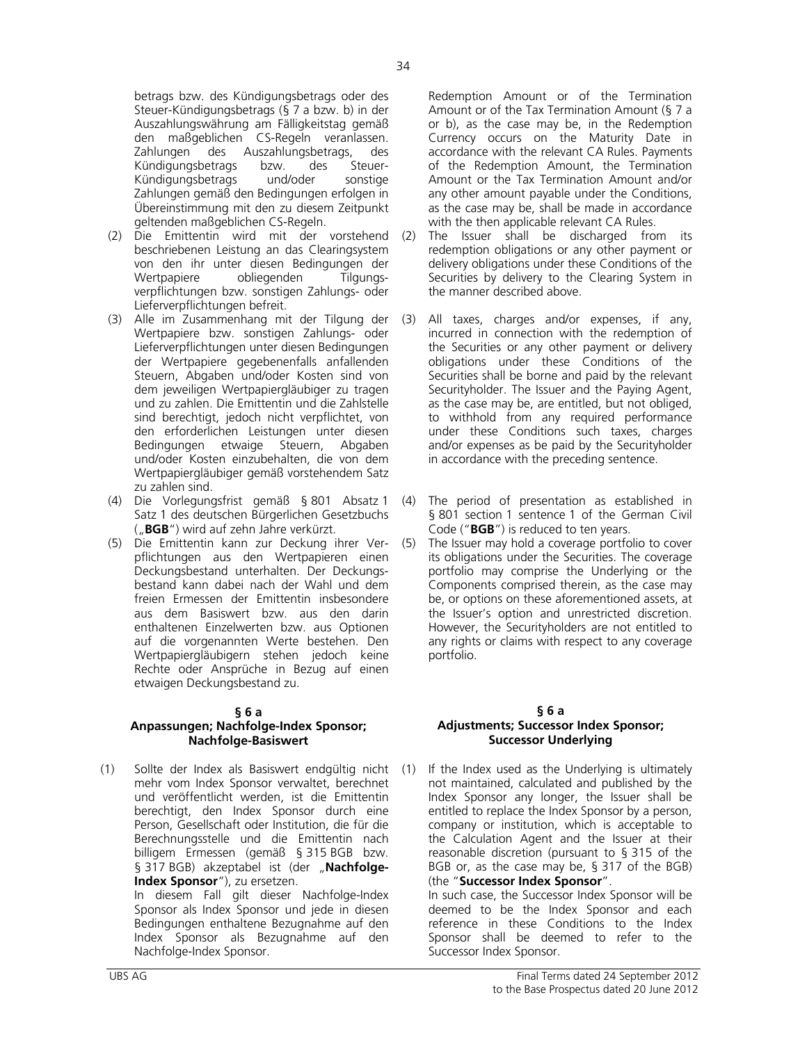betrags bzw. des Kündigungsbetrags oder des Steuer-Kündigungsbetrags (§ 7 a bzw. b) in der Auszahlungswährung am Fälligkeitstag gemäß den maßgeblichen CS-Regeln veranlassen. Zahlungen des Auszahlungsbetrags, des Kündigungsbetrags bzw. des Steuer-Kündigungsbetrags und/oder sonstige Zahlungen gemäß den Bedingungen erfolgen in Übereinstimmung mit den zu diesem Zeitpunkt geltenden maßgeblichen CS-Regeln.

- (2) Die Emittentin wird mit der vorstehend beschriebenen Leistung an das Clearingsystem von den ihr unter diesen Bedingungen der Wertpapiere obliegenden Tilgungsverpflichtungen bzw. sonstigen Zahlungs- oder Lieferverpflichtungen befreit.
- (3) Alle im Zusammenhang mit der Tilgung der Wertpapiere bzw. sonstigen Zahlungs- oder Lieferverpflichtungen unter diesen Bedingungen der Wertpapiere gegebenenfalls anfallenden Steuern, Abgaben und/oder Kosten sind von dem jeweiligen Wertpapiergläubiger zu tragen und zu zahlen. Die Emittentin und die Zahlstelle sind berechtigt, jedoch nicht verpflichtet, von den erforderlichen Leistungen unter diesen Bedingungen etwaige Steuern, Abgaben und/oder Kosten einzubehalten, die von dem Wertpapiergläubiger gemäß vorstehendem Satz zu zahlen sind.
- (4) Die Vorlegungsfrist gemäß § 801 Absatz 1 Satz 1 des deutschen Bürgerlichen Gesetzbuchs ("**BGB**") wird auf zehn Jahre verkürzt.
- (5) Die Emittentin kann zur Deckung ihrer Verpflichtungen aus den Wertpapieren einen Deckungsbestand unterhalten. Der Deckungsbestand kann dabei nach der Wahl und dem freien Ermessen der Emittentin insbesondere aus dem Basiswert bzw. aus den darin enthaltenen Einzelwerten bzw. aus Optionen auf die vorgenannten Werte bestehen. Den Wertpapiergläubigern stehen jedoch keine Rechte oder Ansprüche in Bezug auf einen etwaigen Deckungsbestand zu.

#### **§ 6 a**

#### **Anpassungen; Nachfolge-Index Sponsor; Nachfolge-Basiswert**

(1) Sollte der Index als Basiswert endgültig nicht mehr vom Index Sponsor verwaltet, berechnet und veröffentlicht werden, ist die Emittentin berechtigt, den Index Sponsor durch eine Person, Gesellschaft oder Institution, die für die Berechnungsstelle und die Emittentin nach billigem Ermessen (gemäß § 315 BGB bzw. § 317 BGB) akzeptabel ist (der "Nachfolge-**Index Sponsor**"), zu ersetzen. In diesem Fall gilt dieser Nachfolge-Index

Sponsor als Index Sponsor und jede in diesen Bedingungen enthaltene Bezugnahme auf den Index Sponsor als Bezugnahme auf den Nachfolge-Index Sponsor.

Redemption Amount or of the Termination Amount or of the Tax Termination Amount (§ 7 a or b), as the case may be, in the Redemption Currency occurs on the Maturity Date in accordance with the relevant CA Rules. Payments of the Redemption Amount, the Termination Amount or the Tax Termination Amount and/or any other amount payable under the Conditions, as the case may be, shall be made in accordance with the then applicable relevant CA Rules.

- (2) The Issuer shall be discharged from its redemption obligations or any other payment or delivery obligations under these Conditions of the Securities by delivery to the Clearing System in the manner described above.
- (3) All taxes, charges and/or expenses, if any, incurred in connection with the redemption of the Securities or any other payment or delivery obligations under these Conditions of the Securities shall be borne and paid by the relevant Securityholder. The Issuer and the Paying Agent, as the case may be, are entitled, but not obliged, to withhold from any required performance under these Conditions such taxes, charges and/or expenses as be paid by the Securityholder in accordance with the preceding sentence.
- (4) The period of presentation as established in § 801 section 1 sentence 1 of the German Civil Code ("**BGB**") is reduced to ten years.
- (5) The Issuer may hold a coverage portfolio to cover its obligations under the Securities. The coverage portfolio may comprise the Underlying or the Components comprised therein, as the case may be, or options on these aforementioned assets, at the Issuer's option and unrestricted discretion. However, the Securityholders are not entitled to any rights or claims with respect to any coverage portfolio.

#### **§ 6 a Adjustments; Successor Index Sponsor; Successor Underlying**

If the Index used as the Underlying is ultimately not maintained, calculated and published by the Index Sponsor any longer, the Issuer shall be entitled to replace the Index Sponsor by a person, company or institution, which is acceptable to the Calculation Agent and the Issuer at their reasonable discretion (pursuant to § 315 of the BGB or, as the case may be, § 317 of the BGB) (the "**Successor Index Sponsor**".

 In such case, the Successor Index Sponsor will be deemed to be the Index Sponsor and each reference in these Conditions to the Index Sponsor shall be deemed to refer to the Successor Index Sponsor.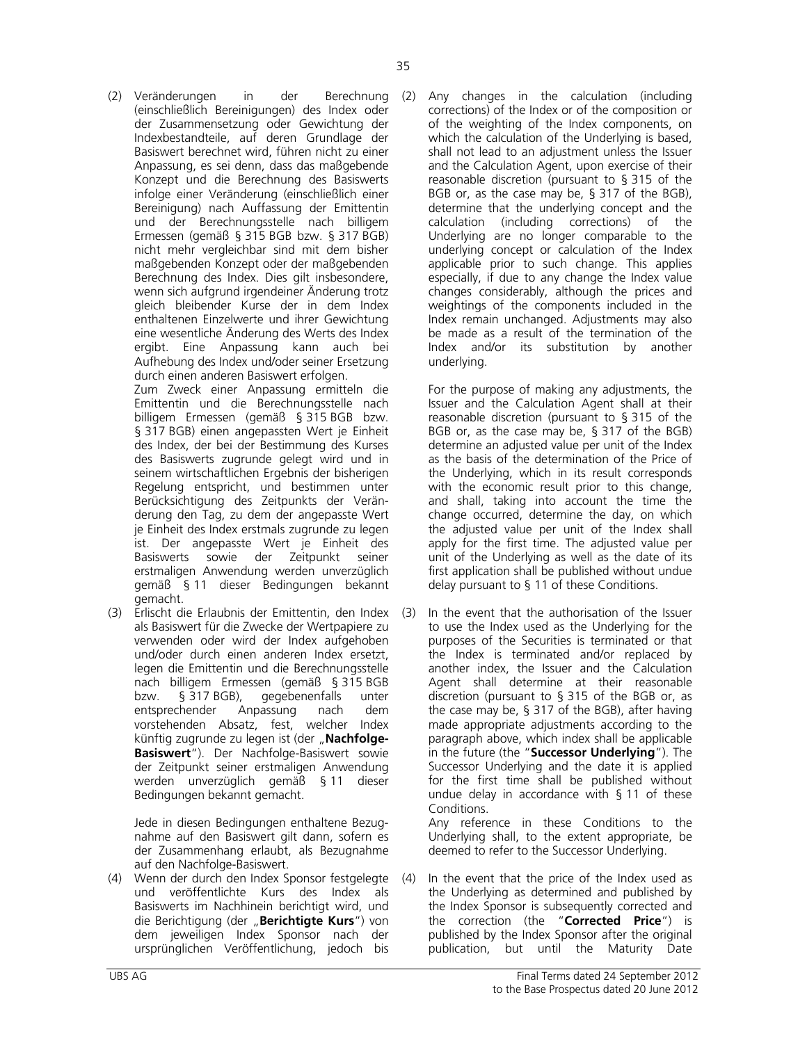(2) Veränderungen in der Berechnung (einschließlich Bereinigungen) des Index oder der Zusammensetzung oder Gewichtung der Indexbestandteile, auf deren Grundlage der Basiswert berechnet wird, führen nicht zu einer Anpassung, es sei denn, dass das maßgebende Konzept und die Berechnung des Basiswerts infolge einer Veränderung (einschließlich einer Bereinigung) nach Auffassung der Emittentin und der Berechnungsstelle nach billigem Ermessen (gemäß § 315 BGB bzw. § 317 BGB) nicht mehr vergleichbar sind mit dem bisher maßgebenden Konzept oder der maßgebenden Berechnung des Index. Dies gilt insbesondere, wenn sich aufgrund irgendeiner Änderung trotz gleich bleibender Kurse der in dem Index enthaltenen Einzelwerte und ihrer Gewichtung eine wesentliche Änderung des Werts des Index ergibt. Eine Anpassung kann auch bei Aufhebung des Index und/oder seiner Ersetzung durch einen anderen Basiswert erfolgen.

 Zum Zweck einer Anpassung ermitteln die Emittentin und die Berechnungsstelle nach billigem Ermessen (gemäß § 315 BGB bzw. § 317 BGB) einen angepassten Wert je Einheit des Index, der bei der Bestimmung des Kurses des Basiswerts zugrunde gelegt wird und in seinem wirtschaftlichen Ergebnis der bisherigen Regelung entspricht, und bestimmen unter Berücksichtigung des Zeitpunkts der Veränderung den Tag, zu dem der angepasste Wert je Einheit des Index erstmals zugrunde zu legen ist. Der angepasste Wert je Einheit des<br>Basiswerts sowie der Zeitpunkt seiner der Zeitpunkt seiner erstmaligen Anwendung werden unverzüglich gemäß § 11 dieser Bedingungen bekannt gemacht.

(3) Erlischt die Erlaubnis der Emittentin, den Index als Basiswert für die Zwecke der Wertpapiere zu verwenden oder wird der Index aufgehoben und/oder durch einen anderen Index ersetzt, legen die Emittentin und die Berechnungsstelle nach billigem Ermessen (gemäß § 315 BGB<br>bzw. § 317 BGB), gegebenenfalls unter bzw. § 317 BGB), gegebenenfalls unter entsprechender Anpassung nach dem vorstehenden Absatz, fest, welcher Index künftig zugrunde zu legen ist (der "Nachfolge-**Basiswert**"). Der Nachfolge-Basiswert sowie der Zeitpunkt seiner erstmaligen Anwendung werden unverzüglich gemäß § 11 dieser Bedingungen bekannt gemacht.

 Jede in diesen Bedingungen enthaltene Bezugnahme auf den Basiswert gilt dann, sofern es der Zusammenhang erlaubt, als Bezugnahme auf den Nachfolge-Basiswert.

(4) Wenn der durch den Index Sponsor festgelegte und veröffentlichte Kurs des Index als Basiswerts im Nachhinein berichtigt wird, und die Berichtigung (der "**Berichtigte Kurs**") von dem jeweiligen Index Sponsor nach der ursprünglichen Veröffentlichung, jedoch bis

Any changes in the calculation (including corrections) of the Index or of the composition or of the weighting of the Index components, on which the calculation of the Underlying is based, shall not lead to an adjustment unless the Issuer and the Calculation Agent, upon exercise of their reasonable discretion (pursuant to § 315 of the BGB or, as the case may be, § 317 of the BGB), determine that the underlying concept and the calculation (including corrections) of the Underlying are no longer comparable to the underlying concept or calculation of the Index applicable prior to such change. This applies especially, if due to any change the Index value changes considerably, although the prices and weightings of the components included in the Index remain unchanged. Adjustments may also be made as a result of the termination of the Index and/or its substitution by another underlying.

 For the purpose of making any adjustments, the Issuer and the Calculation Agent shall at their reasonable discretion (pursuant to § 315 of the BGB or, as the case may be, § 317 of the BGB) determine an adjusted value per unit of the Index as the basis of the determination of the Price of the Underlying, which in its result corresponds with the economic result prior to this change, and shall, taking into account the time the change occurred, determine the day, on which the adjusted value per unit of the Index shall apply for the first time. The adjusted value per unit of the Underlying as well as the date of its first application shall be published without undue delay pursuant to § 11 of these Conditions.

In the event that the authorisation of the Issuer to use the Index used as the Underlying for the purposes of the Securities is terminated or that the Index is terminated and/or replaced by another index, the Issuer and the Calculation Agent shall determine at their reasonable discretion (pursuant to § 315 of the BGB or, as the case may be, § 317 of the BGB), after having made appropriate adjustments according to the paragraph above, which index shall be applicable in the future (the "**Successor Underlying**"). The Successor Underlying and the date it is applied for the first time shall be published without undue delay in accordance with § 11 of these Conditions. Any reference in these Conditions to the

Underlying shall, to the extent appropriate, be deemed to refer to the Successor Underlying.

In the event that the price of the Index used as the Underlying as determined and published by the Index Sponsor is subsequently corrected and the correction (the "**Corrected Price**") is published by the Index Sponsor after the original publication, but until the Maturity Date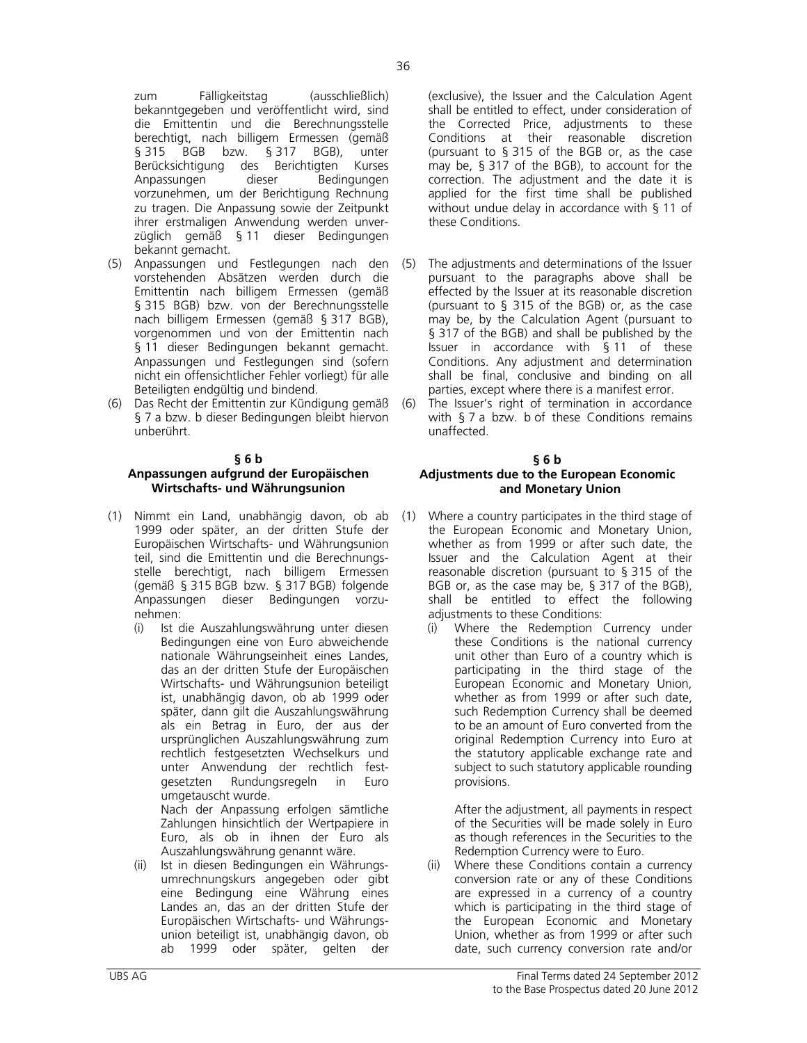zum Fälligkeitstag (ausschließlich) bekanntgegeben und veröffentlicht wird, sind die Emittentin und die Berechnungsstelle berechtigt, nach billigem Ermessen (gemäß<br>§ 315 BGB bzw. § 317 BGB), unter § 315 BGB bzw. § 317 BGB), unter Berücksichtigung des Berichtigten Kurses Anpassungen dieser Bedingungen vorzunehmen, um der Berichtigung Rechnung zu tragen. Die Anpassung sowie der Zeitpunkt ihrer erstmaligen Anwendung werden unverzüglich gemäß § 11 dieser Bedingungen bekannt gemacht.

- (5) Anpassungen und Festlegungen nach den vorstehenden Absätzen werden durch die Emittentin nach billigem Ermessen (gemäß § 315 BGB) bzw. von der Berechnungsstelle nach billigem Ermessen (gemäß § 317 BGB), vorgenommen und von der Emittentin nach § 11 dieser Bedingungen bekannt gemacht. Anpassungen und Festlegungen sind (sofern nicht ein offensichtlicher Fehler vorliegt) für alle Beteiligten endgültig und bindend.
- (6) Das Recht der Emittentin zur Kündigung gemäß § 7 a bzw. b dieser Bedingungen bleibt hiervon unberührt.

#### **§ 6 b**

# **Anpassungen aufgrund der Europäischen Wirtschafts- und Währungsunion**

- (1) Nimmt ein Land, unabhängig davon, ob ab 1999 oder später, an der dritten Stufe der Europäischen Wirtschafts- und Währungsunion teil, sind die Emittentin und die Berechnungsstelle berechtigt, nach billigem Ermessen (gemäß § 315 BGB bzw. § 317 BGB) folgende Anpassungen dieser Bedingungen vorzunehmen:
	- (i) Ist die Auszahlungswährung unter diesen Bedingungen eine von Euro abweichende nationale Währungseinheit eines Landes, das an der dritten Stufe der Europäischen Wirtschafts- und Währungsunion beteiligt ist, unabhängig davon, ob ab 1999 oder später, dann gilt die Auszahlungswährung als ein Betrag in Euro, der aus der ursprünglichen Auszahlungswährung zum rechtlich festgesetzten Wechselkurs und unter Anwendung der rechtlich festgesetzten Rundungsregeln in Euro umgetauscht wurde.

Nach der Anpassung erfolgen sämtliche Zahlungen hinsichtlich der Wertpapiere in Euro, als ob in ihnen der Euro als Auszahlungswährung genannt wäre.

(ii) Ist in diesen Bedingungen ein Währungsumrechnungskurs angegeben oder gibt eine Bedingung eine Währung eines Landes an, das an der dritten Stufe der Europäischen Wirtschafts- und Währungsunion beteiligt ist, unabhängig davon, ob ab 1999 oder später, gelten der

(exclusive), the Issuer and the Calculation Agent shall be entitled to effect, under consideration of the Corrected Price, adjustments to these Conditions at their reasonable discretion (pursuant to § 315 of the BGB or, as the case may be, § 317 of the BGB), to account for the correction. The adjustment and the date it is applied for the first time shall be published without undue delay in accordance with § 11 of these Conditions.

- (5) The adjustments and determinations of the Issuer pursuant to the paragraphs above shall be effected by the Issuer at its reasonable discretion (pursuant to § 315 of the BGB) or, as the case may be, by the Calculation Agent (pursuant to § 317 of the BGB) and shall be published by the Issuer in accordance with § 11 of these Conditions. Any adjustment and determination shall be final, conclusive and binding on all parties, except where there is a manifest error.
- (6) The Issuer's right of termination in accordance with § 7 a bzw. b of these Conditions remains unaffected.

#### **§ 6 b Adjustments due to the European Economic and Monetary Union**

- (1) Where a country participates in the third stage of the European Economic and Monetary Union, whether as from 1999 or after such date, the Issuer and the Calculation Agent at their reasonable discretion (pursuant to § 315 of the BGB or, as the case may be, § 317 of the BGB), shall be entitled to effect the following adjustments to these Conditions:
	- (i) Where the Redemption Currency under these Conditions is the national currency unit other than Euro of a country which is participating in the third stage of the European Economic and Monetary Union, whether as from 1999 or after such date, such Redemption Currency shall be deemed to be an amount of Euro converted from the original Redemption Currency into Euro at the statutory applicable exchange rate and subject to such statutory applicable rounding provisions.

After the adjustment, all payments in respect of the Securities will be made solely in Euro as though references in the Securities to the Redemption Currency were to Euro.

(ii) Where these Conditions contain a currency conversion rate or any of these Conditions are expressed in a currency of a country which is participating in the third stage of the European Economic and Monetary Union, whether as from 1999 or after such date, such currency conversion rate and/or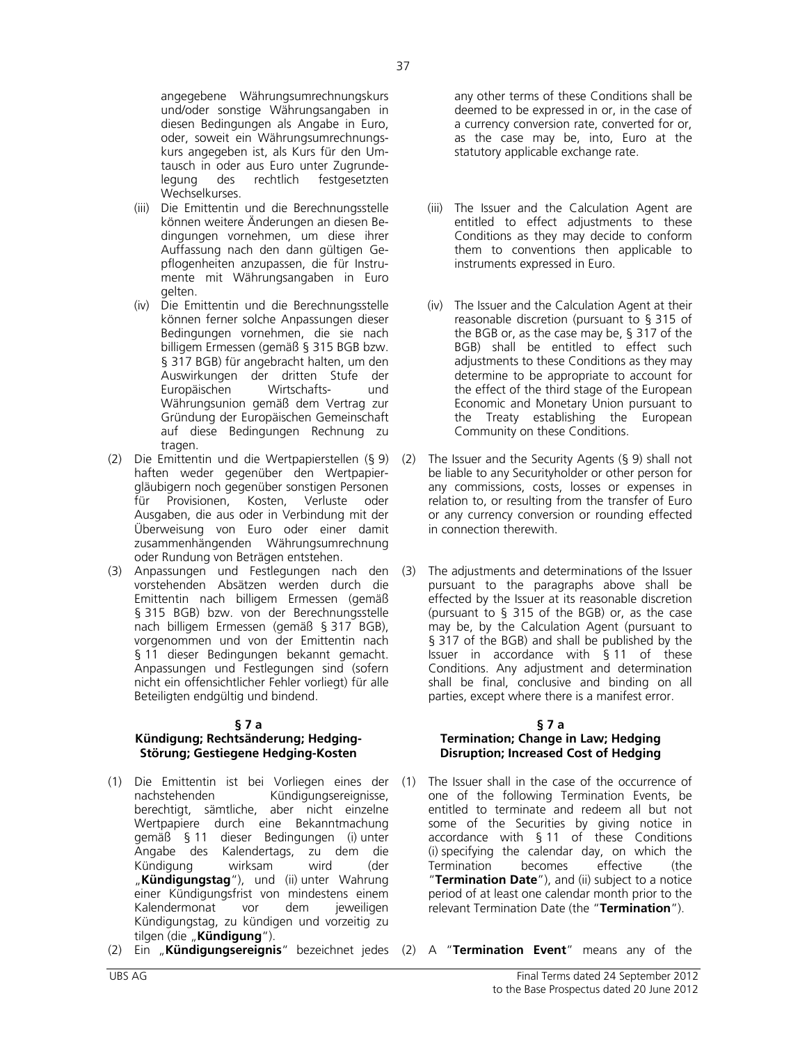angegebene Währungsumrechnungskurs und/oder sonstige Währungsangaben in diesen Bedingungen als Angabe in Euro, oder, soweit ein Währungsumrechnungskurs angegeben ist, als Kurs für den Umtausch in oder aus Euro unter Zugrundelegung des rechtlich festgesetzten Wechselkurses.

- (iii) Die Emittentin und die Berechnungsstelle können weitere Änderungen an diesen Bedingungen vornehmen, um diese ihrer Auffassung nach den dann gültigen Gepflogenheiten anzupassen, die für Instrumente mit Währungsangaben in Euro gelten.
- (iv) Die Emittentin und die Berechnungsstelle können ferner solche Anpassungen dieser Bedingungen vornehmen, die sie nach billigem Ermessen (gemäß § 315 BGB bzw. § 317 BGB) für angebracht halten, um den Auswirkungen der dritten Stufe der Europäischen Wirtschafts- und Währungsunion gemäß dem Vertrag zur Gründung der Europäischen Gemeinschaft auf diese Bedingungen Rechnung zu tragen.
- (2) Die Emittentin und die Wertpapierstellen (§ 9) haften weder gegenüber den Wertpapiergläubigern noch gegenüber sonstigen Personen für Provisionen, Kosten, Verluste oder Ausgaben, die aus oder in Verbindung mit der Überweisung von Euro oder einer damit zusammenhängenden Währungsumrechnung oder Rundung von Beträgen entstehen.
- (3) Anpassungen und Festlegungen nach den vorstehenden Absätzen werden durch die Emittentin nach billigem Ermessen (gemäß § 315 BGB) bzw. von der Berechnungsstelle nach billigem Ermessen (gemäß § 317 BGB), vorgenommen und von der Emittentin nach § 11 dieser Bedingungen bekannt gemacht. Anpassungen und Festlegungen sind (sofern nicht ein offensichtlicher Fehler vorliegt) für alle Beteiligten endgültig und bindend.

# **§ 7 a**

#### **Kündigung; Rechtsänderung; Hedging-Störung; Gestiegene Hedging-Kosten**

- (1) Die Emittentin ist bei Vorliegen eines der nachstehenden Kündigungsereignisse, berechtigt, sämtliche, aber nicht einzelne Wertpapiere durch eine Bekanntmachung gemäß § 11 dieser Bedingungen (i) unter Angabe des Kalendertags, zu dem die Kündigung wirksam wird (der "**Kündigungstag**"), und (ii) unter Wahrung einer Kündigungsfrist von mindestens einem Kalendermonat vor dem jeweiligen Kündigungstag, zu kündigen und vorzeitig zu tilgen (die "**Kündigung**").
- (2) Ein "**Kündigungsereignis**" bezeichnet jedes (2) A "**Termination Event**" means any of the

any other terms of these Conditions shall be deemed to be expressed in or, in the case of a currency conversion rate, converted for or, as the case may be, into, Euro at the statutory applicable exchange rate.

- (iii) The Issuer and the Calculation Agent are entitled to effect adjustments to these Conditions as they may decide to conform them to conventions then applicable to instruments expressed in Euro.
- (iv) The Issuer and the Calculation Agent at their reasonable discretion (pursuant to § 315 of the BGB or, as the case may be, § 317 of the BGB) shall be entitled to effect such adjustments to these Conditions as they may determine to be appropriate to account for the effect of the third stage of the European Economic and Monetary Union pursuant to the Treaty establishing the European Community on these Conditions.
- (2) The Issuer and the Security Agents (§ 9) shall not be liable to any Securityholder or other person for any commissions, costs, losses or expenses in relation to, or resulting from the transfer of Euro or any currency conversion or rounding effected in connection therewith.
- (3) The adjustments and determinations of the Issuer pursuant to the paragraphs above shall be effected by the Issuer at its reasonable discretion (pursuant to § 315 of the BGB) or, as the case may be, by the Calculation Agent (pursuant to § 317 of the BGB) and shall be published by the Issuer in accordance with § 11 of these Conditions. Any adjustment and determination shall be final, conclusive and binding on all parties, except where there is a manifest error.

### **§ 7 a Termination; Change in Law; Hedging Disruption; Increased Cost of Hedging**

- (1) The Issuer shall in the case of the occurrence of one of the following Termination Events, be entitled to terminate and redeem all but not some of the Securities by giving notice in accordance with § 11 of these Conditions (i) specifying the calendar day, on which the Termination becomes effective (the "**Termination Date**"), and (ii) subject to a notice period of at least one calendar month prior to the relevant Termination Date (the "**Termination**").
	-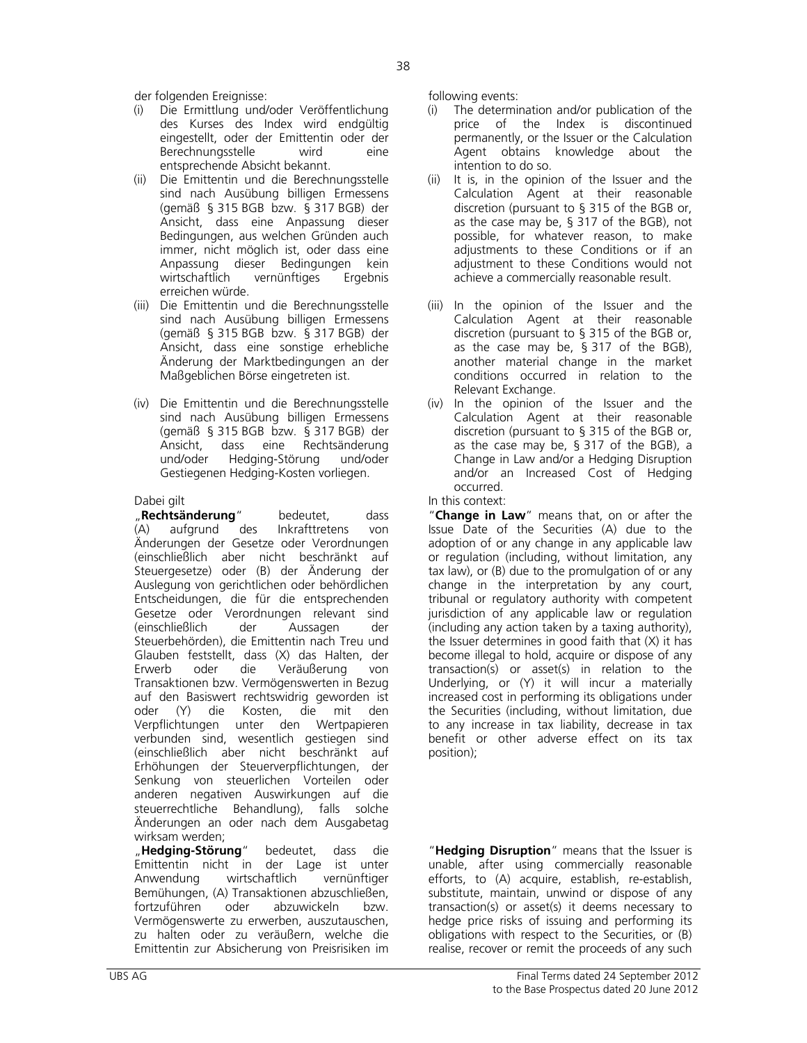der folgenden Ereignisse: following events:

- (i) Die Ermittlung und/oder Veröffentlichung des Kurses des Index wird endgültig eingestellt, oder der Emittentin oder der Berechnungsstelle wird eine entsprechende Absicht bekannt.
- (ii) Die Emittentin und die Berechnungsstelle sind nach Ausübung billigen Ermessens (gemäß § 315 BGB bzw. § 317 BGB) der Ansicht, dass eine Anpassung dieser Bedingungen, aus welchen Gründen auch immer, nicht möglich ist, oder dass eine Anpassung dieser Bedingungen kein wirtschaftlich vernünftiges Ergebnis erreichen würde.
- (iii) Die Emittentin und die Berechnungsstelle sind nach Ausübung billigen Ermessens (gemäß § 315 BGB bzw. § 317 BGB) der Ansicht, dass eine sonstige erhebliche Änderung der Marktbedingungen an der Maßgeblichen Börse eingetreten ist.
- (iv) Die Emittentin und die Berechnungsstelle sind nach Ausübung billigen Ermessens (gemäß § 315 BGB bzw. § 317 BGB) der Ansicht, dass eine Rechtsänderung und/oder Hedging-Störung und/oder Gestiegenen Hedging-Kosten vorliegen.

**Rechtsänderung**" bedeutet, dass<br>(A) aufgrund des Inkrafttretens von (A) aufgrund des Inkrafttretens von Änderungen der Gesetze oder Verordnungen (einschließlich aber nicht beschränkt auf Steuergesetze) oder (B) der Änderung der Auslegung von gerichtlichen oder behördlichen Entscheidungen, die für die entsprechenden Gesetze oder Verordnungen relevant sind (einschließlich der Aussagen der Steuerbehörden), die Emittentin nach Treu und Glauben feststellt, dass (X) das Halten, der Erwerb oder die Veräußerung von Transaktionen bzw. Vermögenswerten in Bezug auf den Basiswert rechtswidrig geworden ist oder (Y) die Kosten, die mit den Verpflichtungen unter den Wertpapieren verbunden sind, wesentlich gestiegen sind (einschließlich aber nicht beschränkt auf Erhöhungen der Steuerverpflichtungen, der Senkung von steuerlichen Vorteilen oder anderen negativen Auswirkungen auf die steuerrechtliche Behandlung), falls solche Änderungen an oder nach dem Ausgabetag wirksam werden;

 "**Hedging-Störung**" bedeutet, dass die Emittentin nicht in der Lage ist unter Anwendung wirtschaftlich vernünftiger Bemühungen, (A) Transaktionen abzuschließen, fortzuführen oder abzuwickeln bzw. Vermögenswerte zu erwerben, auszutauschen, zu halten oder zu veräußern, welche die Emittentin zur Absicherung von Preisrisiken im

- (i) The determination and/or publication of the price of the Index is discontinued permanently, or the Issuer or the Calculation Agent obtains knowledge about the intention to do so.
- (ii) It is, in the opinion of the Issuer and the Calculation Agent at their reasonable discretion (pursuant to § 315 of the BGB or, as the case may be, § 317 of the BGB), not possible, for whatever reason, to make adjustments to these Conditions or if an adjustment to these Conditions would not achieve a commercially reasonable result.
- (iii) In the opinion of the Issuer and the Calculation Agent at their reasonable discretion (pursuant to § 315 of the BGB or, as the case may be, § 317 of the BGB), another material change in the market conditions occurred in relation to the Relevant Exchange.
- (iv) In the opinion of the Issuer and the Calculation Agent at their reasonable discretion (pursuant to § 315 of the BGB or, as the case may be, § 317 of the BGB), a Change in Law and/or a Hedging Disruption and/or an Increased Cost of Hedging occurred.

# Dabei gilt **In this context:**

 "**Change in Law**" means that, on or after the Issue Date of the Securities (A) due to the adoption of or any change in any applicable law or regulation (including, without limitation, any tax law), or (B) due to the promulgation of or any change in the interpretation by any court, tribunal or regulatory authority with competent jurisdiction of any applicable law or regulation (including any action taken by a taxing authority), the Issuer determines in good faith that (X) it has become illegal to hold, acquire or dispose of any transaction(s) or asset(s) in relation to the Underlying, or (Y) it will incur a materially increased cost in performing its obligations under the Securities (including, without limitation, due to any increase in tax liability, decrease in tax benefit or other adverse effect on its tax position);

 "**Hedging Disruption**" means that the Issuer is unable, after using commercially reasonable efforts, to (A) acquire, establish, re-establish, substitute, maintain, unwind or dispose of any transaction(s) or asset(s) it deems necessary to hedge price risks of issuing and performing its obligations with respect to the Securities, or (B) realise, recover or remit the proceeds of any such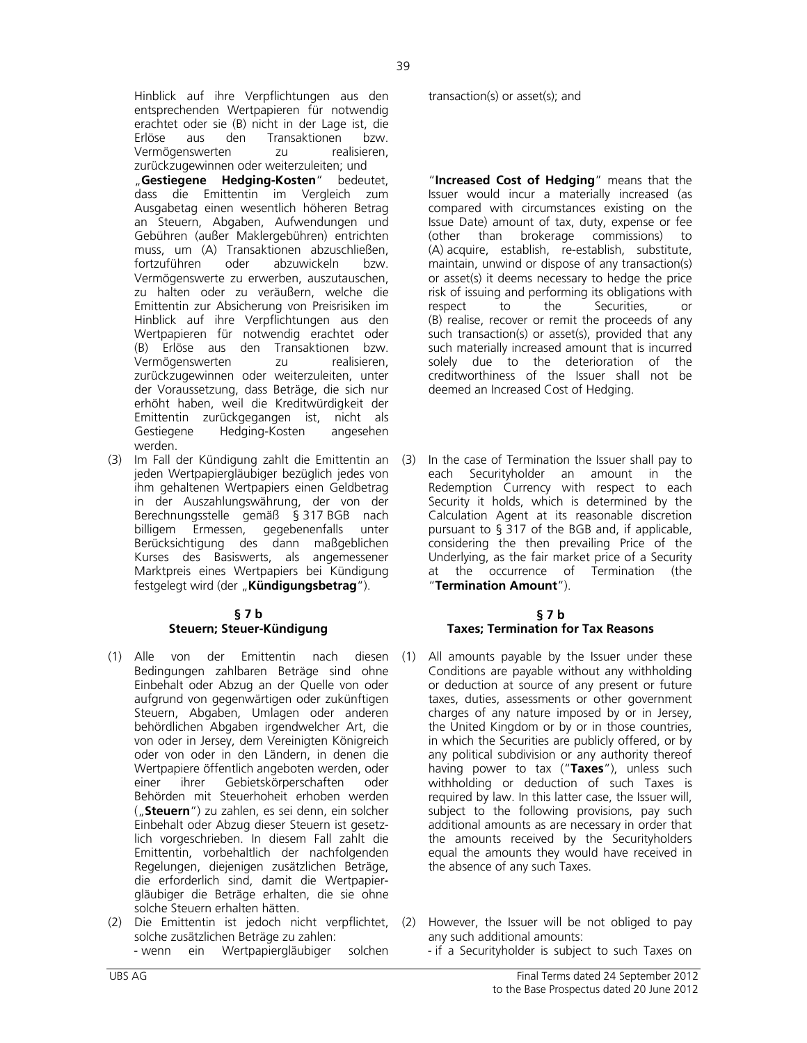Hinblick auf ihre Verpflichtungen aus den entsprechenden Wertpapieren für notwendig erachtet oder sie (B) nicht in der Lage ist, die Erlöse aus den Transaktionen bzw. Vermögenswerten zu realisieren, zurückzugewinnen oder weiterzuleiten; und "Gestiegene Hedging-Kosten" bedeutet, dass die Emittentin im Vergleich zum Ausgabetag einen wesentlich höheren Betrag an Steuern, Abgaben, Aufwendungen und Gebühren (außer Maklergebühren) entrichten muss, um (A) Transaktionen abzuschließen, fortzuführen oder abzuwickeln bzw. Vermögenswerte zu erwerben, auszutauschen, zu halten oder zu veräußern, welche die Emittentin zur Absicherung von Preisrisiken im Hinblick auf ihre Verpflichtungen aus den Wertpapieren für notwendig erachtet oder (B) Erlöse aus den Transaktionen bzw. Vermögenswerten zu realisieren, zurückzugewinnen oder weiterzuleiten, unter der Voraussetzung, dass Beträge, die sich nur erhöht haben, weil die Kreditwürdigkeit der Emittentin zurückgegangen ist, nicht als Gestiegene Hedging-Kosten angesehen werden.

(3) Im Fall der Kündigung zahlt die Emittentin an jeden Wertpapiergläubiger bezüglich jedes von ihm gehaltenen Wertpapiers einen Geldbetrag in der Auszahlungswährung, der von der Berechnungsstelle gemäß § 317 BGB nach billigem Ermessen, gegebenenfalls unter Berücksichtigung des dann maßgeblichen Kurses des Basiswerts, als angemessener Marktpreis eines Wertpapiers bei Kündigung festgelegt wird (der "**Kündigungsbetrag**").

# **§ 7 b Steuern; Steuer-Kündigung**

- (1) Alle von der Emittentin nach diesen Bedingungen zahlbaren Beträge sind ohne Einbehalt oder Abzug an der Quelle von oder aufgrund von gegenwärtigen oder zukünftigen Steuern, Abgaben, Umlagen oder anderen behördlichen Abgaben irgendwelcher Art, die von oder in Jersey, dem Vereinigten Königreich oder von oder in den Ländern, in denen die Wertpapiere öffentlich angeboten werden, oder einer ihrer Gebietskörperschaften oder Behörden mit Steuerhoheit erhoben werden ("**Steuern**") zu zahlen, es sei denn, ein solcher Einbehalt oder Abzug dieser Steuern ist gesetzlich vorgeschrieben. In diesem Fall zahlt die Emittentin, vorbehaltlich der nachfolgenden Regelungen, diejenigen zusätzlichen Beträge, die erforderlich sind, damit die Wertpapiergläubiger die Beträge erhalten, die sie ohne solche Steuern erhalten hätten.
- (2) Die Emittentin ist jedoch nicht verpflichtet, solche zusätzlichen Beträge zu zahlen:

transaction(s) or asset(s); and

 "**Increased Cost of Hedging**" means that the Issuer would incur a materially increased (as compared with circumstances existing on the Issue Date) amount of tax, duty, expense or fee (other than brokerage commissions) to (A) acquire, establish, re-establish, substitute, maintain, unwind or dispose of any transaction(s) or asset(s) it deems necessary to hedge the price risk of issuing and performing its obligations with respect to the Securities, or (B) realise, recover or remit the proceeds of any such transaction(s) or asset(s), provided that any such materially increased amount that is incurred solely due to the deterioration of the creditworthiness of the Issuer shall not be deemed an Increased Cost of Hedging.

In the case of Termination the Issuer shall pay to each Securityholder an amount in the Redemption Currency with respect to each Security it holds, which is determined by the Calculation Agent at its reasonable discretion pursuant to § 317 of the BGB and, if applicable, considering the then prevailing Price of the Underlying, as the fair market price of a Security at the occurrence of Termination (the "**Termination Amount**").

#### **§ 7 b Taxes; Termination for Tax Reasons**

- All amounts payable by the Issuer under these Conditions are payable without any withholding or deduction at source of any present or future taxes, duties, assessments or other government charges of any nature imposed by or in Jersey, the United Kingdom or by or in those countries, in which the Securities are publicly offered, or by any political subdivision or any authority thereof having power to tax ("**Taxes**"), unless such withholding or deduction of such Taxes is required by law. In this latter case, the Issuer will, subiect to the following provisions, pay such additional amounts as are necessary in order that the amounts received by the Securityholders equal the amounts they would have received in the absence of any such Taxes.
- (2) However, the Issuer will be not obliged to pay any such additional amounts:
- wenn ein Wertpapiergläubiger solchen if a Securityholder is subject to such Taxes on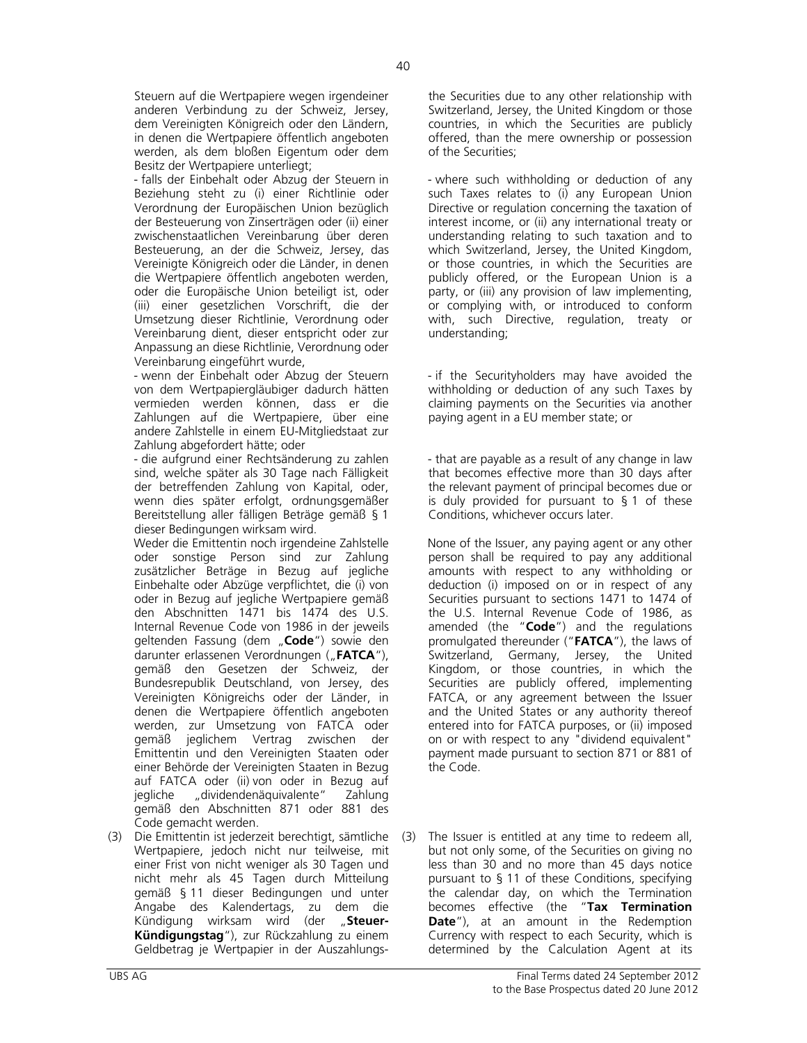Steuern auf die Wertpapiere wegen irgendeiner anderen Verbindung zu der Schweiz, Jersey, dem Vereinigten Königreich oder den Ländern, in denen die Wertpapiere öffentlich angeboten werden, als dem bloßen Eigentum oder dem Besitz der Wertpapiere unterliegt;

- falls der Einbehalt oder Abzug der Steuern in Beziehung steht zu (i) einer Richtlinie oder Verordnung der Europäischen Union bezüglich der Besteuerung von Zinserträgen oder (ii) einer zwischenstaatlichen Vereinbarung über deren Besteuerung, an der die Schweiz, Jersey, das Vereinigte Königreich oder die Länder, in denen die Wertpapiere öffentlich angeboten werden, oder die Europäische Union beteiligt ist, oder (iii) einer gesetzlichen Vorschrift, die der Umsetzung dieser Richtlinie, Verordnung oder Vereinbarung dient, dieser entspricht oder zur Anpassung an diese Richtlinie, Verordnung oder Vereinbarung eingeführt wurde,

- wenn der Einbehalt oder Abzug der Steuern von dem Wertpapiergläubiger dadurch hätten vermieden werden können, dass er die Zahlungen auf die Wertpapiere, über eine andere Zahlstelle in einem EU-Mitgliedstaat zur Zahlung abgefordert hätte; oder

- die aufgrund einer Rechtsänderung zu zahlen sind, welche später als 30 Tage nach Fälligkeit der betreffenden Zahlung von Kapital, oder, wenn dies später erfolgt, ordnungsgemäßer Bereitstellung aller fälligen Beträge gemäß § 1 dieser Bedingungen wirksam wird.

Weder die Emittentin noch irgendeine Zahlstelle oder sonstige Person sind zur Zahlung zusätzlicher Beträge in Bezug auf jegliche Einbehalte oder Abzüge verpflichtet, die (i) von oder in Bezug auf jegliche Wertpapiere gemäß den Abschnitten 1471 bis 1474 des U.S. Internal Revenue Code von 1986 in der jeweils geltenden Fassung (dem "Code") sowie den darunter erlassenen Verordnungen ("**FATCA**"), gemäß den Gesetzen der Schweiz, der Bundesrepublik Deutschland, von Jersey, des Vereinigten Königreichs oder der Länder, in denen die Wertpapiere öffentlich angeboten werden, zur Umsetzung von FATCA oder gemäß jeglichem Vertrag zwischen der Emittentin und den Vereinigten Staaten oder einer Behörde der Vereinigten Staaten in Bezug auf FATCA oder (ii) von oder in Bezug auf jegliche "dividendenäquivalente" Zahlung gemäß den Abschnitten 871 oder 881 des Code gemacht werden.

(3) Die Emittentin ist jederzeit berechtigt, sämtliche Wertpapiere, jedoch nicht nur teilweise, mit einer Frist von nicht weniger als 30 Tagen und nicht mehr als 45 Tagen durch Mitteilung gemäß § 11 dieser Bedingungen und unter Angabe des Kalendertags, zu dem die Kündigung wirksam wird (der "**Steuer-Kündigungstag**"), zur Rückzahlung zu einem Geldbetrag je Wertpapier in der Auszahlungsthe Securities due to any other relationship with Switzerland, Jersey, the United Kingdom or those countries, in which the Securities are publicly offered, than the mere ownership or possession of the Securities;

- where such withholding or deduction of any such Taxes relates to (i) any European Union Directive or regulation concerning the taxation of interest income, or (ii) any international treaty or understanding relating to such taxation and to which Switzerland, Jersey, the United Kingdom, or those countries, in which the Securities are publicly offered, or the European Union is a party, or (iii) any provision of law implementing, or complying with, or introduced to conform with, such Directive, regulation, treaty or understanding;

- if the Securityholders may have avoided the withholding or deduction of any such Taxes by claiming payments on the Securities via another paying agent in a EU member state; or

- that are payable as a result of any change in law that becomes effective more than 30 days after the relevant payment of principal becomes due or is duly provided for pursuant to § 1 of these Conditions, whichever occurs later.

None of the Issuer, any paying agent or any other person shall be required to pay any additional amounts with respect to any withholding or deduction (i) imposed on or in respect of any Securities pursuant to sections 1471 to 1474 of the U.S. Internal Revenue Code of 1986, as amended (the "**Code**") and the regulations promulgated thereunder ("**FATCA**"), the laws of Switzerland, Germany, Jersey, the United Kingdom, or those countries, in which the Securities are publicly offered, implementing FATCA, or any agreement between the Issuer and the United States or any authority thereof entered into for FATCA purposes, or (ii) imposed on or with respect to any "dividend equivalent" payment made pursuant to section 871 or 881 of the Code.

(3) The Issuer is entitled at any time to redeem all, but not only some, of the Securities on giving no less than 30 and no more than 45 days notice pursuant to § 11 of these Conditions, specifying the calendar day, on which the Termination becomes effective (the "**Tax Termination Date**"), at an amount in the Redemption Currency with respect to each Security, which is determined by the Calculation Agent at its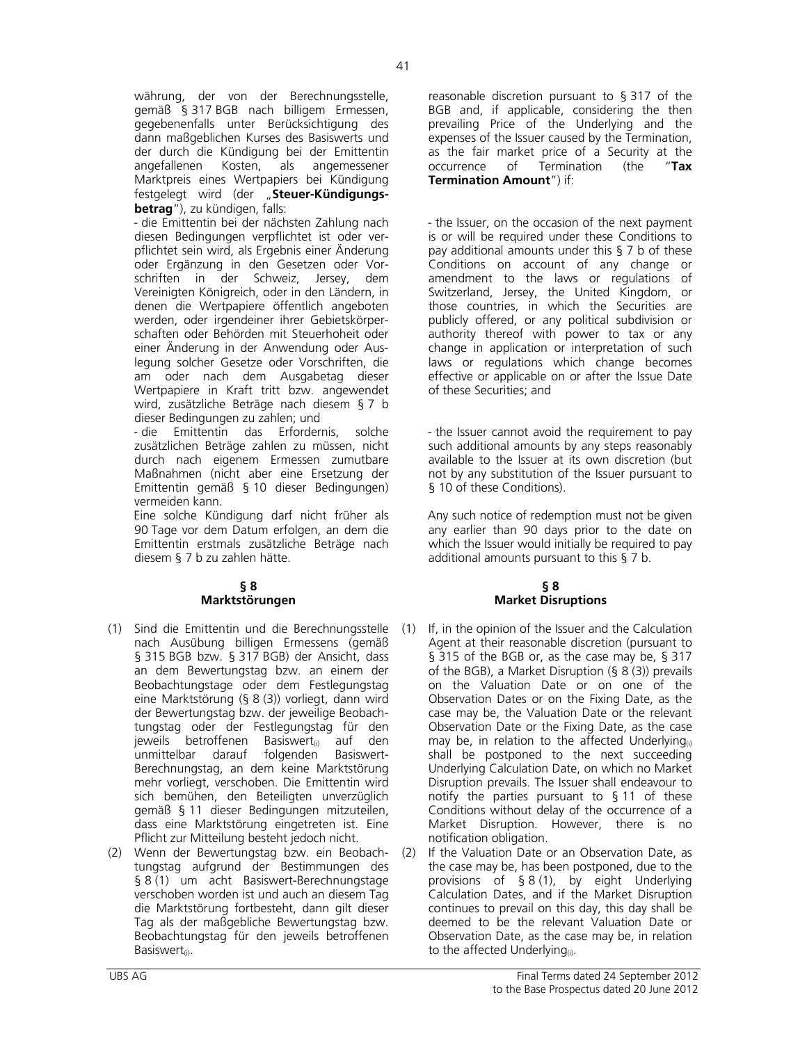währung, der von der Berechnungsstelle, gemäß § 317 BGB nach billigem Ermessen, gegebenenfalls unter Berücksichtigung des dann maßgeblichen Kurses des Basiswerts und der durch die Kündigung bei der Emittentin angefallenen Kosten, als angemessener Marktpreis eines Wertpapiers bei Kündigung festgelegt wird (der "Steuer-Kündigungs**betrag**"), zu kündigen, falls:

- die Emittentin bei der nächsten Zahlung nach diesen Bedingungen verpflichtet ist oder verpflichtet sein wird, als Ergebnis einer Änderung oder Ergänzung in den Gesetzen oder Vorschriften in der Schweiz, Jersey, dem Vereinigten Königreich, oder in den Ländern, in denen die Wertpapiere öffentlich angeboten werden, oder irgendeiner ihrer Gebietskörperschaften oder Behörden mit Steuerhoheit oder einer Änderung in der Anwendung oder Auslegung solcher Gesetze oder Vorschriften, die am oder nach dem Ausgabetag dieser Wertpapiere in Kraft tritt bzw. angewendet wird, zusätzliche Beträge nach diesem § 7 b dieser Bedingungen zu zahlen; und

- die Emittentin das Erfordernis, solche zusätzlichen Beträge zahlen zu müssen, nicht durch nach eigenem Ermessen zumutbare Maßnahmen (nicht aber eine Ersetzung der Emittentin gemäß § 10 dieser Bedingungen) vermeiden kann.

Eine solche Kündigung darf nicht früher als 90 Tage vor dem Datum erfolgen, an dem die Emittentin erstmals zusätzliche Beträge nach diesem § 7 b zu zahlen hätte.

# **§ 8 Marktstörungen**

- (1) Sind die Emittentin und die Berechnungsstelle nach Ausübung billigen Ermessens (gemäß § 315 BGB bzw. § 317 BGB) der Ansicht, dass an dem Bewertungstag bzw. an einem der Beobachtungstage oder dem Festlegungstag eine Marktstörung (§ 8 (3)) vorliegt, dann wird der Bewertungstag bzw. der jeweilige Beobachtungstag oder der Festlegungstag für den jeweils betroffenen Basiswert $_{\text{ii}}$  auf den unmittelbar darauf folgenden Basiswert-Berechnungstag, an dem keine Marktstörung mehr vorliegt, verschoben. Die Emittentin wird sich bemühen, den Beteiligten unverzüglich gemäß § 11 dieser Bedingungen mitzuteilen, dass eine Marktstörung eingetreten ist. Eine Pflicht zur Mitteilung besteht jedoch nicht.
- (2) Wenn der Bewertungstag bzw. ein Beobachtungstag aufgrund der Bestimmungen des § 8 (1) um acht Basiswert-Berechnungstage verschoben worden ist und auch an diesem Tag die Marktstörung fortbesteht, dann gilt dieser Tag als der maßgebliche Bewertungstag bzw. Beobachtungstag für den jeweils betroffenen Basiswert<sub>(i)</sub>.

reasonable discretion pursuant to § 317 of the BGB and, if applicable, considering the then prevailing Price of the Underlying and the expenses of the Issuer caused by the Termination, as the fair market price of a Security at the occurrence of Termination (the "**Tax Termination Amount**") if:

- the Issuer, on the occasion of the next payment is or will be required under these Conditions to pay additional amounts under this  $\S$  7 b of these Conditions on account of any change or amendment to the laws or regulations of Switzerland, Jersey, the United Kingdom, or those countries, in which the Securities are publicly offered, or any political subdivision or authority thereof with power to tax or any change in application or interpretation of such laws or regulations which change becomes effective or applicable on or after the Issue Date of these Securities; and

- the Issuer cannot avoid the requirement to pay such additional amounts by any steps reasonably available to the Issuer at its own discretion (but not by any substitution of the Issuer pursuant to § 10 of these Conditions).

Any such notice of redemption must not be given any earlier than 90 days prior to the date on which the Issuer would initially be required to pay additional amounts pursuant to this § 7 b.

# **§ 8 Market Disruptions**

- If, in the opinion of the Issuer and the Calculation Agent at their reasonable discretion (pursuant to § 315 of the BGB or, as the case may be, § 317 of the BGB), a Market Disruption (§ 8 (3)) prevails on the Valuation Date or on one of the Observation Dates or on the Fixing Date, as the case may be, the Valuation Date or the relevant Observation Date or the Fixing Date, as the case may be, in relation to the affected Underlying $_{(i)}$ shall be postponed to the next succeeding Underlying Calculation Date, on which no Market Disruption prevails. The Issuer shall endeavour to notify the parties pursuant to § 11 of these Conditions without delay of the occurrence of a Market Disruption. However, there is no notification obligation.
- (2) If the Valuation Date or an Observation Date, as the case may be, has been postponed, due to the provisions of § 8 (1), by eight Underlying Calculation Dates, and if the Market Disruption continues to prevail on this day, this day shall be deemed to be the relevant Valuation Date or Observation Date, as the case may be, in relation to the affected Underlying $_{(i)}$ .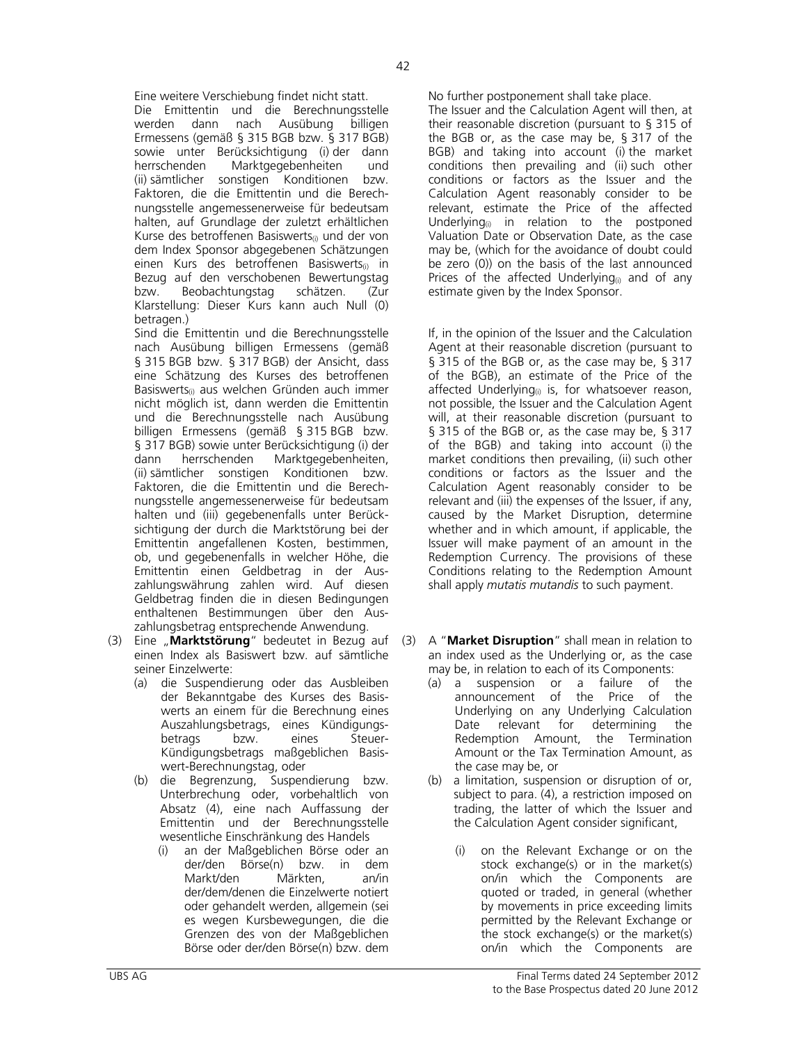Eine weitere Verschiebung findet nicht statt. No further postponement shall take place.

 Die Emittentin und die Berechnungsstelle werden dann nach Ausübung billigen Ermessens (gemäß § 315 BGB bzw. § 317 BGB) sowie unter Berücksichtigung (i) der dann herrschenden Marktgegebenheiten und (ii) sämtlicher sonstigen Konditionen bzw. Faktoren, die die Emittentin und die Berechnungsstelle angemessenerweise für bedeutsam halten, auf Grundlage der zuletzt erhältlichen Kurse des betroffenen Basiswerts<sub>(i)</sub> und der von dem Index Sponsor abgegebenen Schätzungen einen Kurs des betroffenen Basiswerts<sub>(i)</sub> in Bezug auf den verschobenen Bewertungstag bzw. Beobachtungstag schätzen. (Zur Klarstellung: Dieser Kurs kann auch Null (0) betragen.)

 Sind die Emittentin und die Berechnungsstelle nach Ausübung billigen Ermessens (gemäß § 315 BGB bzw. § 317 BGB) der Ansicht, dass eine Schätzung des Kurses des betroffenen Basiswerts<sub>(i)</sub> aus welchen Gründen auch immer nicht möglich ist, dann werden die Emittentin und die Berechnungsstelle nach Ausübung billigen Ermessens (gemäß § 315 BGB bzw. § 317 BGB) sowie unter Berücksichtigung (i) der dann herrschenden Marktgegebenheiten, (ii) sämtlicher sonstigen Konditionen bzw. Faktoren, die die Emittentin und die Berechnungsstelle angemessenerweise für bedeutsam halten und (iii) gegebenenfalls unter Berücksichtigung der durch die Marktstörung bei der Emittentin angefallenen Kosten, bestimmen, ob, und gegebenenfalls in welcher Höhe, die Emittentin einen Geldbetrag in der Auszahlungswährung zahlen wird. Auf diesen Geldbetrag finden die in diesen Bedingungen enthaltenen Bestimmungen über den Auszahlungsbetrag entsprechende Anwendung.

- (3) Eine "**Marktstörung**" bedeutet in Bezug auf (3) einen Index als Basiswert bzw. auf sämtliche seiner Einzelwerte:
	- (a) die Suspendierung oder das Ausbleiben der Bekanntgabe des Kurses des Basiswerts an einem für die Berechnung eines Auszahlungsbetrags, eines Kündigungs-<br>betrags bzw. eines Steuerbetrags bzw. eines Steuer-Kündigungsbetrags maßgeblichen Basiswert-Berechnungstag, oder
	- (b) die Begrenzung, Suspendierung bzw. Unterbrechung oder, vorbehaltlich von Absatz (4), eine nach Auffassung der Emittentin und der Berechnungsstelle wesentliche Einschränkung des Handels
		- (i) an der Maßgeblichen Börse oder an der/den Börse(n) bzw. in dem Markt/den Märkten, an/in der/dem/denen die Einzelwerte notiert oder gehandelt werden, allgemein (sei es wegen Kursbewegungen, die die Grenzen des von der Maßgeblichen Börse oder der/den Börse(n) bzw. dem

 The Issuer and the Calculation Agent will then, at their reasonable discretion (pursuant to § 315 of the BGB or, as the case may be, § 317 of the BGB) and taking into account (i) the market conditions then prevailing and (ii) such other conditions or factors as the Issuer and the Calculation Agent reasonably consider to be relevant, estimate the Price of the affected Underlying $_{(i)}$  in relation to the postponed Valuation Date or Observation Date, as the case may be, (which for the avoidance of doubt could be zero (0)) on the basis of the last announced Prices of the affected Underlying $_{(i)}$  and of any estimate given by the Index Sponsor.

 If, in the opinion of the Issuer and the Calculation Agent at their reasonable discretion (pursuant to § 315 of the BGB or, as the case may be, § 317 of the BGB), an estimate of the Price of the affected Underlying $_{(i)}$  is, for whatsoever reason, not possible, the Issuer and the Calculation Agent will, at their reasonable discretion (pursuant to § 315 of the BGB or, as the case may be, § 317 of the BGB) and taking into account (i) the market conditions then prevailing, (ii) such other conditions or factors as the Issuer and the Calculation Agent reasonably consider to be relevant and (iii) the expenses of the Issuer, if any, caused by the Market Disruption, determine whether and in which amount, if applicable, the Issuer will make payment of an amount in the Redemption Currency. The provisions of these Conditions relating to the Redemption Amount shall apply *mutatis mutandis* to such payment.

- (3) A "**Market Disruption**" shall mean in relation to an index used as the Underlying or, as the case may be, in relation to each of its Components:
	- (a) a suspension or a failure of the announcement of the Price of the Underlying on any Underlying Calculation Date relevant for determining the Redemption Amount, the Termination Amount or the Tax Termination Amount, as the case may be, or
	- (b) a limitation, suspension or disruption of or, subject to para. (4), a restriction imposed on trading, the latter of which the Issuer and the Calculation Agent consider significant,
		- on the Relevant Exchange or on the stock exchange(s) or in the market(s) on/in which the Components are quoted or traded, in general (whether by movements in price exceeding limits permitted by the Relevant Exchange or the stock exchange(s) or the market(s) on/in which the Components are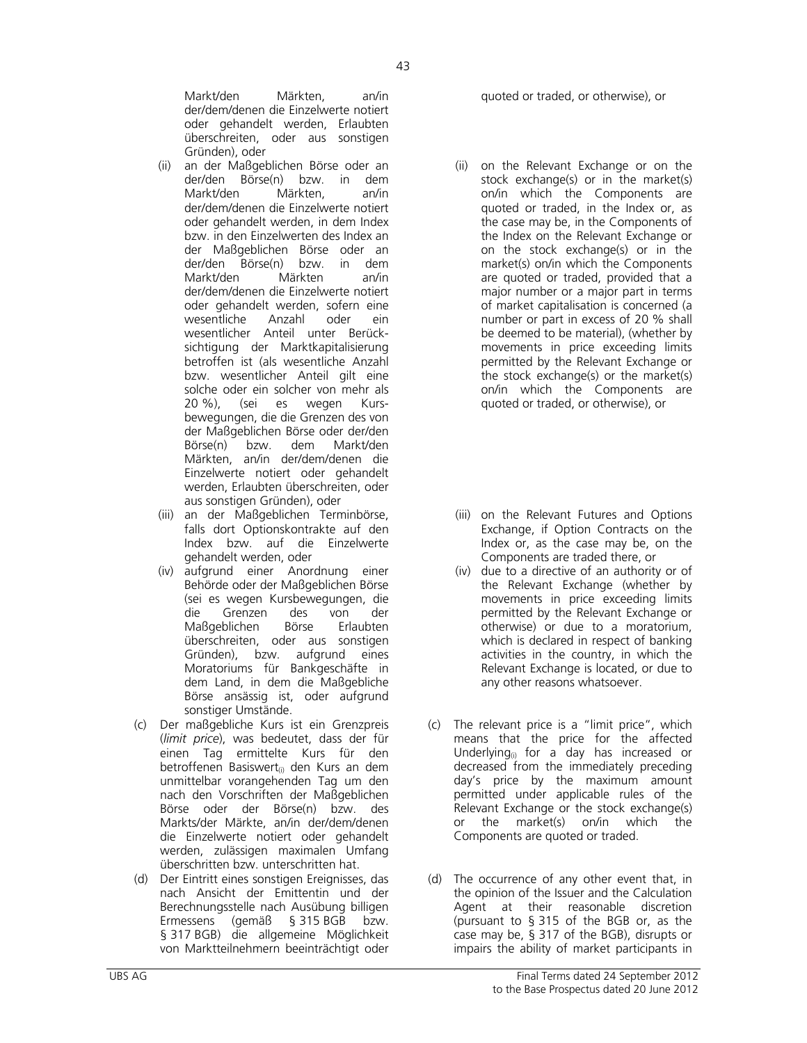Markt/den Märkten, an/in der/dem/denen die Einzelwerte notiert oder gehandelt werden, Erlaubten überschreiten, oder aus sonstigen Gründen), oder

- (ii) an der Maßgeblichen Börse oder an der/den Börse(n) bzw. in dem Markt/den Märkten, an/in der/dem/denen die Einzelwerte notiert oder gehandelt werden, in dem Index bzw. in den Einzelwerten des Index an der Maßgeblichen Börse oder an der/den Börse(n) bzw. in dem Markt/den Märkten an/in der/dem/denen die Einzelwerte notiert oder gehandelt werden, sofern eine wesentliche Anzahl oder ein wesentlicher Anteil unter Berücksichtigung der Marktkapitalisierung betroffen ist (als wesentliche Anzahl bzw. wesentlicher Anteil gilt eine solche oder ein solcher von mehr als 20 %), (sei es wegen Kursbewegungen, die die Grenzen des von der Maßgeblichen Börse oder der/den Börse(n) bzw. dem Markt/den Märkten, an/in der/dem/denen die Einzelwerte notiert oder gehandelt werden, Erlaubten überschreiten, oder aus sonstigen Gründen), oder
- (iii) an der Maßgeblichen Terminbörse, falls dort Optionskontrakte auf den Index bzw. auf die Einzelwerte gehandelt werden, oder
- (iv) aufgrund einer Anordnung einer Behörde oder der Maßgeblichen Börse (sei es wegen Kursbewegungen, die die Grenzen des von der Maßgeblichen Börse Erlaubten überschreiten, oder aus sonstigen Gründen), bzw. aufgrund eines Moratoriums für Bankgeschäfte in dem Land, in dem die Maßgebliche Börse ansässig ist, oder aufgrund sonstiger Umstände.
- (c) Der maßgebliche Kurs ist ein Grenzpreis (*limit price*), was bedeutet, dass der für einen Tag ermittelte Kurs für den betroffenen Basiswert<sub>(i)</sub> den Kurs an dem unmittelbar vorangehenden Tag um den nach den Vorschriften der Maßgeblichen Börse oder der Börse(n) bzw. des Markts/der Märkte, an/in der/dem/denen die Einzelwerte notiert oder gehandelt werden, zulässigen maximalen Umfang überschritten bzw. unterschritten hat.
- (d) Der Eintritt eines sonstigen Ereignisses, das nach Ansicht der Emittentin und der Berechnungsstelle nach Ausübung billigen Ermessens (gemäß § 315 BGB bzw. § 317 BGB) die allgemeine Möglichkeit von Marktteilnehmern beeinträchtigt oder

quoted or traded, or otherwise), or

- (ii) on the Relevant Exchange or on the stock exchange(s) or in the market(s) on/in which the Components are quoted or traded, in the Index or, as the case may be, in the Components of the Index on the Relevant Exchange or on the stock exchange(s) or in the market(s) on/in which the Components are quoted or traded, provided that a major number or a major part in terms of market capitalisation is concerned (a number or part in excess of 20 % shall be deemed to be material), (whether by movements in price exceeding limits permitted by the Relevant Exchange or the stock exchange(s) or the market(s) on/in which the Components are quoted or traded, or otherwise), or
- (iii) on the Relevant Futures and Options Exchange, if Option Contracts on the Index or, as the case may be, on the Components are traded there, or
- (iv) due to a directive of an authority or of the Relevant Exchange (whether by movements in price exceeding limits permitted by the Relevant Exchange or otherwise) or due to a moratorium, which is declared in respect of banking activities in the country, in which the Relevant Exchange is located, or due to any other reasons whatsoever.
- (c) The relevant price is a "limit price", which means that the price for the affected Underlying $_{(i)}$  for a day has increased or decreased from the immediately preceding day's price by the maximum amount permitted under applicable rules of the Relevant Exchange or the stock exchange(s) or the market(s) on/in which the Components are quoted or traded.
- (d) The occurrence of any other event that, in the opinion of the Issuer and the Calculation Agent at their reasonable discretion (pursuant to § 315 of the BGB or, as the case may be, § 317 of the BGB), disrupts or impairs the ability of market participants in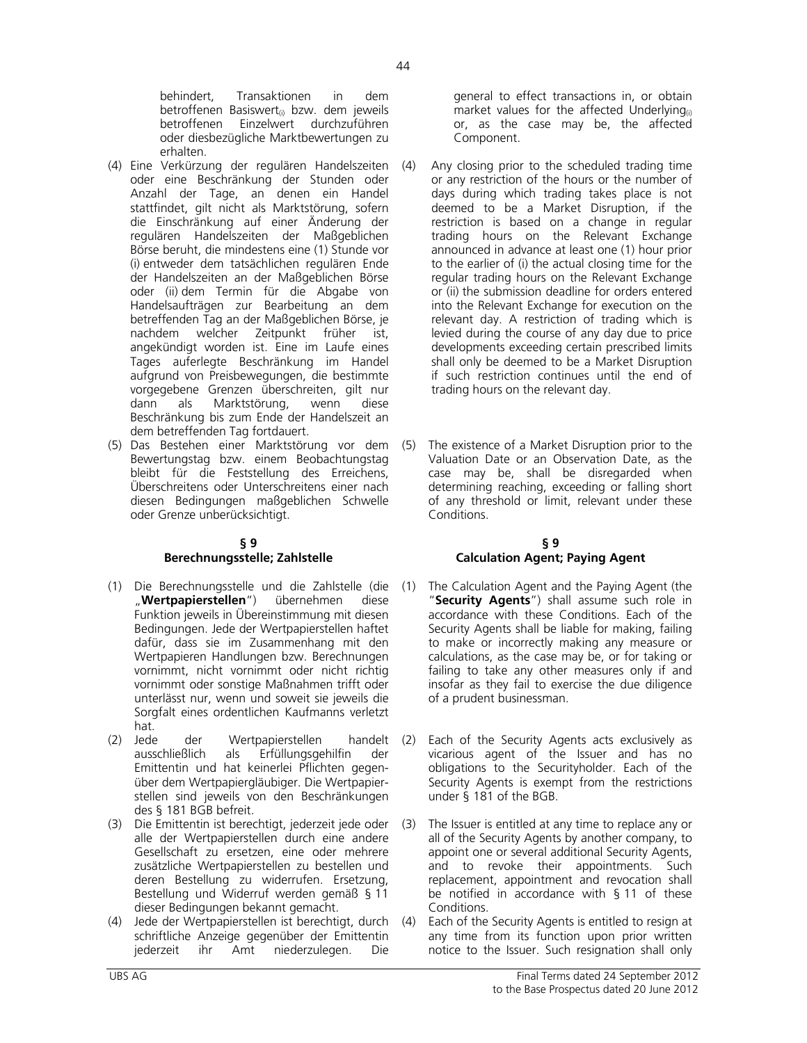behindert, Transaktionen in dem betroffenen Basiswert<sub>(i)</sub> bzw. dem jeweils betroffenen Einzelwert durchzuführen oder diesbezügliche Marktbewertungen zu erhalten.

- (4) Eine Verkürzung der regulären Handelszeiten oder eine Beschränkung der Stunden oder Anzahl der Tage, an denen ein Handel stattfindet, gilt nicht als Marktstörung, sofern die Einschränkung auf einer Änderung der regulären Handelszeiten der Maßgeblichen Börse beruht, die mindestens eine (1) Stunde vor (i) entweder dem tatsächlichen regulären Ende der Handelszeiten an der Maßgeblichen Börse oder (ii) dem Termin für die Abgabe von Handelsaufträgen zur Bearbeitung an dem betreffenden Tag an der Maßgeblichen Börse, je nachdem welcher Zeitpunkt früher ist, angekündigt worden ist. Eine im Laufe eines Tages auferlegte Beschränkung im Handel aufgrund von Preisbewegungen, die bestimmte vorgegebene Grenzen überschreiten, gilt nur dann als Marktstörung, wenn diese Beschränkung bis zum Ende der Handelszeit an dem betreffenden Tag fortdauert.
- (5) Das Bestehen einer Marktstörung vor dem Bewertungstag bzw. einem Beobachtungstag bleibt für die Feststellung des Erreichens, Überschreitens oder Unterschreitens einer nach diesen Bedingungen maßgeblichen Schwelle oder Grenze unberücksichtigt.

# **§ 9 Berechnungsstelle; Zahlstelle**

- (1) Die Berechnungsstelle und die Zahlstelle (die "**Wertpapierstellen**") übernehmen diese Funktion jeweils in Übereinstimmung mit diesen Bedingungen. Jede der Wertpapierstellen haftet dafür, dass sie im Zusammenhang mit den Wertpapieren Handlungen bzw. Berechnungen vornimmt, nicht vornimmt oder nicht richtig vornimmt oder sonstige Maßnahmen trifft oder unterlässt nur, wenn und soweit sie jeweils die Sorgfalt eines ordentlichen Kaufmanns verletzt hat.
- (2) Jede der Wertpapierstellen handelt ausschließlich als Erfüllungsgehilfin der Emittentin und hat keinerlei Pflichten gegenüber dem Wertpapiergläubiger. Die Wertpapierstellen sind jeweils von den Beschränkungen des § 181 BGB befreit.
- (3) Die Emittentin ist berechtigt, jederzeit jede oder alle der Wertpapierstellen durch eine andere Gesellschaft zu ersetzen, eine oder mehrere zusätzliche Wertpapierstellen zu bestellen und deren Bestellung zu widerrufen. Ersetzung, Bestellung und Widerruf werden gemäß § 11 dieser Bedingungen bekannt gemacht.
- (4) Jede der Wertpapierstellen ist berechtigt, durch schriftliche Anzeige gegenüber der Emittentin<br>iederzeit ihr Amt niederzulegen. Die jederzeit ihr Amt niederzulegen. Die

general to effect transactions in, or obtain market values for the affected Underlying $(i)$ or, as the case may be, the affected Component.

- Any closing prior to the scheduled trading time or any restriction of the hours or the number of days during which trading takes place is not deemed to be a Market Disruption, if the restriction is based on a change in regular trading hours on the Relevant Exchange announced in advance at least one (1) hour prior to the earlier of (i) the actual closing time for the regular trading hours on the Relevant Exchange or (ii) the submission deadline for orders entered into the Relevant Exchange for execution on the relevant day. A restriction of trading which is levied during the course of any day due to price developments exceeding certain prescribed limits shall only be deemed to be a Market Disruption if such restriction continues until the end of trading hours on the relevant day.
- (5) The existence of a Market Disruption prior to the Valuation Date or an Observation Date, as the case may be, shall be disregarded when determining reaching, exceeding or falling short of any threshold or limit, relevant under these Conditions.

# **§ 9 Calculation Agent; Paying Agent**

- (1) The Calculation Agent and the Paying Agent (the "**Security Agents**") shall assume such role in accordance with these Conditions. Each of the Security Agents shall be liable for making, failing to make or incorrectly making any measure or calculations, as the case may be, or for taking or failing to take any other measures only if and insofar as they fail to exercise the due diligence of a prudent businessman.
- Each of the Security Agents acts exclusively as vicarious agent of the Issuer and has no obligations to the Securityholder. Each of the Security Agents is exempt from the restrictions under § 181 of the BGB.
- The Issuer is entitled at any time to replace any or all of the Security Agents by another company, to appoint one or several additional Security Agents, and to revoke their appointments. Such replacement, appointment and revocation shall be notified in accordance with § 11 of these Conditions.
- (4) Each of the Security Agents is entitled to resign at any time from its function upon prior written notice to the Issuer. Such resignation shall only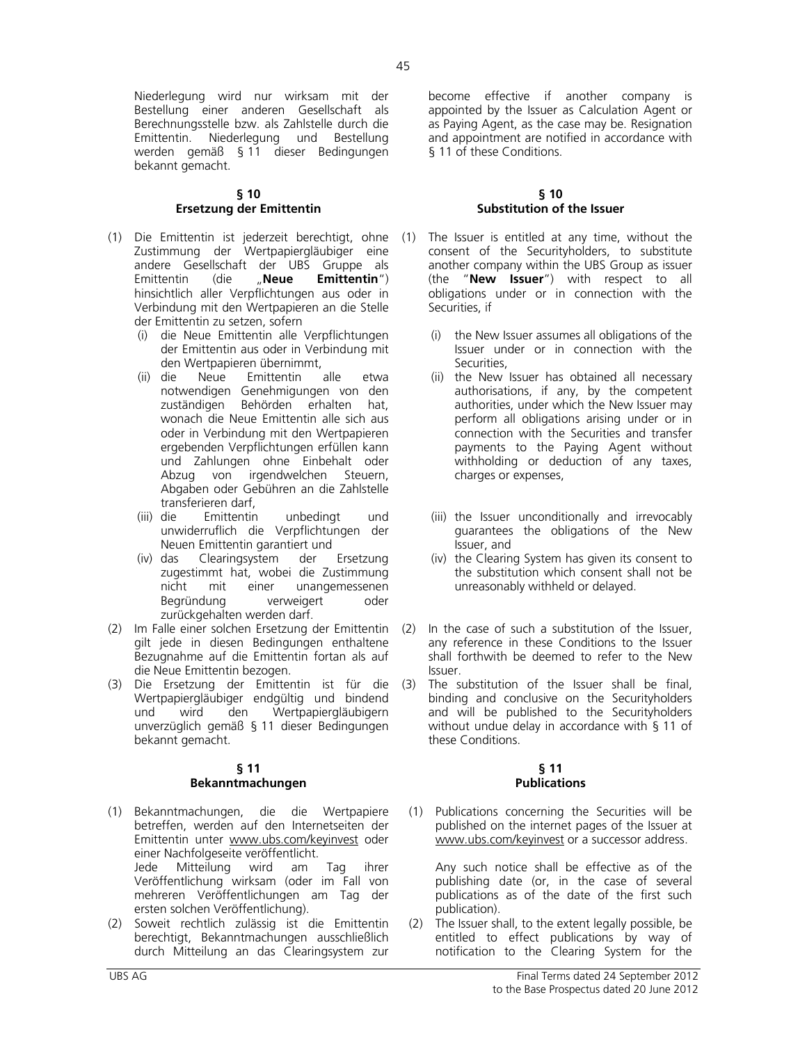Niederlegung wird nur wirksam mit der Bestellung einer anderen Gesellschaft als Berechnungsstelle bzw. als Zahlstelle durch die Emittentin. Niederlegung und Bestellung werden gemäß § 11 dieser Bedingungen bekannt gemacht.

# **§ 10 Ersetzung der Emittentin**

- (1) Die Emittentin ist jederzeit berechtigt, ohne Zustimmung der Wertpapiergläubiger eine andere Gesellschaft der UBS Gruppe als Emittentin (die "**Neue Emittentin**") hinsichtlich aller Verpflichtungen aus oder in Verbindung mit den Wertpapieren an die Stelle der Emittentin zu setzen, sofern
	- (i) die Neue Emittentin alle Verpflichtungen der Emittentin aus oder in Verbindung mit den Wertpapieren übernimmt,<br>die Neue Emittentin alle
	- (ii) die Neue Emittentin alle etwa notwendigen Genehmigungen von den zuständigen Behörden erhalten hat, wonach die Neue Emittentin alle sich aus oder in Verbindung mit den Wertpapieren ergebenden Verpflichtungen erfüllen kann und Zahlungen ohne Einbehalt oder Abzug von irgendwelchen Steuern, Abgaben oder Gebühren an die Zahlstelle transferieren darf,
	- (iii) die Emittentin unbedingt und unwiderruflich die Verpflichtungen der Neuen Emittentin garantiert und
	- (iv) das Clearingsystem der Ersetzung zugestimmt hat, wobei die Zustimmung nicht mit einer unangemessenen Begründung verweigert oder zurückgehalten werden darf.
- (2) Im Falle einer solchen Ersetzung der Emittentin gilt jede in diesen Bedingungen enthaltene Bezugnahme auf die Emittentin fortan als auf die Neue Emittentin bezogen.
- (3) Die Ersetzung der Emittentin ist für die Wertpapiergläubiger endgültig und bindend und wird den Wertpapiergläubigern unverzüglich gemäß § 11 dieser Bedingungen bekannt gemacht.

# **§ 11 Bekanntmachungen**

- (1) Bekanntmachungen, die die Wertpapiere betreffen, werden auf den Internetseiten der Emittentin unter www.ubs.com/keyinvest oder einer Nachfolgeseite veröffentlicht. Jede Mitteilung wird am Tag ihrer Veröffentlichung wirksam (oder im Fall von mehreren Veröffentlichungen am Tag der ersten solchen Veröffentlichung).
- (2) Soweit rechtlich zulässig ist die Emittentin berechtigt, Bekanntmachungen ausschließlich durch Mitteilung an das Clearingsystem zur

become effective if another company is appointed by the Issuer as Calculation Agent or as Paying Agent, as the case may be. Resignation and appointment are notified in accordance with § 11 of these Conditions.

### **§ 10 Substitution of the Issuer**

- The Issuer is entitled at any time, without the consent of the Securityholders, to substitute another company within the UBS Group as issuer (the "**New Issuer**") with respect to all obligations under or in connection with the Securities, if
	- (i) the New Issuer assumes all obligations of the Issuer under or in connection with the Securities,
	- (ii) the New Issuer has obtained all necessary authorisations, if any, by the competent authorities, under which the New Issuer may perform all obligations arising under or in connection with the Securities and transfer payments to the Paying Agent without withholding or deduction of any taxes, charges or expenses,
	- (iii) the Issuer unconditionally and irrevocably guarantees the obligations of the New Issuer, and
	- (iv) the Clearing System has given its consent to the substitution which consent shall not be unreasonably withheld or delayed.
- In the case of such a substitution of the Issuer, any reference in these Conditions to the Issuer shall forthwith be deemed to refer to the New Issuer.
- The substitution of the Issuer shall be final, binding and conclusive on the Securityholders and will be published to the Securityholders without undue delay in accordance with § 11 of these Conditions.

#### **§ 11 Publications**

(1) Publications concerning the Securities will be published on the internet pages of the Issuer at www.ubs.com/keyinvest or a successor address.

 Any such notice shall be effective as of the publishing date (or, in the case of several publications as of the date of the first such publication).

(2) The Issuer shall, to the extent legally possible, be entitled to effect publications by way of notification to the Clearing System for the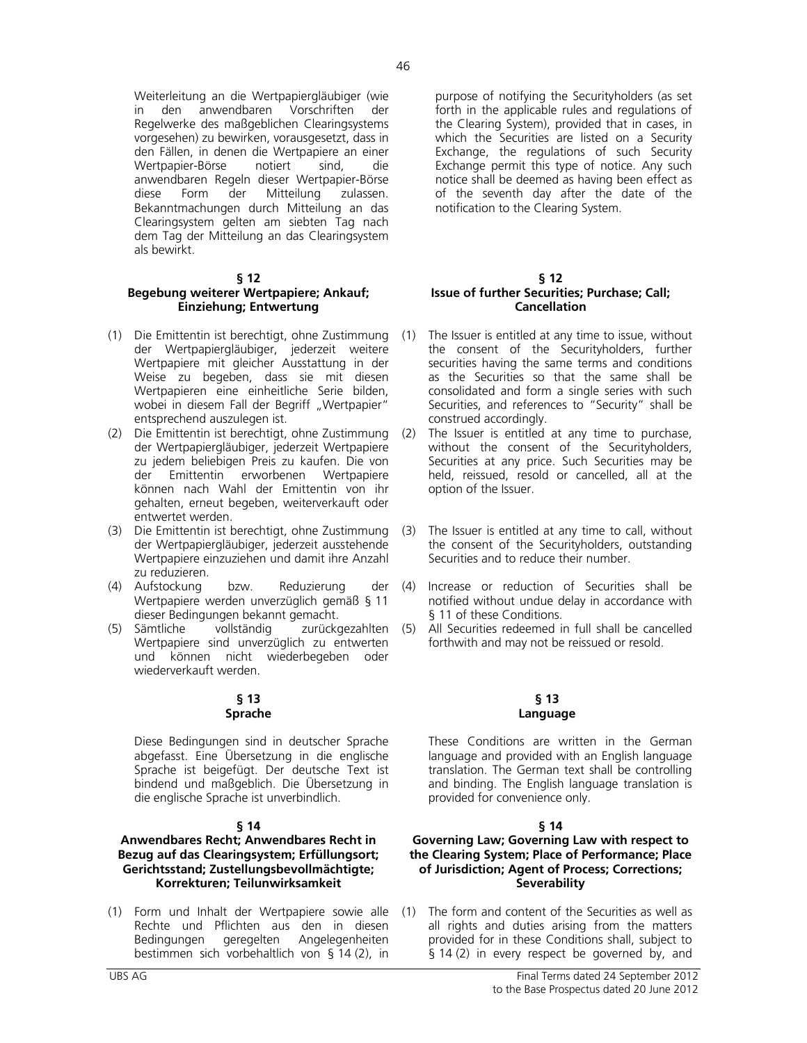Weiterleitung an die Wertpapiergläubiger (wie in den anwendbaren Vorschriften der Regelwerke des maßgeblichen Clearingsystems vorgesehen) zu bewirken, vorausgesetzt, dass in den Fällen, in denen die Wertpapiere an einer Wertpapier-Börse notiert sind, die anwendbaren Regeln dieser Wertpapier-Börse diese Form der Mitteilung zulassen. Bekanntmachungen durch Mitteilung an das Clearingsystem gelten am siebten Tag nach dem Tag der Mitteilung an das Clearingsystem als bewirkt.

#### **§ 12**

# **Begebung weiterer Wertpapiere; Ankauf; Einziehung; Entwertung**

- (1) Die Emittentin ist berechtigt, ohne Zustimmung der Wertpapiergläubiger, jederzeit weitere Wertpapiere mit gleicher Ausstattung in der Weise zu begeben, dass sie mit diesen Wertpapieren eine einheitliche Serie bilden, wobei in diesem Fall der Begriff "Wertpapier" entsprechend auszulegen ist.
- (2) Die Emittentin ist berechtigt, ohne Zustimmung der Wertpapiergläubiger, jederzeit Wertpapiere zu jedem beliebigen Preis zu kaufen. Die von der Emittentin erworbenen Wertpapiere können nach Wahl der Emittentin von ihr gehalten, erneut begeben, weiterverkauft oder entwertet werden.
- (3) Die Emittentin ist berechtigt, ohne Zustimmung der Wertpapiergläubiger, jederzeit ausstehende Wertpapiere einzuziehen und damit ihre Anzahl zu reduzieren.
- (4) Aufstockung bzw. Reduzierung der Wertpapiere werden unverzüglich gemäß § 11 dieser Bedingungen bekannt gemacht.<br>Sämtliche vollständig zurücke
- (5) Sämtliche vollständig zurückgezahlten Wertpapiere sind unverzüglich zu entwerten und können nicht wiederbegeben oder wiederverkauft werden.

# **§ 13 Sprache**

 Diese Bedingungen sind in deutscher Sprache abgefasst. Eine Übersetzung in die englische Sprache ist beigefügt. Der deutsche Text ist bindend und maßgeblich. Die Übersetzung in die englische Sprache ist unverbindlich.

#### **§ 14**

# **Anwendbares Recht; Anwendbares Recht in Bezug auf das Clearingsystem; Erfüllungsort; Gerichtsstand; Zustellungsbevollmächtigte; Korrekturen; Teilunwirksamkeit**

(1) Form und Inhalt der Wertpapiere sowie alle Rechte und Pflichten aus den in diesen Bedingungen geregelten Angelegenheiten bestimmen sich vorbehaltlich von § 14 (2), in

purpose of notifying the Securityholders (as set forth in the applicable rules and regulations of the Clearing System), provided that in cases, in which the Securities are listed on a Security Exchange, the regulations of such Security Exchange permit this type of notice. Any such notice shall be deemed as having been effect as of the seventh day after the date of the notification to the Clearing System.

#### **§ 12 Issue of further Securities; Purchase; Call; Cancellation**

- The Issuer is entitled at any time to issue, without the consent of the Securityholders, further securities having the same terms and conditions as the Securities so that the same shall be consolidated and form a single series with such Securities, and references to "Security" shall be construed accordingly.
- The Issuer is entitled at any time to purchase, without the consent of the Securityholders, Securities at any price. Such Securities may be held, reissued, resold or cancelled, all at the option of the Issuer.
- The Issuer is entitled at any time to call, without the consent of the Securityholders, outstanding Securities and to reduce their number.
- (4) Increase or reduction of Securities shall be notified without undue delay in accordance with § 11 of these Conditions.
- (5) All Securities redeemed in full shall be cancelled forthwith and may not be reissued or resold.

# **§ 13 Language**

 These Conditions are written in the German language and provided with an English language translation. The German text shall be controlling and binding. The English language translation is provided for convenience only.

# **§ 14**

# **Governing Law; Governing Law with respect to the Clearing System; Place of Performance; Place of Jurisdiction; Agent of Process; Corrections; Severability**

The form and content of the Securities as well as all rights and duties arising from the matters provided for in these Conditions shall, subject to § 14 (2) in every respect be governed by, and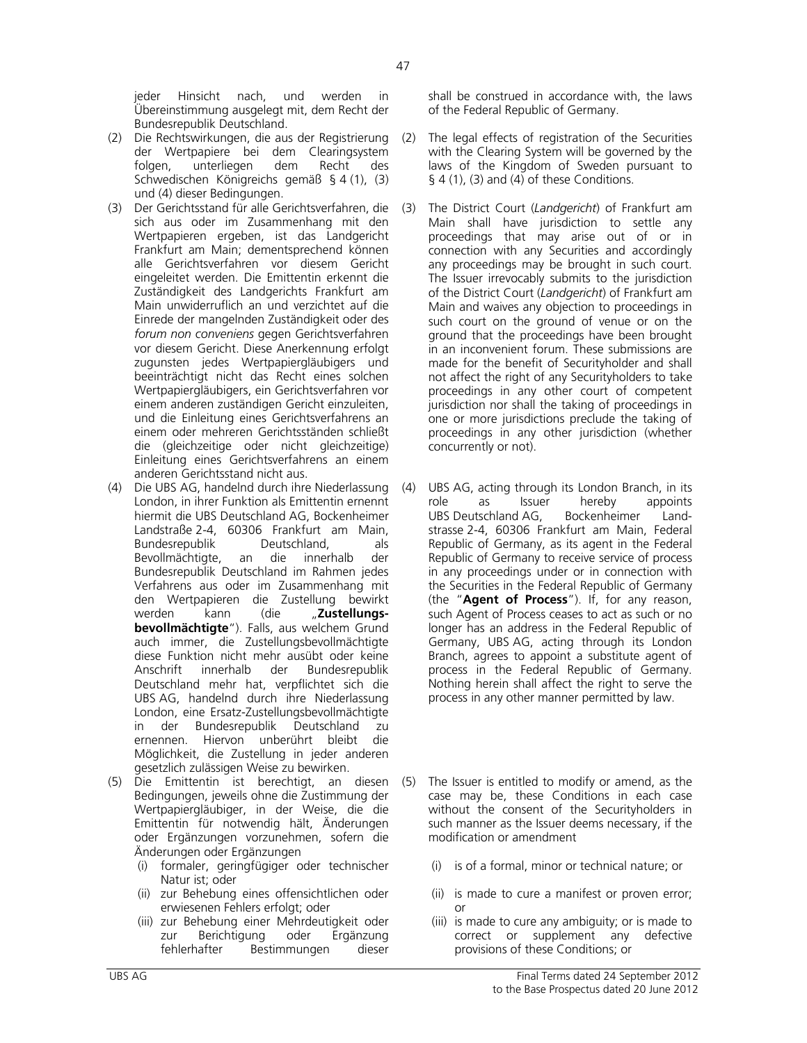jeder Hinsicht nach, und werden in Übereinstimmung ausgelegt mit, dem Recht der Bundesrepublik Deutschland.

- (2) Die Rechtswirkungen, die aus der Registrierung der Wertpapiere bei dem Clearingsystem folgen, unterliegen dem Recht des Schwedischen Königreichs gemäß § 4 (1), (3) und (4) dieser Bedingungen.
- (3) Der Gerichtsstand für alle Gerichtsverfahren, die sich aus oder im Zusammenhang mit den Wertpapieren ergeben, ist das Landgericht Frankfurt am Main; dementsprechend können alle Gerichtsverfahren vor diesem Gericht eingeleitet werden. Die Emittentin erkennt die Zuständigkeit des Landgerichts Frankfurt am Main unwiderruflich an und verzichtet auf die Einrede der mangelnden Zuständigkeit oder des *forum non conveniens* gegen Gerichtsverfahren vor diesem Gericht. Diese Anerkennung erfolgt zugunsten jedes Wertpapiergläubigers und beeinträchtigt nicht das Recht eines solchen Wertpapiergläubigers, ein Gerichtsverfahren vor einem anderen zuständigen Gericht einzuleiten, und die Einleitung eines Gerichtsverfahrens an einem oder mehreren Gerichtsständen schließt die (gleichzeitige oder nicht gleichzeitige) Einleitung eines Gerichtsverfahrens an einem anderen Gerichtsstand nicht aus.
- (4) Die UBS AG, handelnd durch ihre Niederlassung London, in ihrer Funktion als Emittentin ernennt hiermit die UBS Deutschland AG, Bockenheimer Landstraße 2-4, 60306 Frankfurt am Main, Bundesrepublik Deutschland, als<br>Bevollmächtigte, an die innerhalb der Bevollmächtigte, an die innerhalb der Bundesrepublik Deutschland im Rahmen jedes Verfahrens aus oder im Zusammenhang mit den Wertpapieren die Zustellung bewirkt werden kann (die "**Zustellungsbevollmächtigte**"). Falls, aus welchem Grund auch immer, die Zustellungsbevollmächtigte diese Funktion nicht mehr ausübt oder keine Anschrift innerhalb der Bundesrepublik Deutschland mehr hat, verpflichtet sich die UBS AG, handelnd durch ihre Niederlassung London, eine Ersatz-Zustellungsbevollmächtigte in der Bundesrepublik Deutschland zu ernennen. Hiervon unberührt bleibt die Möglichkeit, die Zustellung in jeder anderen gesetzlich zulässigen Weise zu bewirken.
- (5) Die Emittentin ist berechtigt, an diesen Bedingungen, jeweils ohne die Zustimmung der Wertpapiergläubiger, in der Weise, die die Emittentin für notwendig hält, Änderungen oder Ergänzungen vorzunehmen, sofern die Änderungen oder Ergänzungen
	- (i) formaler, geringfügiger oder technischer Natur ist; oder
	- (ii) zur Behebung eines offensichtlichen oder erwiesenen Fehlers erfolgt; oder
	- (iii) zur Behebung einer Mehrdeutigkeit oder zur Berichtigung oder Ergänzung fehlerhafter Bestimmungen dieser

shall be construed in accordance with, the laws of the Federal Republic of Germany.

- (2) The legal effects of registration of the Securities with the Clearing System will be governed by the laws of the Kingdom of Sweden pursuant to  $\S$  4 (1), (3) and (4) of these Conditions.
- (3) The District Court (*Landgericht*) of Frankfurt am Main shall have jurisdiction to settle any proceedings that may arise out of or in connection with any Securities and accordingly any proceedings may be brought in such court. The Issuer irrevocably submits to the jurisdiction of the District Court (*Landgericht*) of Frankfurt am Main and waives any objection to proceedings in such court on the ground of venue or on the ground that the proceedings have been brought in an inconvenient forum. These submissions are made for the benefit of Securityholder and shall not affect the right of any Securityholders to take proceedings in any other court of competent jurisdiction nor shall the taking of proceedings in one or more jurisdictions preclude the taking of proceedings in any other jurisdiction (whether concurrently or not).
- (4) UBS AG, acting through its London Branch, in its role as Issuer hereby appoints UBS Deutschland AG, Bockenheimer Landstrasse 2-4, 60306 Frankfurt am Main, Federal Republic of Germany, as its agent in the Federal Republic of Germany to receive service of process in any proceedings under or in connection with the Securities in the Federal Republic of Germany (the "**Agent of Process**"). If, for any reason, such Agent of Process ceases to act as such or no longer has an address in the Federal Republic of Germany, UBS AG, acting through its London Branch, agrees to appoint a substitute agent of process in the Federal Republic of Germany. Nothing herein shall affect the right to serve the process in any other manner permitted by law.
- (5) The Issuer is entitled to modify or amend, as the case may be, these Conditions in each case without the consent of the Securityholders in such manner as the Issuer deems necessary, if the modification or amendment
	- (i) is of a formal, minor or technical nature; or
	- (ii) is made to cure a manifest or proven error; or
	- (iii) is made to cure any ambiguity; or is made to correct or supplement any defective provisions of these Conditions; or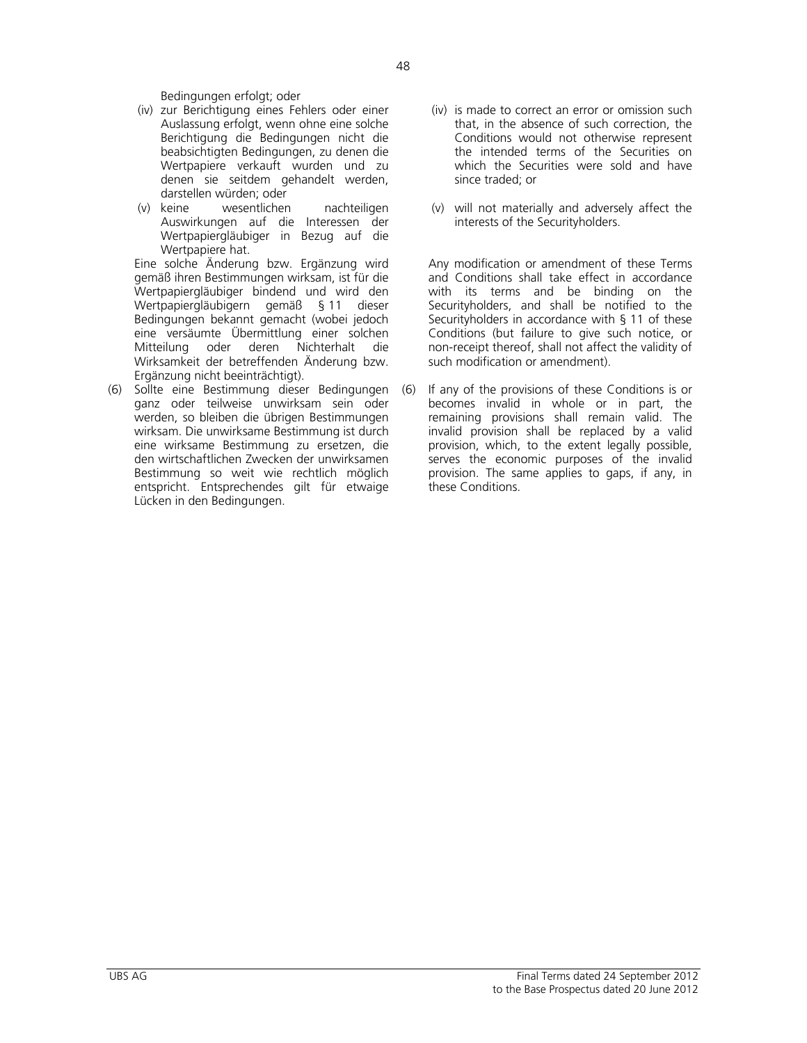Bedingungen erfolgt; oder

- (iv) zur Berichtigung eines Fehlers oder einer Auslassung erfolgt, wenn ohne eine solche Berichtigung die Bedingungen nicht die beabsichtigten Bedingungen, zu denen die Wertpapiere verkauft wurden und zu denen sie seitdem gehandelt werden, darstellen würden; oder
- (v) keine wesentlichen nachteiligen Auswirkungen auf die Interessen der Wertpapiergläubiger in Bezug auf die Wertpapiere hat.

 Eine solche Änderung bzw. Ergänzung wird gemäß ihren Bestimmungen wirksam, ist für die Wertpapiergläubiger bindend und wird den Wertpapiergläubigern gemäß § 11 dieser Bedingungen bekannt gemacht (wobei jedoch eine versäumte Übermittlung einer solchen Mitteilung oder deren Nichterhalt die Wirksamkeit der betreffenden Änderung bzw. Ergänzung nicht beeinträchtigt).

(6) Sollte eine Bestimmung dieser Bedingungen ganz oder teilweise unwirksam sein oder werden, so bleiben die übrigen Bestimmungen wirksam. Die unwirksame Bestimmung ist durch eine wirksame Bestimmung zu ersetzen, die den wirtschaftlichen Zwecken der unwirksamen Bestimmung so weit wie rechtlich möglich entspricht. Entsprechendes gilt für etwaige Lücken in den Bedingungen.

- (iv) is made to correct an error or omission such that, in the absence of such correction, the Conditions would not otherwise represent the intended terms of the Securities on which the Securities were sold and have since traded; or
- (v) will not materially and adversely affect the interests of the Securityholders.

 Any modification or amendment of these Terms and Conditions shall take effect in accordance with its terms and be binding on the Securityholders, and shall be notified to the Securityholders in accordance with § 11 of these Conditions (but failure to give such notice, or non-receipt thereof, shall not affect the validity of such modification or amendment).

(6) If any of the provisions of these Conditions is or becomes invalid in whole or in part, the remaining provisions shall remain valid. The invalid provision shall be replaced by a valid provision, which, to the extent legally possible, serves the economic purposes of the invalid provision. The same applies to gaps, if any, in these Conditions.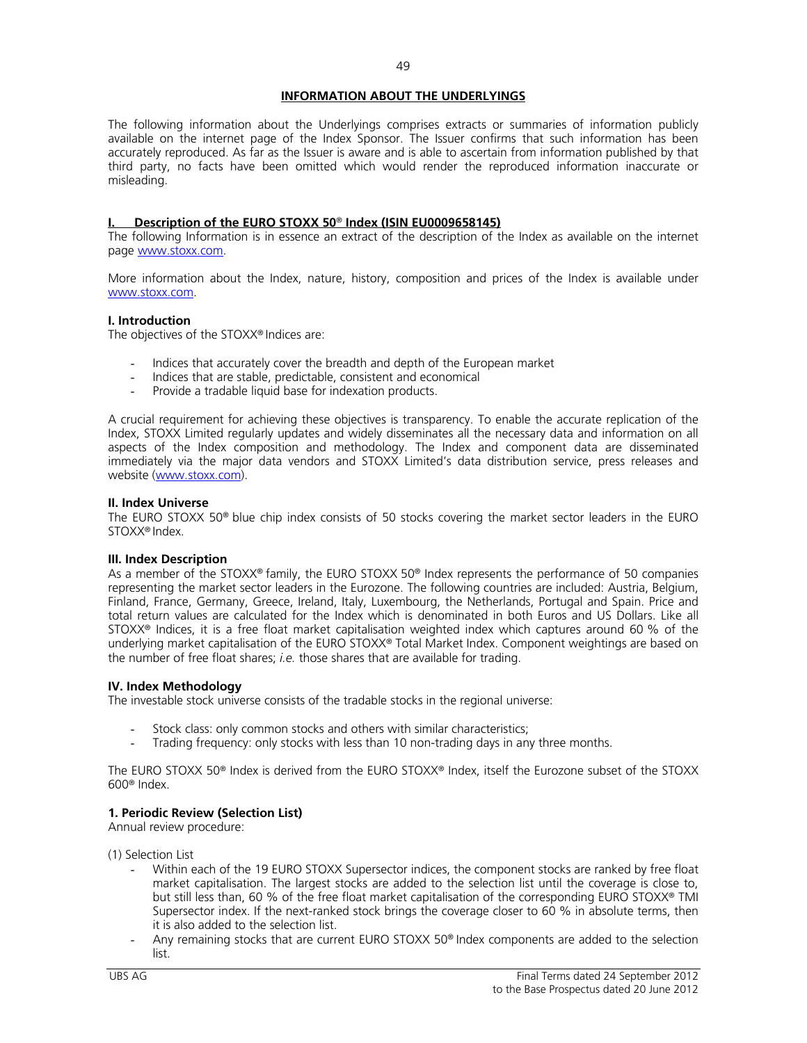# **INFORMATION ABOUT THE UNDERLYINGS**

The following information about the Underlyings comprises extracts or summaries of information publicly available on the internet page of the Index Sponsor. The Issuer confirms that such information has been accurately reproduced. As far as the Issuer is aware and is able to ascertain from information published by that third party, no facts have been omitted which would render the reproduced information inaccurate or misleading.

#### **I. Description of the EURO STOXX 50**® **Index (ISIN EU0009658145)**

The following Information is in essence an extract of the description of the Index as available on the internet page www.stoxx.com.

More information about the Index, nature, history, composition and prices of the Index is available under www.stoxx.com.

#### **I. Introduction**

The objectives of the STOXX® Indices are:

- Indices that accurately cover the breadth and depth of the European market
- Indices that are stable, predictable, consistent and economical
- Provide a tradable liquid base for indexation products.

A crucial requirement for achieving these objectives is transparency. To enable the accurate replication of the Index, STOXX Limited regularly updates and widely disseminates all the necessary data and information on all aspects of the Index composition and methodology. The Index and component data are disseminated immediately via the major data vendors and STOXX Limited's data distribution service, press releases and website (www.stoxx.com).

#### **II. Index Universe**

The EURO STOXX 50® blue chip index consists of 50 stocks covering the market sector leaders in the EURO STOXX® Index.

#### **III. Index Description**

As a member of the STOXX® family, the EURO STOXX 50® Index represents the performance of 50 companies representing the market sector leaders in the Eurozone. The following countries are included: Austria, Belgium, Finland, France, Germany, Greece, Ireland, Italy, Luxembourg, the Netherlands, Portugal and Spain. Price and total return values are calculated for the Index which is denominated in both Euros and US Dollars. Like all STOXX® Indices, it is a free float market capitalisation weighted index which captures around 60 % of the underlying market capitalisation of the EURO STOXX® Total Market Index. Component weightings are based on the number of free float shares; *i.e.* those shares that are available for trading.

#### **IV. Index Methodology**

The investable stock universe consists of the tradable stocks in the regional universe:

- Stock class: only common stocks and others with similar characteristics;
- Trading frequency: only stocks with less than 10 non-trading days in any three months.

The EURO STOXX 50® Index is derived from the EURO STOXX® Index, itself the Eurozone subset of the STOXX 600® Index.

# **1. Periodic Review (Selection List)**

Annual review procedure:

(1) Selection List

- Within each of the 19 EURO STOXX Supersector indices, the component stocks are ranked by free float market capitalisation. The largest stocks are added to the selection list until the coverage is close to, but still less than, 60 % of the free float market capitalisation of the corresponding EURO STOXX® TMI Supersector index. If the next-ranked stock brings the coverage closer to 60 % in absolute terms, then it is also added to the selection list.
- Any remaining stocks that are current EURO STOXX 50<sup>®</sup> Index components are added to the selection list.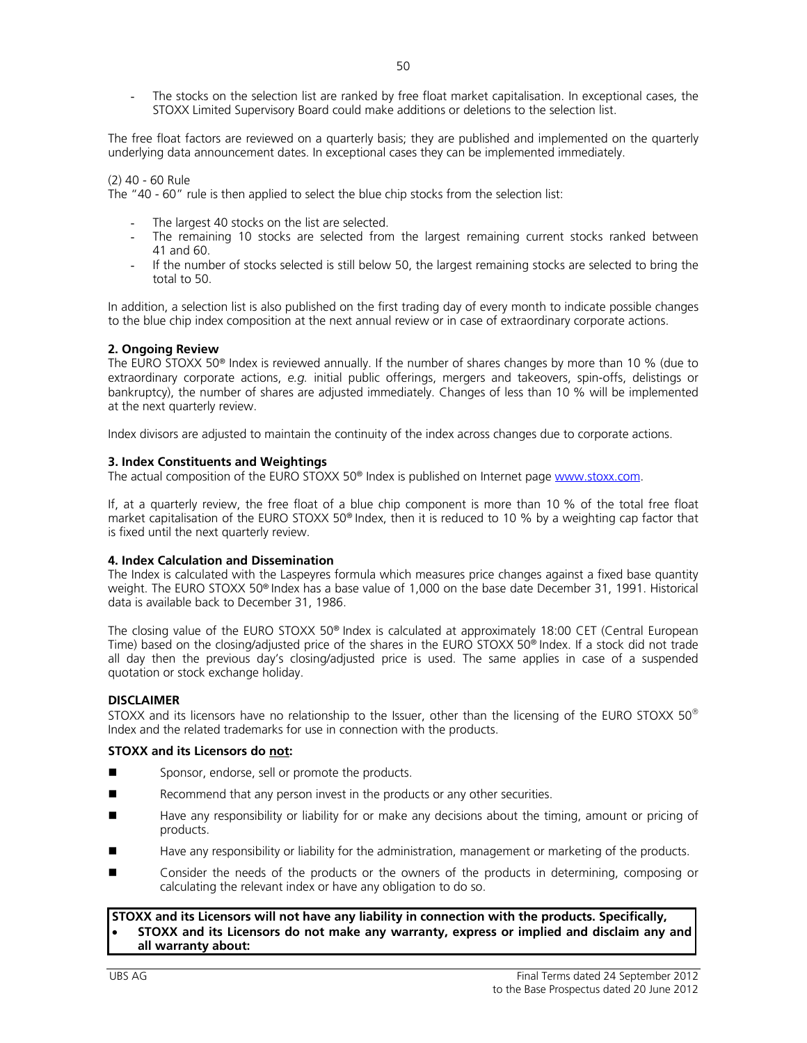The stocks on the selection list are ranked by free float market capitalisation. In exceptional cases, the STOXX Limited Supervisory Board could make additions or deletions to the selection list.

The free float factors are reviewed on a quarterly basis; they are published and implemented on the quarterly underlying data announcement dates. In exceptional cases they can be implemented immediately.

(2) 40 - 60 Rule

The "40 - 60" rule is then applied to select the blue chip stocks from the selection list:

- The largest 40 stocks on the list are selected.
- The remaining 10 stocks are selected from the largest remaining current stocks ranked between 41 and 60.
- If the number of stocks selected is still below 50, the largest remaining stocks are selected to bring the total to 50.

In addition, a selection list is also published on the first trading day of every month to indicate possible changes to the blue chip index composition at the next annual review or in case of extraordinary corporate actions.

# **2. Ongoing Review**

The EURO STOXX 50® Index is reviewed annually. If the number of shares changes by more than 10 % (due to extraordinary corporate actions, *e.g.* initial public offerings, mergers and takeovers, spin-offs, delistings or bankruptcy), the number of shares are adjusted immediately. Changes of less than 10 % will be implemented at the next quarterly review.

Index divisors are adjusted to maintain the continuity of the index across changes due to corporate actions.

#### **3. Index Constituents and Weightings**

The actual composition of the EURO STOXX 50® Index is published on Internet page www.stoxx.com.

If, at a quarterly review, the free float of a blue chip component is more than 10 % of the total free float market capitalisation of the EURO STOXX 50® Index, then it is reduced to 10 % by a weighting cap factor that is fixed until the next quarterly review.

#### **4. Index Calculation and Dissemination**

The Index is calculated with the Laspeyres formula which measures price changes against a fixed base quantity weight. The EURO STOXX 50® Index has a base value of 1,000 on the base date December 31, 1991. Historical data is available back to December 31, 1986.

The closing value of the EURO STOXX 50<sup>®</sup> Index is calculated at approximately 18:00 CET (Central European Time) based on the closing/adjusted price of the shares in the EURO STOXX 50<sup>®</sup> Index. If a stock did not trade all day then the previous day's closing/adjusted price is used. The same applies in case of a suspended quotation or stock exchange holiday.

#### **DISCLAIMER**

STOXX and its licensors have no relationship to the Issuer, other than the licensing of the EURO STOXX 50 $^{\circ}$ Index and the related trademarks for use in connection with the products.

#### **STOXX and its Licensors do not:**

- Sponsor, endorse, sell or promote the products.
- Recommend that any person invest in the products or any other securities.
- Have any responsibility or liability for or make any decisions about the timing, amount or pricing of products.
- Have any responsibility or liability for the administration, management or marketing of the products.
- Consider the needs of the products or the owners of the products in determining, composing or calculating the relevant index or have any obligation to do so.

# **STOXX and its Licensors will not have any liability in connection with the products. Specifically, STOXX and its Licensors do not make any warranty, express or implied and disclaim any and all warranty about:**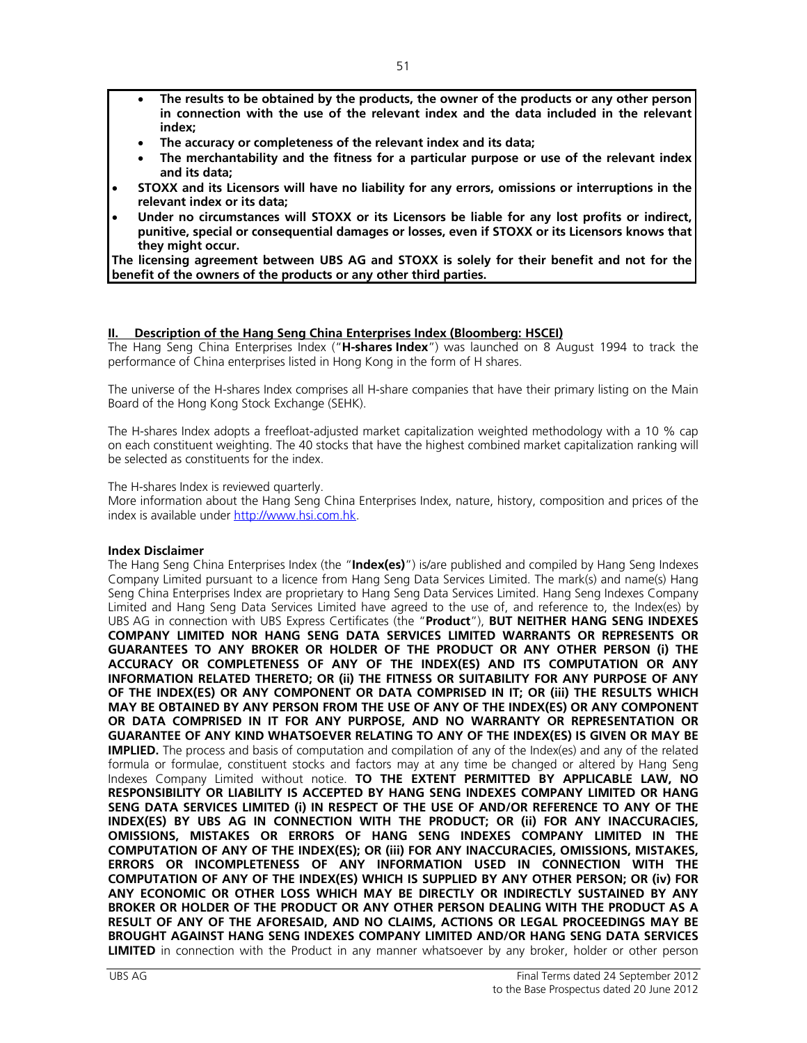- **The results to be obtained by the products, the owner of the products or any other person in connection with the use of the relevant index and the data included in the relevant index;**
- **The accuracy or completeness of the relevant index and its data;**
- **The merchantability and the fitness for a particular purpose or use of the relevant index and its data;**
- **STOXX and its Licensors will have no liability for any errors, omissions or interruptions in the relevant index or its data;**
- **Under no circumstances will STOXX or its Licensors be liable for any lost profits or indirect, punitive, special or consequential damages or losses, even if STOXX or its Licensors knows that they might occur.**

**The licensing agreement between UBS AG and STOXX is solely for their benefit and not for the benefit of the owners of the products or any other third parties.**

# **II. Description of the Hang Seng China Enterprises Index (Bloomberg: HSCEI)**

The Hang Seng China Enterprises Index ("**H-shares Index**") was launched on 8 August 1994 to track the performance of China enterprises listed in Hong Kong in the form of H shares.

The universe of the H-shares Index comprises all H-share companies that have their primary listing on the Main Board of the Hong Kong Stock Exchange (SEHK).

The H-shares Index adopts a freefloat-adjusted market capitalization weighted methodology with a 10 % cap on each constituent weighting. The 40 stocks that have the highest combined market capitalization ranking will be selected as constituents for the index.

The H-shares Index is reviewed quarterly.

More information about the Hang Seng China Enterprises Index, nature, history, composition and prices of the index is available under http://www.hsi.com.hk.

# **Index Disclaimer**

The Hang Seng China Enterprises Index (the "**Index(es)**") is/are published and compiled by Hang Seng Indexes Company Limited pursuant to a licence from Hang Seng Data Services Limited. The mark(s) and name(s) Hang Seng China Enterprises Index are proprietary to Hang Seng Data Services Limited. Hang Seng Indexes Company Limited and Hang Seng Data Services Limited have agreed to the use of, and reference to, the Index(es) by UBS AG in connection with UBS Express Certificates (the "**Product**"), **BUT NEITHER HANG SENG INDEXES COMPANY LIMITED NOR HANG SENG DATA SERVICES LIMITED WARRANTS OR REPRESENTS OR GUARANTEES TO ANY BROKER OR HOLDER OF THE PRODUCT OR ANY OTHER PERSON (i) THE ACCURACY OR COMPLETENESS OF ANY OF THE INDEX(ES) AND ITS COMPUTATION OR ANY INFORMATION RELATED THERETO; OR (ii) THE FITNESS OR SUITABILITY FOR ANY PURPOSE OF ANY OF THE INDEX(ES) OR ANY COMPONENT OR DATA COMPRISED IN IT; OR (iii) THE RESULTS WHICH MAY BE OBTAINED BY ANY PERSON FROM THE USE OF ANY OF THE INDEX(ES) OR ANY COMPONENT OR DATA COMPRISED IN IT FOR ANY PURPOSE, AND NO WARRANTY OR REPRESENTATION OR GUARANTEE OF ANY KIND WHATSOEVER RELATING TO ANY OF THE INDEX(ES) IS GIVEN OR MAY BE IMPLIED.** The process and basis of computation and compilation of any of the Index(es) and any of the related formula or formulae, constituent stocks and factors may at any time be changed or altered by Hang Seng Indexes Company Limited without notice. **TO THE EXTENT PERMITTED BY APPLICABLE LAW, NO RESPONSIBILITY OR LIABILITY IS ACCEPTED BY HANG SENG INDEXES COMPANY LIMITED OR HANG SENG DATA SERVICES LIMITED (i) IN RESPECT OF THE USE OF AND/OR REFERENCE TO ANY OF THE INDEX(ES) BY UBS AG IN CONNECTION WITH THE PRODUCT; OR (ii) FOR ANY INACCURACIES, OMISSIONS, MISTAKES OR ERRORS OF HANG SENG INDEXES COMPANY LIMITED IN THE COMPUTATION OF ANY OF THE INDEX(ES); OR (iii) FOR ANY INACCURACIES, OMISSIONS, MISTAKES, ERRORS OR INCOMPLETENESS OF ANY INFORMATION USED IN CONNECTION WITH THE COMPUTATION OF ANY OF THE INDEX(ES) WHICH IS SUPPLIED BY ANY OTHER PERSON; OR (iv) FOR ANY ECONOMIC OR OTHER LOSS WHICH MAY BE DIRECTLY OR INDIRECTLY SUSTAINED BY ANY BROKER OR HOLDER OF THE PRODUCT OR ANY OTHER PERSON DEALING WITH THE PRODUCT AS A RESULT OF ANY OF THE AFORESAID, AND NO CLAIMS, ACTIONS OR LEGAL PROCEEDINGS MAY BE BROUGHT AGAINST HANG SENG INDEXES COMPANY LIMITED AND/OR HANG SENG DATA SERVICES LIMITED** in connection with the Product in any manner whatsoever by any broker, holder or other person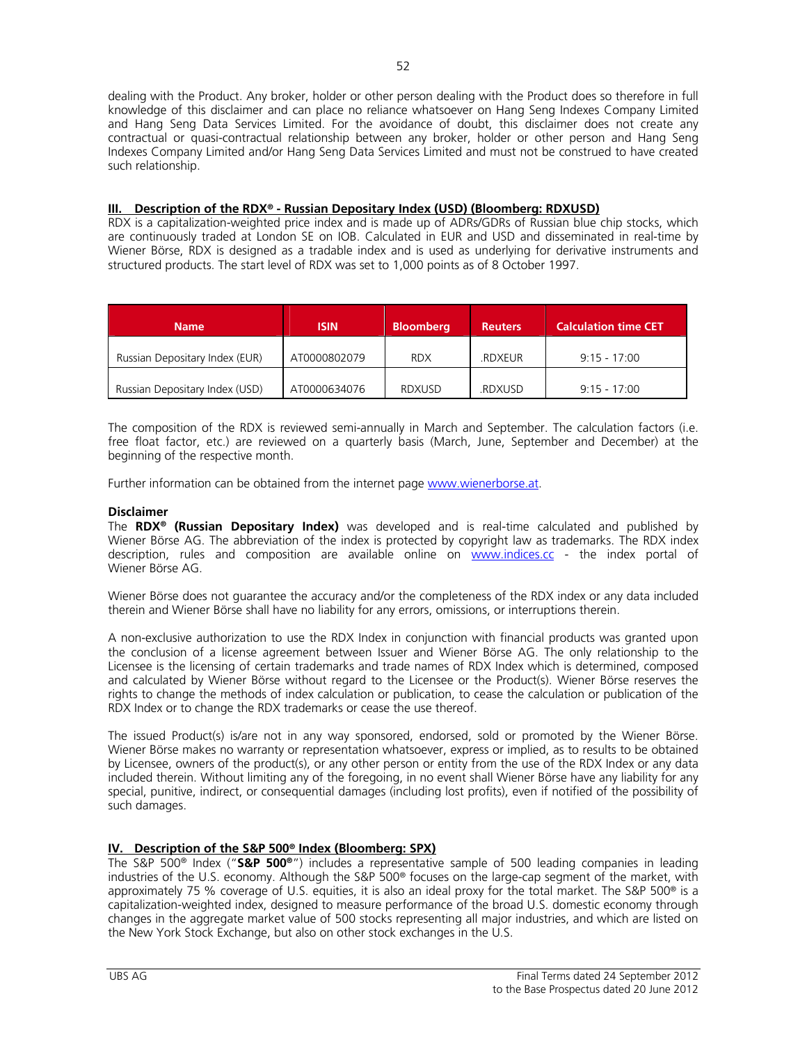dealing with the Product. Any broker, holder or other person dealing with the Product does so therefore in full knowledge of this disclaimer and can place no reliance whatsoever on Hang Seng Indexes Company Limited and Hang Seng Data Services Limited. For the avoidance of doubt, this disclaimer does not create any contractual or quasi-contractual relationship between any broker, holder or other person and Hang Seng Indexes Company Limited and/or Hang Seng Data Services Limited and must not be construed to have created such relationship.

# **III. Description of the RDX® - Russian Depositary Index (USD) (Bloomberg: RDXUSD)**

RDX is a capitalization-weighted price index and is made up of ADRs/GDRs of Russian blue chip stocks, which are continuously traded at London SE on IOB. Calculated in EUR and USD and disseminated in real-time by Wiener Börse, RDX is designed as a tradable index and is used as underlying for derivative instruments and structured products. The start level of RDX was set to 1,000 points as of 8 October 1997.

| <b>Name</b>                    | <b>ISIN</b>  | <b>Bloomberg</b> | <b>Reuters</b> | <b>Calculation time CET</b> |
|--------------------------------|--------------|------------------|----------------|-----------------------------|
| Russian Depositary Index (EUR) | AT0000802079 | <b>RDX</b>       | <b>RDXEUR</b>  | $9:15 - 17:00$              |
| Russian Depositary Index (USD) | AT0000634076 | <b>RDXUSD</b>    | <b>RDXUSD</b>  | $9:15 - 17:00$              |

The composition of the RDX is reviewed semi-annually in March and September. The calculation factors (i.e. free float factor, etc.) are reviewed on a quarterly basis (March, June, September and December) at the beginning of the respective month.

Further information can be obtained from the internet page www.wienerborse.at.

# **Disclaimer**

The **RDX® (Russian Depositary Index)** was developed and is real-time calculated and published by Wiener Börse AG. The abbreviation of the index is protected by copyright law as trademarks. The RDX index description, rules and composition are available online on www.indices.cc - the index portal of Wiener Börse AG.

Wiener Börse does not guarantee the accuracy and/or the completeness of the RDX index or any data included therein and Wiener Börse shall have no liability for any errors, omissions, or interruptions therein.

A non-exclusive authorization to use the RDX Index in conjunction with financial products was granted upon the conclusion of a license agreement between Issuer and Wiener Börse AG. The only relationship to the Licensee is the licensing of certain trademarks and trade names of RDX Index which is determined, composed and calculated by Wiener Börse without regard to the Licensee or the Product(s). Wiener Börse reserves the rights to change the methods of index calculation or publication, to cease the calculation or publication of the RDX Index or to change the RDX trademarks or cease the use thereof.

The issued Product(s) is/are not in any way sponsored, endorsed, sold or promoted by the Wiener Börse. Wiener Börse makes no warranty or representation whatsoever, express or implied, as to results to be obtained by Licensee, owners of the product(s), or any other person or entity from the use of the RDX Index or any data included therein. Without limiting any of the foregoing, in no event shall Wiener Börse have any liability for any special, punitive, indirect, or consequential damages (including lost profits), even if notified of the possibility of such damages.

# **IV. Description of the S&P 500® Index (Bloomberg: SPX)**

The S&P 500® Index ("**S&P 500®**") includes a representative sample of 500 leading companies in leading industries of the U.S. economy. Although the S&P 500® focuses on the large-cap segment of the market, with approximately 75 % coverage of U.S. equities, it is also an ideal proxy for the total market. The S&P 500® is a capitalization-weighted index, designed to measure performance of the broad U.S. domestic economy through changes in the aggregate market value of 500 stocks representing all major industries, and which are listed on the New York Stock Exchange, but also on other stock exchanges in the U.S.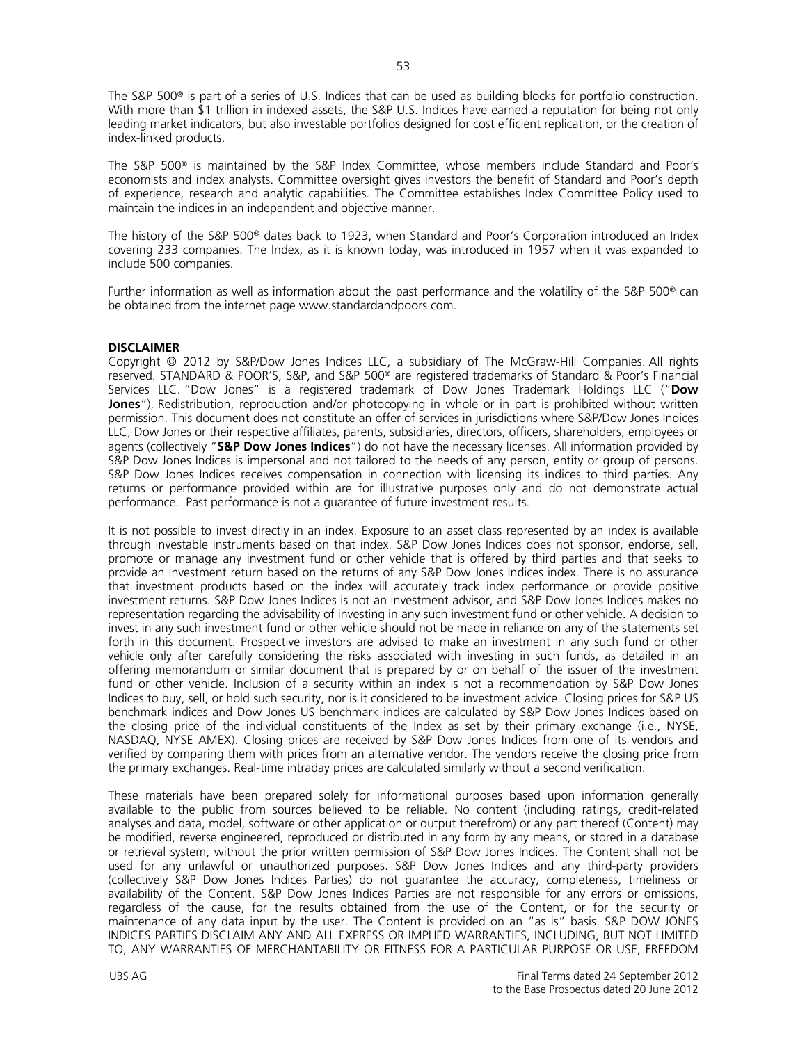The S&P 500® is part of a series of U.S. Indices that can be used as building blocks for portfolio construction. With more than \$1 trillion in indexed assets, the S&P U.S. Indices have earned a reputation for being not only leading market indicators, but also investable portfolios designed for cost efficient replication, or the creation of index-linked products.

The S&P 500® is maintained by the S&P Index Committee, whose members include Standard and Poor's economists and index analysts. Committee oversight gives investors the benefit of Standard and Poor's depth of experience, research and analytic capabilities. The Committee establishes Index Committee Policy used to maintain the indices in an independent and objective manner.

The history of the S&P 500® dates back to 1923, when Standard and Poor's Corporation introduced an Index covering 233 companies. The Index, as it is known today, was introduced in 1957 when it was expanded to include 500 companies.

Further information as well as information about the past performance and the volatility of the S&P 500® can be obtained from the internet page www.standardandpoors.com.

# **DISCLAIMER**

Copyright © 2012 by S&P/Dow Jones Indices LLC, a subsidiary of The McGraw-Hill Companies. All rights reserved. STANDARD & POOR'S, S&P, and S&P 500® are registered trademarks of Standard & Poor's Financial Services LLC. "Dow Jones" is a registered trademark of Dow Jones Trademark Holdings LLC ("**Dow Jones**"). Redistribution, reproduction and/or photocopying in whole or in part is prohibited without written permission. This document does not constitute an offer of services in jurisdictions where S&P/Dow Jones Indices LLC, Dow Jones or their respective affiliates, parents, subsidiaries, directors, officers, shareholders, employees or agents (collectively "**S&P Dow Jones Indices**") do not have the necessary licenses. All information provided by S&P Dow Jones Indices is impersonal and not tailored to the needs of any person, entity or group of persons. S&P Dow Jones Indices receives compensation in connection with licensing its indices to third parties. Any returns or performance provided within are for illustrative purposes only and do not demonstrate actual performance. Past performance is not a guarantee of future investment results.

It is not possible to invest directly in an index. Exposure to an asset class represented by an index is available through investable instruments based on that index. S&P Dow Jones Indices does not sponsor, endorse, sell, promote or manage any investment fund or other vehicle that is offered by third parties and that seeks to provide an investment return based on the returns of any S&P Dow Jones Indices index. There is no assurance that investment products based on the index will accurately track index performance or provide positive investment returns. S&P Dow Jones Indices is not an investment advisor, and S&P Dow Jones Indices makes no representation regarding the advisability of investing in any such investment fund or other vehicle. A decision to invest in any such investment fund or other vehicle should not be made in reliance on any of the statements set forth in this document. Prospective investors are advised to make an investment in any such fund or other vehicle only after carefully considering the risks associated with investing in such funds, as detailed in an offering memorandum or similar document that is prepared by or on behalf of the issuer of the investment fund or other vehicle. Inclusion of a security within an index is not a recommendation by S&P Dow Jones Indices to buy, sell, or hold such security, nor is it considered to be investment advice. Closing prices for S&P US benchmark indices and Dow Jones US benchmark indices are calculated by S&P Dow Jones Indices based on the closing price of the individual constituents of the Index as set by their primary exchange (i.e., NYSE, NASDAQ, NYSE AMEX). Closing prices are received by S&P Dow Jones Indices from one of its vendors and verified by comparing them with prices from an alternative vendor. The vendors receive the closing price from the primary exchanges. Real-time intraday prices are calculated similarly without a second verification.

These materials have been prepared solely for informational purposes based upon information generally available to the public from sources believed to be reliable. No content (including ratings, credit-related analyses and data, model, software or other application or output therefrom) or any part thereof (Content) may be modified, reverse engineered, reproduced or distributed in any form by any means, or stored in a database or retrieval system, without the prior written permission of S&P Dow Jones Indices. The Content shall not be used for any unlawful or unauthorized purposes. S&P Dow Jones Indices and any third-party providers (collectively S&P Dow Jones Indices Parties) do not guarantee the accuracy, completeness, timeliness or availability of the Content. S&P Dow Jones Indices Parties are not responsible for any errors or omissions, regardless of the cause, for the results obtained from the use of the Content, or for the security or maintenance of any data input by the user. The Content is provided on an "as is" basis. S&P DOW JONES INDICES PARTIES DISCLAIM ANY AND ALL EXPRESS OR IMPLIED WARRANTIES, INCLUDING, BUT NOT LIMITED TO, ANY WARRANTIES OF MERCHANTABILITY OR FITNESS FOR A PARTICULAR PURPOSE OR USE, FREEDOM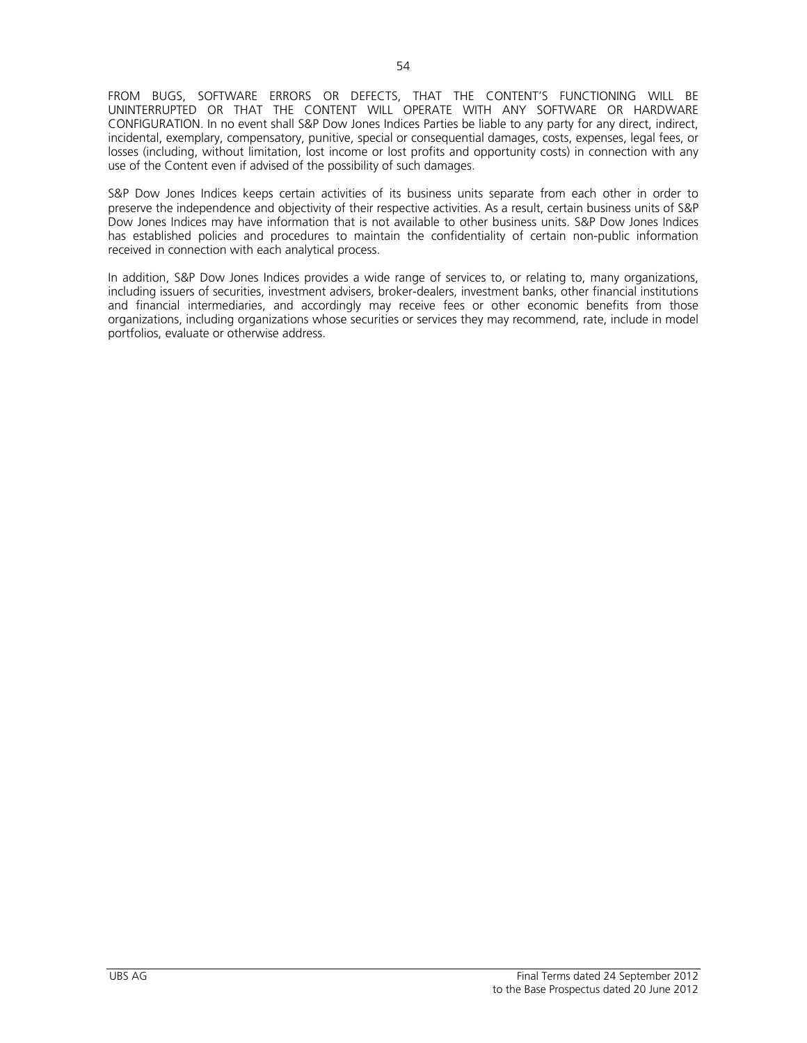FROM BUGS, SOFTWARE ERRORS OR DEFECTS, THAT THE CONTENT'S FUNCTIONING WILL BE UNINTERRUPTED OR THAT THE CONTENT WILL OPERATE WITH ANY SOFTWARE OR HARDWARE CONFIGURATION. In no event shall S&P Dow Jones Indices Parties be liable to any party for any direct, indirect, incidental, exemplary, compensatory, punitive, special or consequential damages, costs, expenses, legal fees, or losses (including, without limitation, lost income or lost profits and opportunity costs) in connection with any use of the Content even if advised of the possibility of such damages.

S&P Dow Jones Indices keeps certain activities of its business units separate from each other in order to preserve the independence and objectivity of their respective activities. As a result, certain business units of S&P Dow Jones Indices may have information that is not available to other business units. S&P Dow Jones Indices has established policies and procedures to maintain the confidentiality of certain non-public information received in connection with each analytical process.

In addition, S&P Dow Jones Indices provides a wide range of services to, or relating to, many organizations, including issuers of securities, investment advisers, broker-dealers, investment banks, other financial institutions and financial intermediaries, and accordingly may receive fees or other economic benefits from those organizations, including organizations whose securities or services they may recommend, rate, include in model portfolios, evaluate or otherwise address.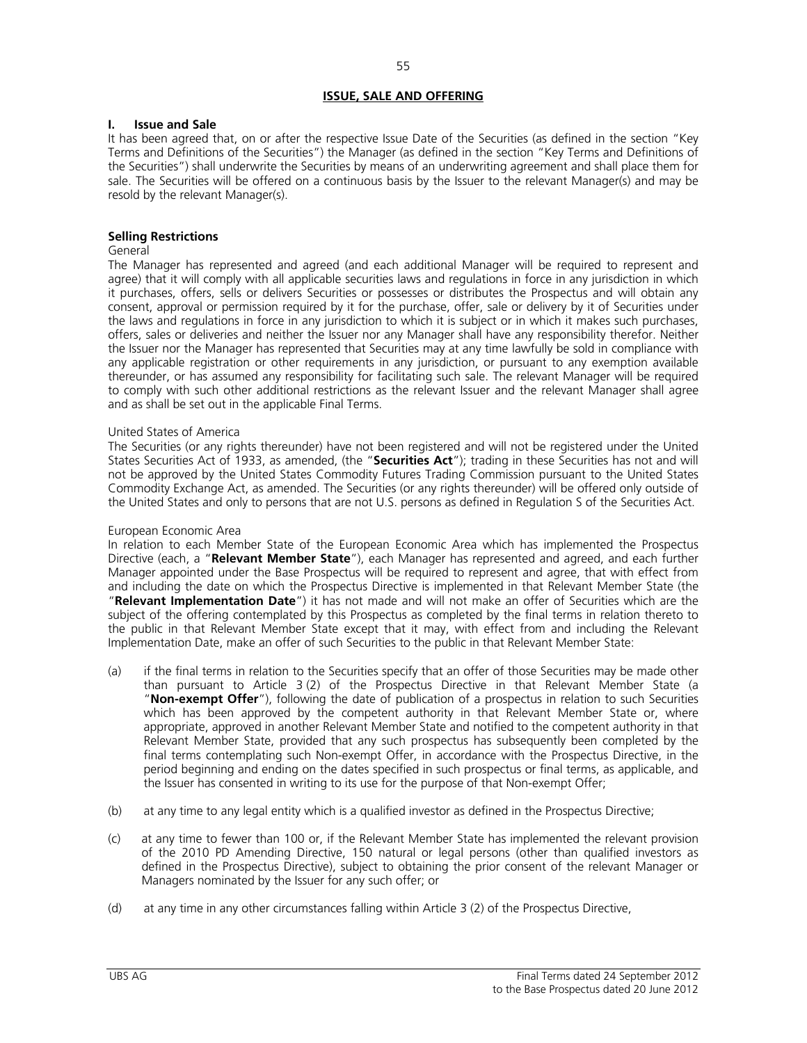# **ISSUE, SALE AND OFFERING**

### **I. Issue and Sale**

It has been agreed that, on or after the respective Issue Date of the Securities (as defined in the section "Key Terms and Definitions of the Securities") the Manager (as defined in the section "Key Terms and Definitions of the Securities") shall underwrite the Securities by means of an underwriting agreement and shall place them for sale. The Securities will be offered on a continuous basis by the Issuer to the relevant Manager(s) and may be resold by the relevant Manager(s).

# **Selling Restrictions**

#### General

The Manager has represented and agreed (and each additional Manager will be required to represent and agree) that it will comply with all applicable securities laws and regulations in force in any jurisdiction in which it purchases, offers, sells or delivers Securities or possesses or distributes the Prospectus and will obtain any consent, approval or permission required by it for the purchase, offer, sale or delivery by it of Securities under the laws and regulations in force in any jurisdiction to which it is subject or in which it makes such purchases, offers, sales or deliveries and neither the Issuer nor any Manager shall have any responsibility therefor. Neither the Issuer nor the Manager has represented that Securities may at any time lawfully be sold in compliance with any applicable registration or other requirements in any jurisdiction, or pursuant to any exemption available thereunder, or has assumed any responsibility for facilitating such sale. The relevant Manager will be required to comply with such other additional restrictions as the relevant Issuer and the relevant Manager shall agree and as shall be set out in the applicable Final Terms.

#### United States of America

The Securities (or any rights thereunder) have not been registered and will not be registered under the United States Securities Act of 1933, as amended, (the "**Securities Act**"); trading in these Securities has not and will not be approved by the United States Commodity Futures Trading Commission pursuant to the United States Commodity Exchange Act, as amended. The Securities (or any rights thereunder) will be offered only outside of the United States and only to persons that are not U.S. persons as defined in Regulation S of the Securities Act.

#### European Economic Area

In relation to each Member State of the European Economic Area which has implemented the Prospectus Directive (each, a "**Relevant Member State**"), each Manager has represented and agreed, and each further Manager appointed under the Base Prospectus will be required to represent and agree, that with effect from and including the date on which the Prospectus Directive is implemented in that Relevant Member State (the "**Relevant Implementation Date**") it has not made and will not make an offer of Securities which are the subject of the offering contemplated by this Prospectus as completed by the final terms in relation thereto to the public in that Relevant Member State except that it may, with effect from and including the Relevant Implementation Date, make an offer of such Securities to the public in that Relevant Member State:

- (a) if the final terms in relation to the Securities specify that an offer of those Securities may be made other than pursuant to Article 3 (2) of the Prospectus Directive in that Relevant Member State (a "**Non-exempt Offer**"), following the date of publication of a prospectus in relation to such Securities which has been approved by the competent authority in that Relevant Member State or, where appropriate, approved in another Relevant Member State and notified to the competent authority in that Relevant Member State, provided that any such prospectus has subsequently been completed by the final terms contemplating such Non-exempt Offer, in accordance with the Prospectus Directive, in the period beginning and ending on the dates specified in such prospectus or final terms, as applicable, and the Issuer has consented in writing to its use for the purpose of that Non-exempt Offer;
- (b) at any time to any legal entity which is a qualified investor as defined in the Prospectus Directive;
- (c) at any time to fewer than 100 or, if the Relevant Member State has implemented the relevant provision of the 2010 PD Amending Directive, 150 natural or legal persons (other than qualified investors as defined in the Prospectus Directive), subject to obtaining the prior consent of the relevant Manager or Managers nominated by the Issuer for any such offer; or
- (d) at any time in any other circumstances falling within Article 3 (2) of the Prospectus Directive,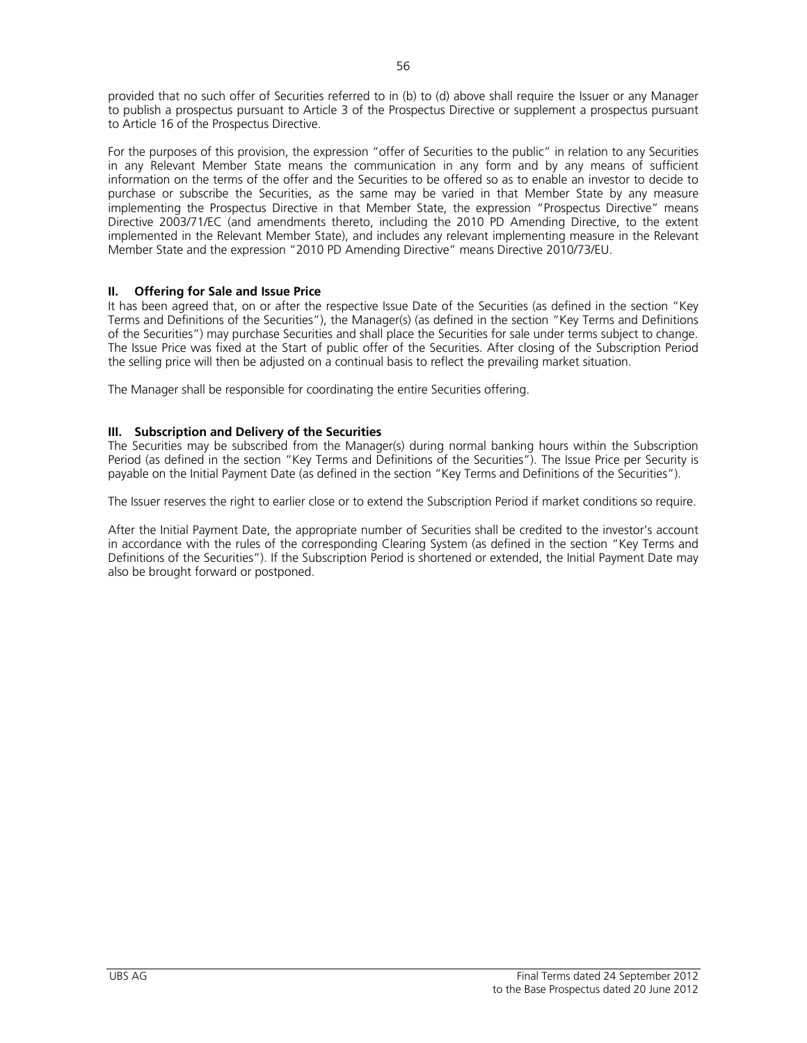provided that no such offer of Securities referred to in (b) to (d) above shall require the Issuer or any Manager to publish a prospectus pursuant to Article 3 of the Prospectus Directive or supplement a prospectus pursuant to Article 16 of the Prospectus Directive.

For the purposes of this provision, the expression "offer of Securities to the public" in relation to any Securities in any Relevant Member State means the communication in any form and by any means of sufficient information on the terms of the offer and the Securities to be offered so as to enable an investor to decide to purchase or subscribe the Securities, as the same may be varied in that Member State by any measure implementing the Prospectus Directive in that Member State, the expression "Prospectus Directive" means Directive 2003/71/EC (and amendments thereto, including the 2010 PD Amending Directive, to the extent implemented in the Relevant Member State), and includes any relevant implementing measure in the Relevant Member State and the expression "2010 PD Amending Directive" means Directive 2010/73/EU.

# **II. Offering for Sale and Issue Price**

It has been agreed that, on or after the respective Issue Date of the Securities (as defined in the section "Key Terms and Definitions of the Securities"), the Manager(s) (as defined in the section "Key Terms and Definitions of the Securities") may purchase Securities and shall place the Securities for sale under terms subject to change. The Issue Price was fixed at the Start of public offer of the Securities. After closing of the Subscription Period the selling price will then be adjusted on a continual basis to reflect the prevailing market situation.

The Manager shall be responsible for coordinating the entire Securities offering.

# **III. Subscription and Delivery of the Securities**

The Securities may be subscribed from the Manager(s) during normal banking hours within the Subscription Period (as defined in the section "Key Terms and Definitions of the Securities"). The Issue Price per Security is payable on the Initial Payment Date (as defined in the section "Key Terms and Definitions of the Securities").

The Issuer reserves the right to earlier close or to extend the Subscription Period if market conditions so require.

After the Initial Payment Date, the appropriate number of Securities shall be credited to the investor's account in accordance with the rules of the corresponding Clearing System (as defined in the section "Key Terms and Definitions of the Securities"). If the Subscription Period is shortened or extended, the Initial Payment Date may also be brought forward or postponed.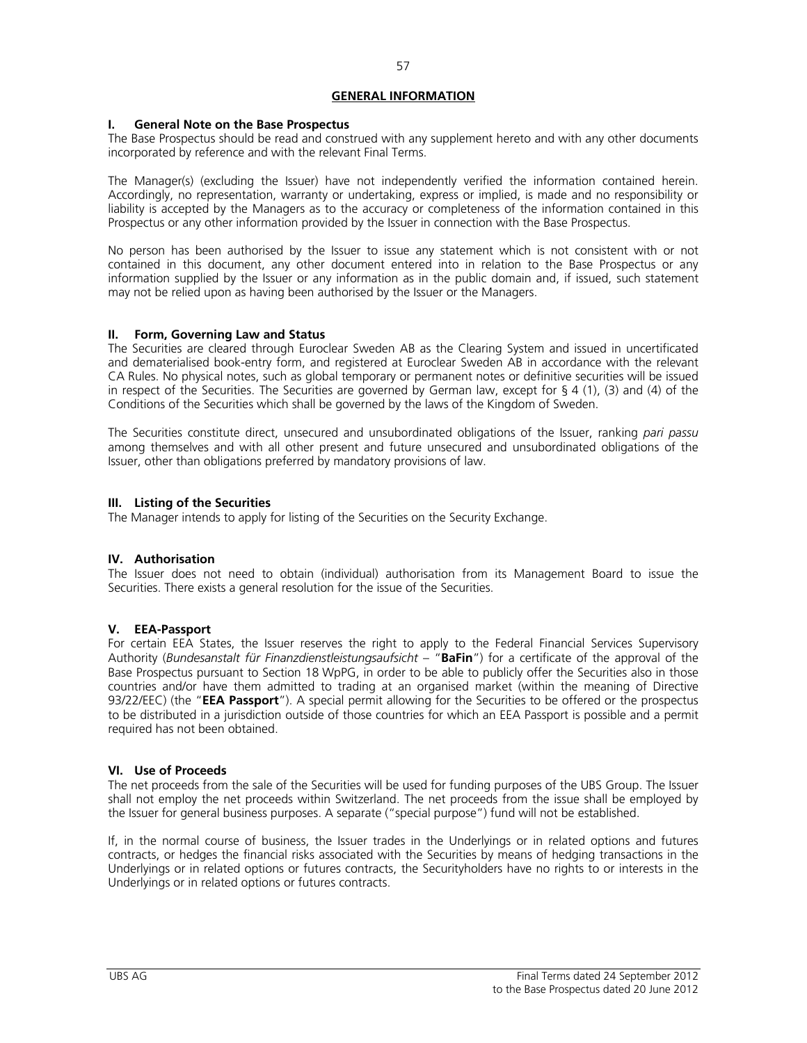# **GENERAL INFORMATION**

### **I. General Note on the Base Prospectus**

The Base Prospectus should be read and construed with any supplement hereto and with any other documents incorporated by reference and with the relevant Final Terms.

The Manager(s) (excluding the Issuer) have not independently verified the information contained herein. Accordingly, no representation, warranty or undertaking, express or implied, is made and no responsibility or liability is accepted by the Managers as to the accuracy or completeness of the information contained in this Prospectus or any other information provided by the Issuer in connection with the Base Prospectus.

No person has been authorised by the Issuer to issue any statement which is not consistent with or not contained in this document, any other document entered into in relation to the Base Prospectus or any information supplied by the Issuer or any information as in the public domain and, if issued, such statement may not be relied upon as having been authorised by the Issuer or the Managers.

# **II. Form, Governing Law and Status**

The Securities are cleared through Euroclear Sweden AB as the Clearing System and issued in uncertificated and dematerialised book-entry form, and registered at Euroclear Sweden AB in accordance with the relevant CA Rules. No physical notes, such as global temporary or permanent notes or definitive securities will be issued in respect of the Securities. The Securities are governed by German law, except for § 4 (1), (3) and (4) of the Conditions of the Securities which shall be governed by the laws of the Kingdom of Sweden.

The Securities constitute direct, unsecured and unsubordinated obligations of the Issuer, ranking *pari passu* among themselves and with all other present and future unsecured and unsubordinated obligations of the Issuer, other than obligations preferred by mandatory provisions of law.

# **III. Listing of the Securities**

The Manager intends to apply for listing of the Securities on the Security Exchange.

# **IV. Authorisation**

The Issuer does not need to obtain (individual) authorisation from its Management Board to issue the Securities. There exists a general resolution for the issue of the Securities.

# **V. EEA-Passport**

For certain EEA States, the Issuer reserves the right to apply to the Federal Financial Services Supervisory Authority (*Bundesanstalt für Finanzdienstleistungsaufsicht* – "**BaFin**") for a certificate of the approval of the Base Prospectus pursuant to Section 18 WpPG, in order to be able to publicly offer the Securities also in those countries and/or have them admitted to trading at an organised market (within the meaning of Directive 93/22/EEC) (the "**EEA Passport**"). A special permit allowing for the Securities to be offered or the prospectus to be distributed in a jurisdiction outside of those countries for which an EEA Passport is possible and a permit required has not been obtained.

# **VI. Use of Proceeds**

The net proceeds from the sale of the Securities will be used for funding purposes of the UBS Group. The Issuer shall not employ the net proceeds within Switzerland. The net proceeds from the issue shall be employed by the Issuer for general business purposes. A separate ("special purpose") fund will not be established.

If, in the normal course of business, the Issuer trades in the Underlyings or in related options and futures contracts, or hedges the financial risks associated with the Securities by means of hedging transactions in the Underlyings or in related options or futures contracts, the Securityholders have no rights to or interests in the Underlyings or in related options or futures contracts.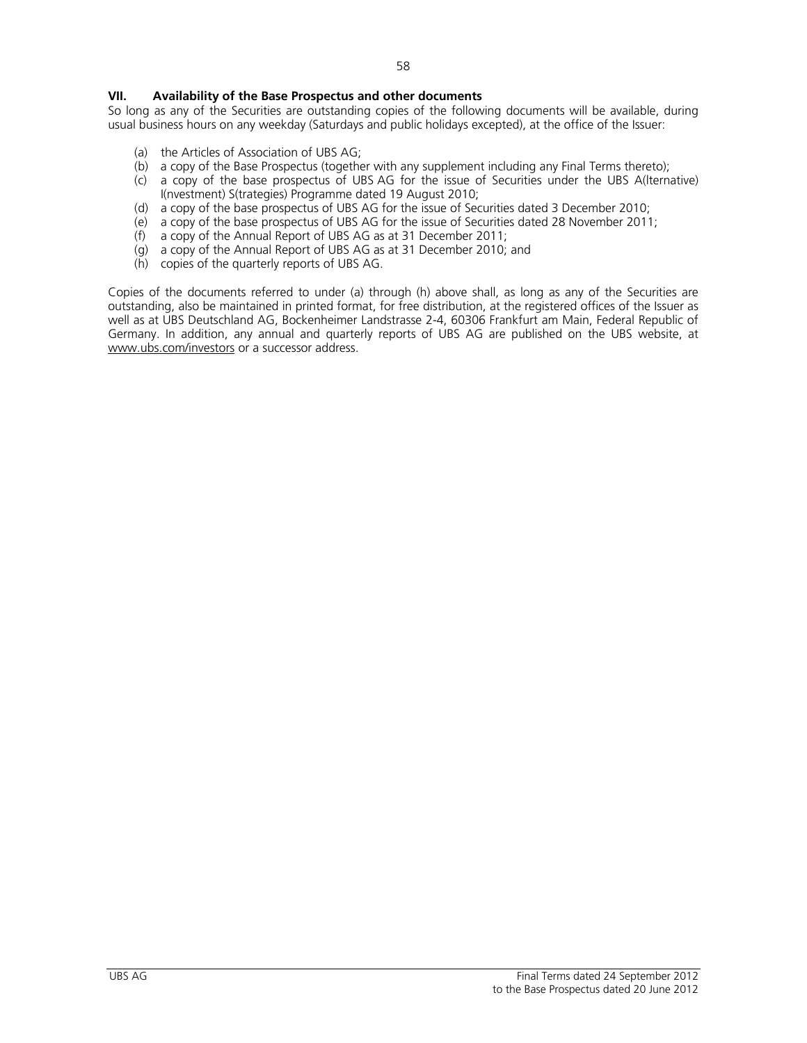# **VII. Availability of the Base Prospectus and other documents**

So long as any of the Securities are outstanding copies of the following documents will be available, during usual business hours on any weekday (Saturdays and public holidays excepted), at the office of the Issuer:

- (a) the Articles of Association of UBS AG;
- (b) a copy of the Base Prospectus (together with any supplement including any Final Terms thereto);
- (c) a copy of the base prospectus of UBS AG for the issue of Securities under the UBS A(lternative) I(nvestment) S(trategies) Programme dated 19 August 2010;
- (d) a copy of the base prospectus of UBS AG for the issue of Securities dated 3 December 2010;
- (e) a copy of the base prospectus of UBS AG for the issue of Securities dated 28 November 2011;
- (f) a copy of the Annual Report of UBS AG as at 31 December 2011;
- (g) a copy of the Annual Report of UBS AG as at 31 December 2010; and
- (h) copies of the quarterly reports of UBS AG.

Copies of the documents referred to under (a) through (h) above shall, as long as any of the Securities are outstanding, also be maintained in printed format, for free distribution, at the registered offices of the Issuer as well as at UBS Deutschland AG, Bockenheimer Landstrasse 2-4, 60306 Frankfurt am Main, Federal Republic of Germany. In addition, any annual and quarterly reports of UBS AG are published on the UBS website, at www.ubs.com/investors or a successor address.